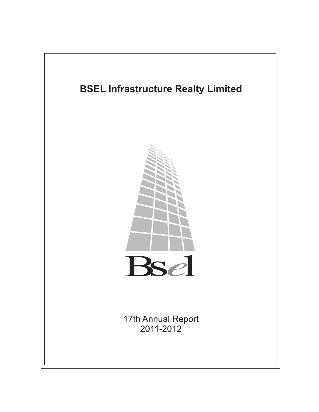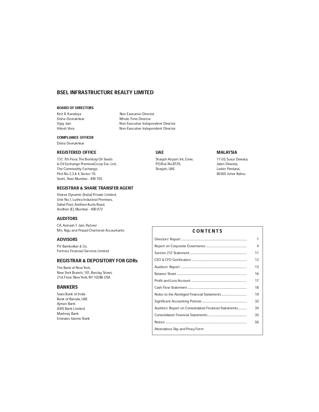## BSEL INFRASTRUCTURE REALTY LIMITED

### BOARD OF DIRECTORS

Kirit R. Kanakiya Non Executive Director<br>Disha Devrukhkar Non Birector None Time Director Disha Devrukhkar<br>Vijay Jain

Vijay Jain Non-Executive Independent Director<br>
Hitesh Vora Non-Executive Independent Director Non-Executive Independent Director

COMPLIANCE OFFICER Disha Devrukhkar

#### REGISTERED OFFICE **The UALAYSIA** UAE **MALAYSIA**

737, 7th Floor, The Bombay Oil Seeds Sharjah Airport Int. Zone, 17-03, Susur Dewata, 17-03, Susur Dewata, 18 Oil Exchange PremisesCo.op Soc. Ltd., 18 Oil Exchange PremisesCo.op Soc. Ltd., 18 Oil Exchange PremisesCo.op Soc. & Oil Exchange PremisesCo.op Soc. Ltd., 
P.O.Box No.8729, 
Jalan Dewata,
Jalan Dewata,
Jalan Dewata,
Sharjah, UAE

P.O.Box No.8729,

Jalan Dewata,  $\frac{1}{2}$ Sharjah, UAE

Larkin Perdana, The Commodity Exchange, The Commodity Exchange, The Commodity Exchange, Sharjah, UAE Commodity Exchange, Sharjah, UAE Larkin Perdana, The Subset of the Subset of the Subset of the Subset of the Subset of the Subset of the Plot No. 2,3 & 4, Sector 19, Vashi , Navi Mumbai - 400 705

### REGISTRAR & SHARE TRANSFER AGENT

Sharex Dynamic (India) Private Limited, Unit No.1, Luthra Industrial Premises, Safed Pool, Andheri-Kurla Road, Andheri (E), Mumbai - 400 072

## AUDITORS

CA. Avinash T. Jain, Partner M/s. Raju and Prasad Chartered Accountants

## ADVISORS

P.V. Bambolkar & Co. Fortress Financial Services Limited

## REGISTRAR & DEPOSITORY FOR GDRs

The Bank of New York, New York Branch, 101, Barclay Street, 21st Floor, New York, NY 10286 USA

## BANKERS

State Bank of India Bank of Baroda, UAE Ajman Bank AXIS Bank Limited Mashreq Bank Emirates Islamic Bank

#### **CONTENTS**

|                                                       | 1  |
|-------------------------------------------------------|----|
|                                                       | 4  |
|                                                       | 11 |
|                                                       | 12 |
|                                                       | 13 |
|                                                       | 16 |
|                                                       | 17 |
|                                                       | 18 |
|                                                       | 19 |
|                                                       | 32 |
| Auditors' Report on Consolidated Financial Statements | 34 |
|                                                       | 35 |
|                                                       | 56 |
| Attendance Slip and Proxy Form                        |    |
|                                                       |    |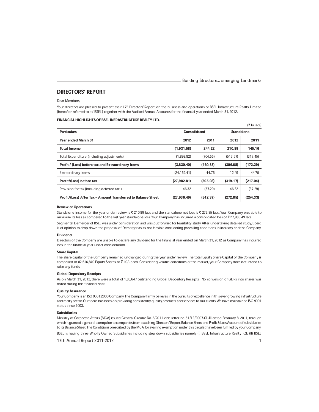## DIRECTORS' REPORT

Dear Members,

Your directors are pleased to present their 17<sup>th</sup> Directors' Report, on the business and operations of BSEL Infrastructure Realty Limited (hereafter referred to as `BSEL') together with the Audited Annual Accounts for the financial year ended March 31, 2012.

|                                                               |              |                     |          | (₹ In lacs)       |  |
|---------------------------------------------------------------|--------------|---------------------|----------|-------------------|--|
| <b>Particulars</b>                                            |              | <b>Consolidated</b> |          | <b>Standalone</b> |  |
| <b>Year ended March 31</b>                                    | 2012         | 2011                | 2012     | 2011              |  |
| <b>Total Income</b>                                           | (1,931.58)   | 244.22              | 210.89   | 145.16            |  |
| Total Expenditure (including adjustments)                     | (1,898.82)   | (704.55)            | (517.57) | (317.45)          |  |
| Profit / (Loss) before tax and Extraordinary Items            | (3,830.40)   | (460.33)            | (306.68) | (172.29)          |  |
| <b>Extraordinary Items</b>                                    | (24, 152.41) | 44.75               | 12.49    | 44.75             |  |
| Profit/(Loss) before tax                                      | (27, 982.81) | (505.08)            | (319.17) | (217.04)          |  |
| Provision for tax (including deferred tax)                    | 46.32        | (37.29)             | 46.32    | (37.29)           |  |
| Profit/(Loss) After Tax - Amount Transferred to Balance Sheet | (27, 936.49) | (542.37)            | (272.85) | (254.33)          |  |

#### Review of Operations

Standalone income for the year under review is  $\bar{\tau}$  210.89 lacs and the standalone net loss is  $\bar{\tau}$  272.85 lacs. Your Company was able to minimize its loss as compared to the last year standalone loss. Your Company has incurred a consolidated loss of  $\bar{\tau}$  27,936.49 lacs.

Segmental Demerger of BSEL was under consideration and was put forward for feasibility study. After undertaking detailed study, Board is of opinion to drop down the proposal of Demerger as its not feasible considering prevailing conditions in industry and the Company.

#### Dividend

Directors of the Company are unable to declare any dividend for the financial year ended on March 31, 2012 as Company has incurred loss in the financial year under consideration.

#### Share Capital

The share capital of the Company remained unchanged during the year under review. The total Equity Share Capital of the Company is comprised of 82,616,840 Equity Shares of ₹ 10/- each. Considering volatile conditions of the market, your Company does not intend to raise any funds.

#### Global Depository Receipts

As on March 31, 2012, there were a total of 1,83,647 outstanding Global Depository Receipts. No conversion of GDRs into shares was noted during this financial year.

#### Quality Assurance

Your Company is an ISO 9001:2000 Company. The Company firmly believes in the pursuits of excellence in this ever growing infrastructure and realty sector. Our focus has been on providing consistently quality products and services to our clients. We have maintained ISO 9001 status since 2003.

#### Subsidiaries

Ministry of Corporate Affairs (MCA) issued General Circular No. 2/2011 vide letter no. 51/12/2007-CL-III dated February 8, 2011, through which it granted a general exemption to companies from attaching Directors' Report, Balance Sheet and Profit & Loss Account of subsidiaries to its Balance Sheet. The Conditions prescribed by the MCA, for availing exemption under this circular, have been fulfilled by your Company.

BSEL is having three Wholly Owned Subsidiaries including step down subsidiaries namely (I) BSEL Infrastructure Realty FZE (II) BSEL

17th Annual Report 2011-2012 1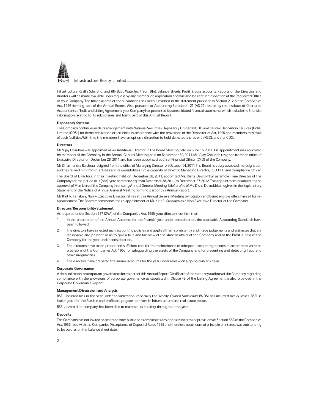

Infrastructure Realty Sdn. Bhd. and (III) BSEL Waterfront Sdn. Bhd. Balance Sheets, Profit & Loss accounts, Reports of the Directors and Auditors will be made available upon request by any member on application and will also be kept for inspection at the Registered Office of your Company. The financial data of the subsidiaries has been furnished in the statement pursuant to Section 212 of the Companies Act, 1956 forming part of the Annual Report. Also, pursuant to Accounting Standard - 21 (AS-21) issued by the Institute of Chartered Accountants of India and Listing Agreement, your Company has presented it's consolidated financial statements which include the financial information relating to its subsidiaries and forms part of this Annual Report.

#### Depository Systems

The Company continues with its arrangement with National Securities Depository Limited (NSDL) and Central Depository Services (India) Limited (CDSL) for dematerialization of securities in accordance with the provisions of the Depositories Act, 1995 and members may avail of such facilities. With this, the members have an option / discretion to hold demated shares with NSDL and / or CDSL.

#### **Directors**

Mr. Vijay Chauhan was appointed as an Additional Director in the Board Meeting held on June 16, 2011. His appointment was approved by members of the Company in the Annual General Meeting held on September 30, 2011. Mr. Vijay Chauhan resigned from the office of Executive Director on December 28, 2011 and has been appointed as Chief Financial Officer (CFO) of the Company.

Mr. Dharmendra Raichura resigned from the office of Managing Director on October 04, 2011. The Board has duly accepted his resignation and has relived him from his duties and responsibilities in the capacity of Director, Managing Director, CEO, CFO and Compliance Officer.

The Board of Directors, in their meeting held on December 28, 2011, appointed Ms. Disha Devrukhkar as Whole Time Director of the Company for the period of 1 (one) year commencing from December 28, 2011 to December 27, 2012. The appointment is subject to the approval of Members of the Company in ensuing Annual General Meeting. Brief profile of Ms. Disha Devrukhkar is given in the Explanatory Statement of the Notice of Annual General Meeting forming part of this Annual Report.

Mr. Kirit R. Kanakiya, Non - Executive Director, retires at this Annual General Meeting by rotation and being eligible offers himself for reappointment. The Board recommends the re-appointment of Mr. Kirit R. Kanakiya as a Non-Executive Director of the Company.

#### Directors' Responsibility Statement

As required under Section 217 (2AA) of the Companies Act, 1956, your directors' confirm that:-<br>1. In the preparation of the Annual Accounts for the financial year under consideration, th

- In the preparation of the Annual Accounts for the financial year under consideration, the applicable Accounting Standards have been followed.
- 2. The directors have selected such accounting policies and applied them consistently and made judgements and estimates that are reasonable and prudent so as to give a true and fair view of the state of affairs of the Company and of the Profit & Loss of the Company for the year under consideration.
- 3. The directors have taken proper and sufficient care for the maintenance of adequate accounting records in accordance with the provisions of the Companies Act, 1956 for safeguarding the assets of the Company and for preventing and detecting fraud and other irregularities.
- 4. The directors have prepared the annual accounts for the year under review on a going concern basis.

#### Corporate Governance

A detailed report on corporate governance forms part of this Annual Report. Certificate of the statutory auditors of the Company regarding compliance with the provisions of corporate governance as stipulated in Clause 49 of the Listing Agreement is also provided in the Corporate Governance Report.

#### Management Discussion and Analysis

BSEL incurred loss in the year under consideration; especially the Wholly Owned Subsidiary (WOS) has incurred heavy losses. BSEL is looking out for the feasible and profitable projects to invest in Infrastructure and real estate sector.

BSEL, a zero debt company, has been able to maintain its liquidity throughout the year.

#### **Deposits**

The Company has not invited or accepted from public or its employees any deposits in terms of provisions of Section 58A of the Companies Act, 1956, read with the Companies (Acceptance of Deposits) Rules, 1975 and therefore no amount of principle or interest was outstanding to be paid as on the balance sheet date.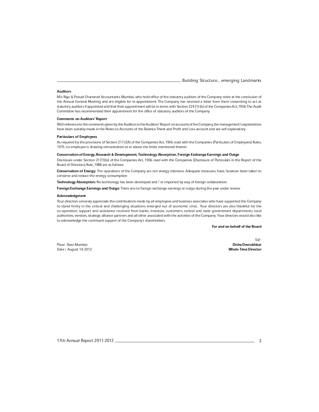#### Auditors

M/s Raju & Prasad Chartered Accountants, Mumbai, who hold office of the statutory auditors of the Company retire at the conclusion of the Annual General Meeting and are eligible for re-appointment. The Company has received a letter from them consenting to act as statutory auditors if appointed and that their appointment will be in terms with Section 224 (1) (b) of the Companies Act, 1956. The Audit Committee has recommended their appointment for the office of statutory auditors of the Company.

#### Comments on Auditors' Report

With reference to the comments given by the Auditors in the Auditors' Report on accounts of the Company, the management's explanations have been suitably made in the Notes to Accounts of the Balance Sheet and Profit and Loss account and are self explanatory.

#### Particulars of Employees

As required by the provisions of Section 217 (2A) of the Companies Act, 1956, read with the Companies (Particulars of Employees) Rules, 1975, no employee is drawing remuneration at or above the limits mentioned therein.

#### Conservation of Energy, Research & Development, Technology Absorption, Foreign Exchange Earnings and Outgo

Disclosure under Section 217(1)(e) of the Companies Act, 1956, read with the Companies (Disclosure of Particulars in the Report of the Board of Directors) Rule, 1988 are as follows:

Conservation of Energy: The operations of the Company are not energy intensive. Adequate measures, have, however been taken to conserve and reduce the energy consumption

Technology Absorption: No technology has been developed and / or imported by way of foreign collaboration.

Foreign Exchange Earnings and Outgo: There are no foreign exchange earnings or outgo during the year under review.

#### Acknowledgment

Your directors sincerely appreciate the contributions made by all employees and business associates who have supported the Company to stand firmly in the critical and challenging situations emerged out of economic crisis. Your directors are also thankful for the co-operation, support and assistance received from banks, investors, customers, central and state government departments, local authorities, vendors, strategic alliance partners and all other associated with the activities of the Company. Your directors would also like to acknowledge the continued support of the Company's shareholders.

#### For and on behalf of the Board

Place : Navi Mumbai **Disha Devrukhkar** Disha Devrukhkar Disha Devrukhkar Disha Devrukhkar Disha Devrukhkar Disha Devrukhkar Date : August 14, 2012 Whole Time Director

Sd/-<br>Disha Devrukhkar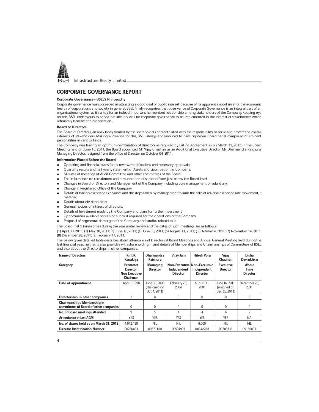

## CORPORATE GOVERNANCE REPORT

#### Corporate Governance - BSEL's Philosophy

Corporate governance has succeeded in attracting a good deal of public interest because of its apparent importance for the economic health of corporations and society in general. BSEL firmly recognises that observance of Corporate Governance is an integral part of an organisational system as it's a key for an indeed important harmonised relationship among stakeholders of the Company. Keeping eye on this, BSEL endeavours to adopt infallible policies for corporate governance to be implemented in the interest of stakeholders which ultimately benefits the organisation .

#### Board of Directors

The Board of Directors, an apex body formed by the shareholders and entrusted with the responsibility to serve and protect the overall interests of stakeholders. Making allowance for this, BSEL always endeavoured to have righteous Board panel composed of eminent personalities in various fields.

The Company was having an optimum combination of directors as required by Listing Agreement as on March 31, 2012. In the Board Meeting held on June 16, 2011, the Board appointed Mr. Vijay Chauhan as an Additional Executive Director. Mr. Dharmendra Raichura, Managing Director, resigned from the office of Director on October 04, 2011.

#### Information Placed Before the Board

- Operating and financial plans for its review, modifications and necessary approvals;
- Quarterly results and half yearly statement of Assets and Liabilities of the Company;
- Minutes of meetings of Audit Committee and other committees of the Board;
- The information on recruitment and remuneration of senior officers just below the Board level;
- Changes in Board of Directors and Management of the Company including core management of subsidiary.
- Change in Registered Office of the Company
- Details of foreign exchange exposures and the steps taken by management to limit the risks of adverse exchange rate movement, if material;
- Details about dividend data;
- General notices of interest of directors.
- Details of Investment made by the Company and plans for further investment
- Opportunities available for raising funds, if required, for the operations of the Company
- Proposal of segmental demerger of the Company and studies related to it.
- The Board met 9 (nine) times during the year under review and the dates of such meetings are as follows:

(1) April 30, 2011; (2) May 30, 2011; (3) June 16, 2011; (4) June 30, 2011; (5) August 11, 2011; (6) October 4, 2011; (7) November 14, 2011; (8) December 28, 2011; (9) February 14, 2011.

The below given detailed table describes about attendance of Directors at Board Meetings and Annual General Meeting held during the last financial year. Further, it also provides with shareholding in and details of Memberships and Chairmanships of Committees of BSEL and also about the Directorships in other companies.

| <b>Name of Directors</b>                                               | Kirit R.<br>Kanakiya                                      | <b>Dharmendra</b><br>Raichura                  | Vijay Jain                     | <b>Hitesh Vora</b>                                            | Vijay<br>Chauhan                                | <b>Disha</b><br><b>Devrukhkar</b> |
|------------------------------------------------------------------------|-----------------------------------------------------------|------------------------------------------------|--------------------------------|---------------------------------------------------------------|-------------------------------------------------|-----------------------------------|
| Category                                                               | Promoter<br>Director,<br><b>Non Executive</b><br>Chairman | <b>Managing</b><br><b>Director</b>             | Independent<br><b>Director</b> | Non-Executive Non-Executive<br>Independent<br><b>Director</b> | <b>Fxecutive</b><br><b>Director</b>             | Whole<br>Time<br><b>Director</b>  |
| Date of appointment                                                    | April 1, 1998                                             | June 30, 2006<br>(Resigned on<br>Oct. 4, 2011) | February 23,<br>2004           | August 31,<br>2001                                            | June 16, 2011<br>(resigned on<br>Dec. 28, 2011) | December 28.<br>2011              |
| Directorship in other companies                                        | 2                                                         |                                                | 0                              | $\Omega$                                                      | 0                                               | $\mathbf{0}$                      |
| Chairmanship / Membership in<br>committees of Board of other companies | $\Omega$                                                  | $\Omega$                                       | 0                              | 0                                                             | 0                                               | 0                                 |
| No. of Board meetings attended                                         | 9                                                         | 5                                              | 4                              | 4                                                             | 6                                               | 2                                 |
| <b>Attendance at last AGM</b>                                          | <b>YES</b>                                                | <b>YES</b>                                     | <b>YES</b>                     | <b>YES</b>                                                    | <b>YES</b>                                      | <b>NA</b>                         |
| No. of shares held as on March 31, 2012                                | 4.942.180                                                 | <b>NIL</b>                                     | <b>NIL</b>                     | 6.500                                                         | <b>NIL</b>                                      | <b>NIL</b>                        |
| <b>Director Identification Number</b>                                  | 00266631                                                  | 00371160                                       | 00594901                       | 00342768                                                      | 00388336                                        | 05156891                          |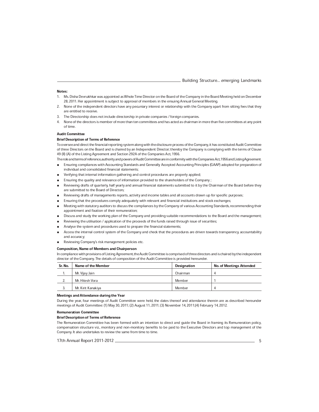#### Notes:

- 1. Ms. Disha Devrukhkar was appointed as Whole Time Director on the Board of the Company in the Board Meeting held on December 28, 2011. Her appointment is subject to approval of members in the ensuing Annual General Meeting.
- 2. None of the independent directors have any pecuniary interest or relationship with the Company apart from sitting fees that they are entitled to receive.
- 3. The Directorship does not include directorship in private companies / foreign companies.
- 4. None of the directors is member of more than ten committees and has acted as chairman in more than five committees at any point of time.

#### Audit Committee

#### Brief Description of Terms of Reference

To oversee and direct the financial reporting system along with the disclosure process of the Company, it has constituted Audit Committee of three Directors on the Board and is chaired by an Independent Director; thereby the Company is complying with the terms of Clause 49 (II) (A) of the Listing Agreement and Section 292A of the Companies Act, 1956.

The role and terms of reference, authority and powers of Audit Committee are in conformity with the Companies Act, 1956 and Listing Agreement.

- Ensuring compliances with Accounting Standards and Generally Accepted Accounting Principles (GAAP) adopted for preparation of individual and consolidated financial statements;
- Verifying that internal information gathering and control procedures are properly applied;
- Ensuring the quality and relevance of information provided to the shareholders of the Company ;
- Reviewing drafts of quarterly, half yearly and annual financial statements submitted to it by the Chairman of the Board before they are submitted to the Board of Directors;
- Reviewing drafts of managements reports, activity and income tables and all accounts drawn up for specific purposes;
- Ensuring that the procedures comply adequately with relevant and financial institutions and stock exchanges;
- Meeting with statutory auditors to discuss the compliances by the Company of various Accounting Standards, recommending their appointment and fixation of their remuneration;
- Discuss and study the working plan of the Company and providing suitable recommendations to the Board and the management;
- Reviewing the utilisation / application of the proceeds of the funds raised through issue of securities;
- Analyse the system and procedures used to prepare the financial statements;
- Access the internal control system of the Company and check that the procedures are driven towards transparency, accountability and accuracy;
- Reviewing Company's risk management policies etc.

#### Composition, Name of Members and Chairperson

In compliance with provisions of Listing Agreement, the Audit Committee is comprised of three directors and is chaired by the independent director of the Company. The details of composition of the Audit Committee is provided hereunder.

| Sr. No. | Name of the Member | <b>Designation</b> | <b>No. of Meetings Attended</b> |
|---------|--------------------|--------------------|---------------------------------|
| . .     | Mr. Vijay Jain     | Chairman           | Δ                               |
| z.      | Mr. Hitesh Vora    | Member             |                                 |
| J.      | Mr. Kirit Kanakiya | Member             | д                               |

#### Meetings and Attendance during the Year

During the year, four meetings of Audit Committee were held, the dates thereof and attendance therein are as described hereunder meetings of Audit Committee: (1) May 30, 2011; (2) August 11, 2011; (3) November 14, 2011;(4) February 14, 2012.

#### Remuneration Committee

#### Brief Description of Terms of Reference

The Remuneration Committee has been formed with an intention to direct and guide the Board in framing its Remuneration policy, compensation structure viz., monitory and non-monitory benefits to be paid to the Executive Directors and top management of the Company. It also undertakes to review the same from time to time.

17th Annual Report 2011-2012 5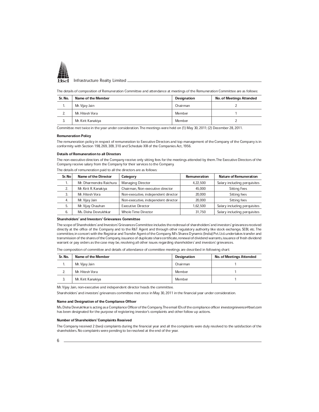

The details of composition of Remuneration Committee and attendance at meetings of the Remuneration Committee are as follows:

| Sr. No. | Name of the Member | <b>Designation</b> | <b>No. of Meetings Attended</b> |
|---------|--------------------|--------------------|---------------------------------|
| Ι.      | Mr. Vijay Jain     | Chairman           |                                 |
| 2.      | Mr. Hitesh Vora    | Member             |                                 |
| 3.      | Mr. Kirit Kanakiya | Member             |                                 |

Committee met twice in the year under consideration. The meetings were held on (1) May 30, 2011; (2) December 28, 2011.

#### Remuneration Policy

The remuneration policy in respect of remuneration to Executive Directors and top management of the Company of the Company is in conformity with Section 198, 269, 309, 310 and Schedule XIII of the Companies Act, 1956.

#### Details of Remuneration to all Directors

The non-executive directors of the Company receive only sitting fees for the meetings attended by them. The Executive Directors of the Company receive salary from the Company for their services to the Company.

| The details of remuneration paid to all the directors are as follows: |  |  |  |  |
|-----------------------------------------------------------------------|--|--|--|--|
|-----------------------------------------------------------------------|--|--|--|--|

| Sr. No | <b>Name of the Director</b> | Category                            | <b>Remuneration</b> | <b>Nature of Remuneration</b> |
|--------|-----------------------------|-------------------------------------|---------------------|-------------------------------|
| п.     | Mr. Dharmendra Raichura     | Managing Director                   | 4,22,500            | Salary including perquisites  |
|        | Mr. Kirit R. Kanakiya       | Chairman, Non-executive director    | 45.000              | <b>Sitting Fees</b>           |
|        | Mr. Hitesh Vora             | Non-executive, independent director | 20,000              | Sitting fees                  |
| 4.     | Mr. Vijay Jain              | Non-executive, independent director | 20,000              | Sitting fees                  |
| 5.     | Mr. Vijay Chauhan           | <b>Executive Director</b>           | 1.62.500            | Salary including perquisites  |
| 6.     | Ms. Disha Devrukhkar        | <b>Whole Time Director</b>          | 31.750              | Salary including perquisites  |

#### Shareholders' and Investors' Grievances Committee

The scope of Shareholders' and Investors' Grievances Committee includes the redressal of shareholders' and investors' grievances received directly at the office of the Company and to the R&T Agent and through other regulatory authority like stock exchange, SEBI, etc. The committee, in concert with the Registrar and Transfer Agent of the Company, M/s Sharex Dynamic (India) Pvt. Ltd. undertakes transfer and transmission of the shares of the Company, issuance of duplicate share certificate, renewal of dividend warrants, issuance of fresh dividend warrant or pay orders as the case may be, resolving all other issues regarding shareholders' and investors' grievances.

The composition of committee and details of attendance of committee meetings are described in following chart:

| Sr. No. | <b>Name of the Member</b> | <b>Designation</b> | <b>No. of Meetings Attended</b> |
|---------|---------------------------|--------------------|---------------------------------|
|         | Mr. Vijay Jain            | Chairman           |                                 |
| 2.      | Mr. Hitesh Vora           | Member             |                                 |
| 3.      | Mr. Kirit Kanakiya        | Member             |                                 |

Mr. Vijay Jain, non-executive and independent director heads the committee.

Shareholders' and investors' grievances committee met once in May 30, 2011 in the financial year under consideration.

#### Name and Designation of the Compliance Officer

Ms. Disha Devrukhkar is acting as a Compliance Officer of the Company. The email IDs of the compliance officer investorgrievence@bsel.com has been designated for the purpose of registering investor's complaints and other follow up actions.

#### Number of Shareholders' Complaints Received

The Company received 2 (two) complaints during the financial year and all the complaints were duly resolved to the satisfaction of the shareholders. No complaints were pending to be resolved at the end of the year.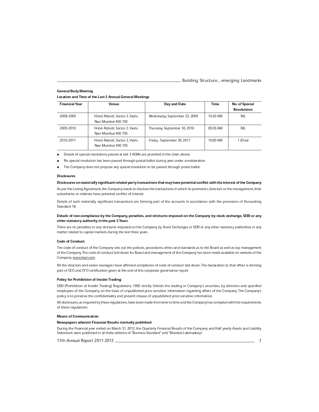#### General Body Meeting

Location and Time of the Last 3 Annual General Meetings

| <b>Financial Year</b> | Venue                                                 | Day and Date                  | Time     | <b>No. of Special</b><br><b>Resolutions</b> |
|-----------------------|-------------------------------------------------------|-------------------------------|----------|---------------------------------------------|
| 2008-2009             | Hotel Abbott, Sector 2, Vashi,<br>Navi Mumbai 400 703 | Wednesday, September 23, 2009 | 10.30 AM | <b>NIL</b>                                  |
| 2009-2010             | Hotel Abbott, Sector 2, Vashi,<br>Navi Mumbai 400 703 | Thursday, September 30, 2010  | 09.30 AM | NIL                                         |
| 2010-2011             | Hotel Abbott, Sector 2, Vashi,<br>Navi Mumbai 400 703 | Friday, September 30, 2011    | 10.00 AM | 1 (One)                                     |

- Details of special resolutions passed at last 3 AGMs are provided in the chart above.
- No special resolution has been passed through postal ballot during year under consideration.
- The Company does not propose any special resolution to be passed through postal ballot.

#### **Disclosures**

#### Disclosures on materially significant related party transactions that may have potential conflict with the interest of the Company

As per the Listing Agreement, the Company needs to disclose the transactions in which its promoters, directors or the management, their subsidiaries or relatives have potential conflict of interest.

Details of such materially significant transactions are forming part of the accounts in accordance with the provisions of Accounting Standard 18.

#### Details of non-compliance by the Company, penalties, and strictures imposed on the Company by stock exchange, SEBI or any other statutory authority in the past 3 Years

There are no penalties or any strictures imposed on the Company by Stock Exchanges or SEBI or any other statutory authorities in any matter related to capital markets during the last three years.

#### Code of Conduct:

The code of conduct of the Company sets out the policies, procedures, ethics and standards as to the Board as well as top management of the Company. The code of conduct laid down for Board and management of the Company has been made available on website of the Company www.bsel.com.

All the directors and senior managers have affirmed compliance of code of conduct laid down. The declaration to that effect is forming part of CEO and CFO certification given at the end of this corporate governance report.

#### Policy for Prohibition of Insider Trading:

SEBI (Prohibition of Insider Trading) Regulations, 1992 strictly forbids the trading in Company's securities, by directors and specified employees of the Company, on the basis of unpublished price sensitive information regarding affairs of the Company. The Company's policy is to preserve the confidentiality and prevent misuse of unpublished price sensitive information.

All disclosures, as required by these regulations, have been made from time to time and the Company has complied with the requirements of these regulations.

#### Means of Communication

#### Newspapers wherein Financial Results normally published

During the Financial year ended on March 31, 2012, the Quarterly Financial Results of the Company and Half yearly Assets and Liability Statement were published in all India editions of "Business Standard" and "Mumbai Lakshadeep".

17th Annual Report 2011-2012 7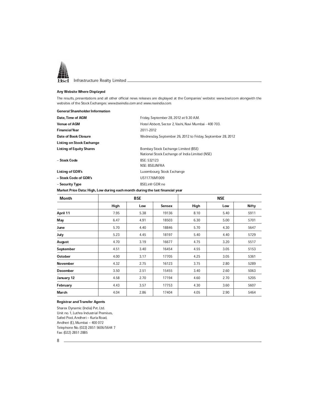

## Any Website Where Displayed

The results, presentations and all other official news releases are displayed at the Companies' website: www.bsel.com alongwith the websites of the Stock Exchanges: www.bseindia.com and www.nseindia.com.

| <b>General Shareholder Information</b> |                                                             |
|----------------------------------------|-------------------------------------------------------------|
| Date, Time of AGM                      | Friday, September 28, 2012 at 9.30 A.M.                     |
| <b>Venue of AGM</b>                    | Hotel Abbott, Sector 2, Vashi, Navi Mumbai - 400 703.       |
| <b>Financial Year</b>                  | 2011-2012                                                   |
| Date of Book Closure                   | Wednesday, September 26, 2012 to Friday, September 28, 2012 |
| Listing on Stock Exchange              |                                                             |
| <b>Listing of Equity Shares</b>        | Bombay Stock Exchange Limited (BSE)                         |
|                                        | National Stock Exchange of India Limited (NSE)              |
| - Stock Code                           | BSE: 532123                                                 |
|                                        | <b>NSE: BSELINFRA</b>                                       |
| <b>Listing of GDR's</b>                | Luxembourg Stock Exchange                                   |
| - Stock Code of GDR's                  | US11776M1009                                                |
| - Security Type                        | <b>BSELinfr GDR ne</b>                                      |
|                                        |                                                             |

Market Price Data: High, Low during each month during the last financial year

| <b>Month</b>    | <b>BSE</b> |      |               | <b>NSE</b> |      |              |
|-----------------|------------|------|---------------|------------|------|--------------|
|                 | High       | Low  | <b>Sensex</b> | High       | Low  | <b>Nifty</b> |
| April 11        | 7.95       | 5.38 | 19136         | 8.10       | 5.40 | 5911         |
| May             | 6.47       | 4.91 | 18503         | 6.30       | 5.00 | 5701         |
| June            | 5.70       | 4.40 | 18846         | 5.70       | 4.30 | 5647         |
| July            | 5.23       | 4.45 | 18197         | 5.40       | 4.40 | 5729         |
| August          | 4.70       | 3.19 | 16677         | 4.75       | 3.20 | 5517         |
| September       | 4.51       | 3.40 | 16454         | 4.55       | 3.05 | 5153         |
| <b>October</b>  | 4.00       | 3.17 | 17705         | 4.25       | 3.05 | 5361         |
| <b>November</b> | 4.32       | 2.75 | 16123         | 3.75       | 2.80 | 5289         |
| <b>December</b> | 3.50       | 2.51 | 15455         | 3.40       | 2.60 | 5063         |
| January 12      | 4.58       | 2.70 | 17194         | 4.60       | 2.70 | 5205         |
| February        | 4.43       | 3.57 | 17753         | 4.30       | 3.60 | 5607         |
| <b>March</b>    | 4.04       | 2.86 | 17404         | 4.05       | 2.90 | 5464         |

#### Registrar and Transfer Agents

Sharex Dynamic (India) Pvt. Ltd. Unit no. 1, Luthra Industrial Premises, Safed Pool, Andheri - Kurla Road, Andheri (E), Mumbai - 400 072 Telephone No. (022) 2851 5606/5644 7 Fax: (022) 2851 2885

 $\sim$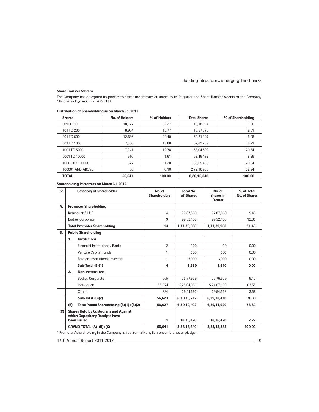## Share Transfer System

The Company has delegated its powers to effect the transfer of shares to its Registrar and Share Transfer Agents of the Company M/s. Sharex Dynamic (India) Pvt. Ltd.

| <b>Shares</b>    | No. of Holders | % of Holders | <b>Total Shares</b> | % of Shareholding |
|------------------|----------------|--------------|---------------------|-------------------|
| <b>UPTO 100</b>  | 18.277         | 32.27        | 13.18.924           | 1.60              |
| 101 TO 200       | 8.934          | 15.77        | 16.57.373           | 2.01              |
| 201 TO 500       | 12.686         | 22.40        | 50,21,297           | 6.08              |
| 501 TO 1000      | 7.860          | 13.88        | 67.82.759           | 8.21              |
| 1001 TO 5000     | 7.241          | 12.78        | 1,68,04,692         | 20.34             |
| 5001 TO 10000    | 910            | 1.61         | 68.49.432           | 8.29              |
| 10001 TO 100000  | 677            | 1.20         | 1.69.65.430         | 20.54             |
| 100001 AND ABOVE | 56             | 0.10         | 2.72.16.933         | 32.94             |
| <b>TOTAL</b>     | 56.641         | 100.00       | 8,26,16,840         | 100.00            |

## Distribution of Shareholding as on March 31, 2012

#### Shareholding Pattern as on March 31, 2012

| Sr.       | <b>Category of Shareholder</b>                                                                | No. of<br><b>Shareholders</b> | <b>Total No.</b><br>of Shares | No. of<br><b>Shares</b> in<br><b>Demat</b> | % of Total<br>No. of Shares |
|-----------|-----------------------------------------------------------------------------------------------|-------------------------------|-------------------------------|--------------------------------------------|-----------------------------|
| Α.        | <b>Promoter Shareholding</b>                                                                  |                               |                               |                                            |                             |
|           | Individuals/HUF                                                                               | 4                             | 77.87.860                     | 77.87.860                                  | 9.43                        |
|           | <b>Bodies Corporate</b>                                                                       | 9                             | 99.52.108                     | 99.52.108                                  | 12.05                       |
|           | <b>Total Promoter Shareholding</b>                                                            | 13                            | 1,77,39,968                   | 1,77,39,968                                | 21.48                       |
| <b>B.</b> | <b>Public Shareholding</b>                                                                    |                               |                               |                                            |                             |
|           | 1.<br><b>Institutions</b>                                                                     |                               |                               |                                            |                             |
|           | Financial Institutions / Banks                                                                | $\overline{2}$                | 190                           | 10 <sup>1</sup>                            | 0.00                        |
|           | Venture Capital Funds                                                                         | 1                             | 500                           | 500                                        | 0.00                        |
|           | Foreign Institutional Investors                                                               | 1                             | 3,000                         | 3,000                                      | 0.00                        |
|           | Sub-Total (B)(1)                                                                              | 4                             | 3,690                         | 3.510                                      | 0.00                        |
|           | 2.<br><b>Non-institutions</b>                                                                 |                               |                               |                                            |                             |
|           | <b>Bodies Corporate</b>                                                                       | 665                           | 75,77,939                     | 75,76,679                                  | 9.17                        |
|           | <b>Individuals</b>                                                                            | 55,574                        | 5.25.04.081                   | 5,24,07,199                                | 63.55                       |
|           | Other                                                                                         | 384                           | 29,54,692                     | 29,54,532                                  | 3.58                        |
|           | Sub-Total (B)(2)                                                                              | 56,623                        | 6,30,36,712                   | 6,29,38,410                                | 76.30                       |
|           | (B)<br>Total Public Shareholding (B)(1)+(B)(2)                                                | 56,627                        | 6,30,40,402                   | 6,29,41,920                                | 76.30                       |
| (C)       | <b>Shares Held by Custodians and Against</b><br>which Depository Receipts have<br>been Issued | 1                             | 18,36,470                     | 18,36,470                                  | 2.22                        |
|           | GRAND TOTAL (A)+(B)+(C)                                                                       | 56,641                        | 8,26,16,840                   | 8,25,18,358                                | 100.00                      |

\* Promoters' shareholding in the Company is free from all/ any lien, encumbrance or pledge.

17th Annual Report 2011-2012 9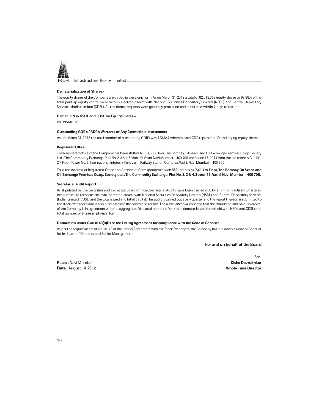

#### Dematerialization of Shares:-

The equity shares of the Company are traded in electronic form. As on March 31, 2012 a total of 82,518,358 equity shares or 99.88% of the total paid up equity capital were held in electronic form with National Securities Depository Limited (NSDL) and Central Depository Services (India) Limited (CDSL). All the demat requests were generally processed and confirmed within 7 days of receipt.

#### Demat ISIN in NSDL and CDSL for Equity Shares -

INE395A01016

#### Outstanding GDR's / ADR's Warrants or Any Convertible Instruments

As on March 31, 2012 the total number of outstanding GDR's was 183,647 wherein each GDR represents 10 underlying equity shares.

#### Registered Office

The Registered office of the Company has been shifted to 737, 7th Floor, The Bombay Oil Seeds and Oil Exchange Premises Co.op. Society Ltd., The Commodity Exchange, Plot No. 2, 3 & 4, Sector 19, Vashi, Navi Mumbai - 400 705 w.e.f. June 16, 2011 from the old address G - 101, 2<sup>nd</sup> Floor, Tower No. 7, International Infotech Park, Vashi Railway Station Complex, Vashi, Navi Mumbai – 400 705.

Thus the Address of Registered Office and Address of Correspondence with BSEL stands as 737, 7th Floor, The Bombay Oil Seeds and Oil Exchange Premises Co.op. Society Ltd. , The Commodity Exchange, Plot No. 2, 3 & 4, Sector 19, Vashi, Navi Mumbai ± 400 705.

#### Secretarial Audit Report

As stipulated by the Securities and Exchange Board of India, Secretarial Audits have been carried out, by a firm of Practising Chartered Accountant, to reconcile the total admitted capital with National Securities Depository Limited (NSDL) and Central Depository Services (India) Limited (CDSL) and the total issued and listed capital. This audit is carried out every quarter and the report thereon is submitted to the stock exchanges and is also placed before the board of directors. The audit, inter alia, confirms that the total listed and paid-up capital of the Company is in agreement with the aggregate of the total number of shares in dematerialized form (held with NSDL and CDSL) and total number of shares in physical form.

#### Declaration under Clause 49(I)(D) of the Listing Agreement for compliance with the Code of Conduct

As per the requirements of Clause 49 of the Listing Agreement with the Stock Exchanges, the Company has laid down a Code of Conduct for its Board of Directors and Senior Management.

For and on behalf of the Board

**Date: August 14, 2012** 

Sd/-<br>**Disha Devrukhkar** Place : Navi Mumbai Disha Devrukhkar<br>
Disha Devrukhkar<br>
Disha Devrukhkar<br>
Disha Devrukhkar

10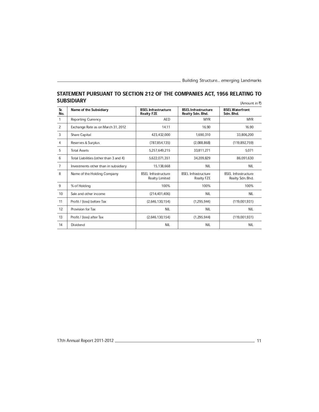|                |                                        |                                                     |                                                 | (Amount in K)                                  |
|----------------|----------------------------------------|-----------------------------------------------------|-------------------------------------------------|------------------------------------------------|
| Sr.<br>No.     | <b>Name of the Subsidiary</b>          | <b>BSEL Infrastructure</b><br><b>Realty FZE</b>     | <b>BSEL Infrastructure</b><br>Realty Sdn. Bhd.  | <b>BSEL Waterfront</b><br>Sdn. Bhd.            |
| $\mathbf{1}$   | <b>Reporting Currency</b>              | <b>AED</b>                                          | <b>MYR</b>                                      | <b>MYR</b>                                     |
| 2              | Exchange Rate as on March 31, 2012     | 14.11                                               | 16.90                                           | 16.90                                          |
| 3              | Share Capital                          | 423,432,000                                         | 1,690,310                                       | 33,806,200                                     |
| 4              | Reserves & Surplus                     | (787, 854, 135)                                     | (2,088,868)                                     | (119,892,759)                                  |
| 5              | <b>Total Assets</b>                    | 5,257,649,215                                       | 33,811,271                                      | 5,071                                          |
| 6              | Total Liabilities (other than 3 and 4) | 5,622,071,351                                       | 34,209,829                                      | 86,091,630                                     |
| $\overline{7}$ | Investments other than in subsidiary   | 15,138,668                                          | <b>NIL</b>                                      | <b>NIL</b>                                     |
| 8              | Name of the Holding Company            | <b>BSEL Infrastructure</b><br><b>Realty Limited</b> | <b>BSEL Infrastructure</b><br><b>Realty FZE</b> | <b>BSEL Infrastructure</b><br>Realty Sdn. Bhd. |
| 9              | % of Holding                           | 100%                                                | 100%                                            | 100%                                           |
| 10             | Sale and other income                  | (214, 401, 406)                                     | <b>NIL</b>                                      | <b>NIL</b>                                     |
| 11             | Profit / (loss) before Tax             | (2,646,130,154)                                     | (1,295,944)                                     | (119,001,931)                                  |
| 12             | Provision for Tax                      | <b>NIL</b>                                          | <b>NIL</b>                                      | <b>NIL</b>                                     |
| 13             | Profit / (loss) after Tax              | (2,646,130,154)                                     | (1, 295, 944)                                   | (119,001,931)                                  |
| 14             | Dividend                               | <b>NIL</b>                                          | <b>NIL</b>                                      | <b>NIL</b>                                     |

#### STATEMENT PURSUANT TO SECTION 212 OF THE COMPANIES ACT, 1956 RELATING TO SUBSIDIARY  $(\Lambda_{\text{mount in}})$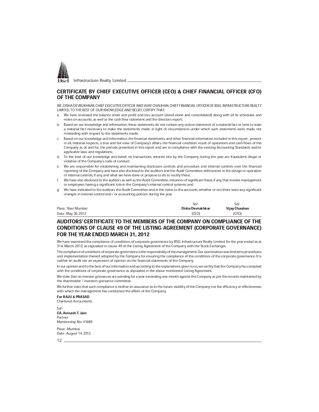

## CERTIFICATE BY CHIEF EXECUTIVE OFFICER (CEO) & CHIEF FINANCIAL OFFICER (CFO) OF THE COMPANY

WE, DISHA DEVRUKHKAR, CHIEF EXECUTIVE OFFICER AND VIJAY CHAUHAN, CHIEF FINANCIAL OFFICER OF BSEL INFRASTRUCTURE REALTY LIMITED, TO THE BEST OF OUR KNOWLEDGE AND BELIEF, CERTIFY THAT:

- a. We have reviewed the balance sheet and profit and loss account (stand alone and consolidated) along with all its schedules and notes on accounts, as well as the cash flow statement and the directors report;
- b. Based on our knowledge and information, these statements do not contain any untrue statement of a material fact or omit to state a material fact necessary to make the statements made, in light of circumstances under which such statements were made, not misleading with respect to the statements made;
- c. Based on our knowledge and information, the financial statements, and other financial information included in this report , present in all, material respects, a true and fair view of Company's affairs, the financial condition, result of operations and cash flows of the Company as of, and for, the periods presented in this report and are in compliance with the existing Accounting Standards and/or applicable laws and regulations;
- d. To the best of our knowledge and belief, no transactions entered into by the Company during the year are fraudulent, illegal or violative of the Company's code of conduct.
- e. We are responsible for establishing and maintaining disclosure controls and procedure and internal controls over the financial reporting of the Company and have also disclosed to the auditors and the Audit Committee, deficiencies in the design or operation of internal controls, if any, and what we have done or propose to do to rectify these;
- f. We have also disclosed to the auditors as well as the Audit Committee, instances of significant fraud, if any, that involve management or employees having a significant role in the Company's internal control systems; and
- g. We have indicated to the auditors, the Audit Committee and in the notes to the accounts, whether or not there were any significant changes in internal control and / or accounting policies during the year.

|                     | Sd/-             | Sd/-          |
|---------------------|------------------|---------------|
| Place : Navi Mumbai | Disha Devrukhkar | Vijay Chauhan |
| Date: May 30, 2012  | (CEO)            | (CFO)         |

## AUDITORS' CERTIFICATE TO THE MEMBERS OF THE COMPANY ON COMPLIANCE OF THE CONDITIONS OF CLAUSE 49 OF THE LISTING AGREEMENT (CORPORATE GOVERNANCE) FOR THE YEAR ENDED MARCH 31, 2012

We have examined the compliance of conditions of corporate governance by BSEL Infrastructure Realty Limited, for the year ended as at 31st March, 2012, as stipulated in clause 49 of the Listing Agreement of the Company with the Stock Exchanges.

The compliance of conditions of corporate governance is the responsibility of the management. Our examination was limited to procedures and implementation thereof, adopted by the Company for ensuring the compliance of the conditions of the corporate governance. It is neither an audit nor an expression of opinion on the financial statements of the Company.

In our opinion and to the best of our information and according to the explanations given to us, we certify that the Company has complied with the conditions of corporate governance as stipulated in the above mentioned Listing Agreement.

We state that no investor grievances are pending for a year exceeding one month against the Company as per the records maintained by the shareholder / investors grievance committee.

We further state that such compliance is neither an assurance as to the future viability of the Company nor the efficiency or effectiveness with which the management has conducted the affairs of the Company.

For RAJU & PRASAD

Chartered Accountants

Sd/- CA. Avinash T. Jain Partner Membership No: 41689

Place : Mumbai Date : August 14, 2012

 $12<sub>-</sub>$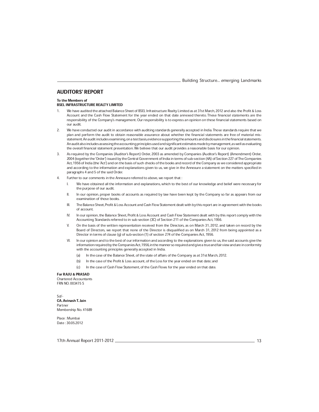## AUDITORS' REPORT

#### To the Members of

### BSEL INFRASTRUCTURE REALTY LIMITED

- 1. We have audited the attached Balance Sheet of BSEL Infrastructure Realty Limited as at 31st March, 2012 and also the Profit & Loss Account and the Cash Flow Statement for the year ended on that date annexed thereto. These financial statements are the responsibility of the Company's management. Our responsibility is to express an opinion on these financial statements based on our audit.
- 2. We have conducted our audit in accordance with auditing standards generally accepted in India. Those standards require that we plan and perform the audit to obtain reasonable assurance about whether the financial statements are free of material misstatement. An audit includes examining, on a test basis, evidence supporting the amounts and disclosures in the financial statements. An audit also includes assessing the accounting principles used and significant estimates made by management, as well as evaluating the overall financial statement presentation. We believe that our audit provides a reasonable basis for our opinion.
- 3. As required by the Companies (Auditor's Report) Order, 2003 as amended by Companies (Auditor's Report) (Amendment) Order, 2004 (together the `Order') issued by the Central Government of India in terms of sub-section (4A) of Section 227 of The Companies Act, 1956 of India (the `Act') and on the basis of such checks of the books and record of the Company as we considered appropriate and according to the information and explanations given to us, we give in the Annexure a statement on the matters specified in paragraphs 4 and 5 of the said Order.
- 4. Further to our comments in the Annexure referred to above, we report that :
	- I. We have obtained all the information and explanations, which to the best of our knowledge and belief were necessary for the purpose of our audit.
	- II. In our opinion, proper books of accounts as required by law have been kept by the Company so far as appears from our examination of those books.
	- III. The Balance Sheet, Profit & Loss Account and Cash Flow Statement dealt with by this report are in agreement with the books of account.
	- IV. In our opinion, the Balance Sheet, Profit & Loss Account and Cash Flow Statement dealt with by this report comply with the Accounting Standards referred to in sub-section (3C) of Section 211 of the Companies Act, 1956.
	- V. On the basis of the written representation received from the Directors, as on March 31, 2012, and taken on record by the Board of Directors, we report that none of the Director is disqualified as on March 31, 2012 from being appointed as a Director in terms of clause (g) of sub-section (1) of section 274 of the Companies Act, 1956.
	- VI. In our opinion and to the best of our information and according to the explanations given to us, the said accounts give the information required by the Companies Act, 1956, in the manner so required and give a true and fair view and are in conformity with the accounting principles generally accepted in India.
		- (a) In the case of the Balance Sheet, of the state of affairs of the Company as at 31st March, 2012.
		- (b) In the case of the Profit & Loss account, of the Loss for the year ended on that date; and
		- (c) In the case of Cash Flow Statement, of the Cash Flows for the year ended on that date.

#### For RAJU & PRASAD

Chartered Accountants FRN NO. 003475 S

Sd/- CA. Avinash T. Jain Partner Membership No. 41689

Place : Mumbai Date : 30.05.2012

17th Annual Report 2011-2012 13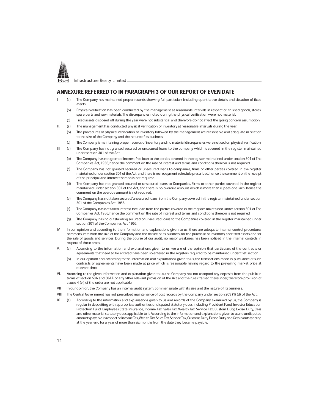

## ANNEXURE REFERRED TO IN PARAGRAPH 3 OF OUR REPORT OF EVEN DATE

- I. (a) The Company has maintained proper records showing full particulars including quantitative details and situation of fixed assets.
	- (b) Physical verification has been conducted by the management at reasonable intervals in respect of finished goods, stores, spare parts and raw materials. The discrepancies noted during the physical verification were not material.
	- (c) Fixed assets disposed off during the year were not substantial and therefore do not affect the going concern assumption.
- II. (a) The management has conducted physical verification of inventory at reasonable intervals during the year.
	- (b) The procedures of physical verification of inventory followed by the management are reasonable and adequate in relation to the size of the Company and the nature of its business.
	- (c) The Company is maintaining proper records of inventory and no material discrepancies were noticed on physical verification.
- III. (a) The Company has not granted secured or unsecured loans to the company which is covered in the register maintained under section 301 of the Act.
	- (b) The Company has not granted interest free loan to the parties covered in the register maintained under section 301 of The Companies Act, 1956, hence the comment on the rate of interest and terms and conditions thereon is not required.
	- (c) The Company has not granted secured or unsecured loans to companies, firms or other parties covered in the register maintained under section 301 of the Act, and there is no repayment schedule prescribed, hence the comment on the receipt of the principal and interest thereon is not required.
	- (d) The Company has not granted secured or unsecured loans to Companies, Firms or other parties covered in the register maintained under section 301 of the Act, and there is no overdue amount which is more than rupees one lakh, hence the comment on the overdue amount is not required.
	- (e) The Company has not taken secured/unsecured loans from the Company covered in the register maintained under section 301 of the Companies Act, 1956.
	- (f) The Company has not taken interest free loan from the parties covered in the register maintained under section 301 of The Companies Act, 1956, hence the comment on the rate of interest and terms and conditions thereon is not required.
	- (g) The Company has no outstanding secured or unsecured loans to the Companies covered in the register maintained under section 301 of the Companies Act, 1956.
- IV. In our opinion and according to the information and explanations given to us, there are adequate internal control procedures commensurate with the size of the Company and the nature of its business, for the purchase of inventory and fixed assets and for the sale of goods and services. During the course of our audit, no major weakness has been noticed in the internal controls in respect of these areas.
- V. (a) According to the information and explanations given to us, we are of the opinion that particulars of the contracts or agreements that need to be entered have been so entered in the registers required to be maintained under that section.
	- (b) In our opinion and according to the information and explanations given to us, the transactions made in pursuance of such contracts or agreements have been made at price which is reasonable having regard to the prevailing market price at relevant time.
- VI. According to the given information and explanation given to us, the Company has not accepted any deposits from the public in terms of section 58A and 58AA or any other relevant provision of the Act and the rules framed thereunder, therefore provision of clause 4 (vi) of the order are not applicable.
- VII. In our opinion, the Company has an internal audit system, commensurate with its size and the nature of its business.
- VIII. The Central Government has not prescribed maintenance of cost records by the Company under section 209 (1) (d) of the Act.
- IX. (a) According to the information and explanations given to us and records of the Company examined by us, the Company is regular in depositing with appropriate authorities undisputed statutory dues including Provident Fund, Investor Education Protection Fund, Employees State Insurance, Income Tax, Sales Tax, Wealth Tax, Service Tax, Custom Duty, Excise Duty, Cess and other material statutory dues applicable to it. According to the information and explanations given to us, no undisputed amounts payable in respect of Income Tax, Wealth Tax, Sales Tax, Service Tax, Customs Duty, Excise Duty and Cess is outstanding at the year end for a year of more than six months from the date they became payable.
- 14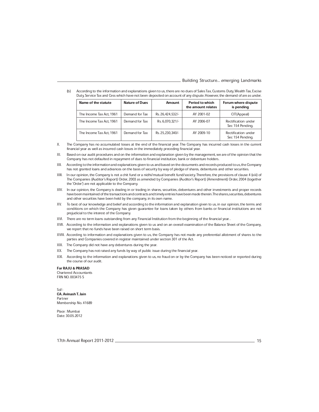(b) According to the information and explanations given to us, there are no dues of Sales Tax, Customs Duty, Wealth Tax, Excise Duty, Service Tax and Cess which have not been deposited on account of any dispute. However, the demand of are as under.

| Name of the statute      | <b>Nature of Dues</b> | Amount           | <b>Period to which</b><br>the amount relates | Forum where dispute<br>is pending       |
|--------------------------|-----------------------|------------------|----------------------------------------------|-----------------------------------------|
| The Income Tax Act. 1961 | Demand for Tax        | Rs. 26.424.532/- | AY 2001-02                                   | CIT(Appeal)                             |
| The Income Tax Act. 1961 | Demand for Tax        | Rs. 6.070.321/-  | AY 2006-07                                   | Rectification under<br>Sec 154 Pending. |
| The Income Tax Act. 1961 | Demand for Tax        | Rs. 25.230.340/- | AY 2009-10                                   | Rectification under<br>Sec 154 Pending. |

X. The Company has no accumulated losses at the end of the financial year. The Company has incurred cash losses in the current financial year as well as incurred cash losses in the immediately preceding financial year.

- XI. Based on our audit procedures and on the information and explanation given by the management, we are of the opinion that the Company has not defaulted in repayment of dues to financial institution, bank or debenture holders.
- XII. According to the information and explanations given to us and based on the documents and records produced to us, the Company has not granted loans and advances on the basis of security by way of pledge of shares, debentures and other securities.
- XIII. In our opinion, the Company is not a chit fund or a nidhi/mutual benefit fund/society. Therefore, the provisions of clause 4 (xiii) of The Companies (Auditor's Report) Order, 2003 as amended by Companies (Auditor's Report) (Amendment) Order, 2004 (together the `Order') are not applicable to the Company.
- XIV. In our opinion, the Company is dealing in or trading in shares, securities, debentures and other investments and proper records have been maintained of the transactions and contracts and timely entries have been made therein. The shares, securities, debentures and other securities have been held by the company, in its own name.
- XV. To best of our knowledge and belief and according to the information and explanation given to us, in our opinion, the terms and conditions on which the Company has given guarantee for loans taken by others from banks or financial institutions are not prejudicial to the interest of the Company.
- XVI. There are no term loans outstanding from any Financial Institution from the beginning of the financial year. .
- XVII. According to the information and explanations given to us and on an overall examination of the Balance Sheet of the Company, we report that no funds have been raised on short term basis.
- XVIII. According to information and explanations given to us, the Company has not made any preferential allotment of shares to the parties and Companies covered in register maintained under section 301 of the Act.
- XIX. The Company did not have any debentures during the year.
- XX. The Company has not raised any funds by way of public issue during the financial year.
- XXI. According to the information and explanations given to us, no fraud on or by the Company has been noticed or reported during the course of our audit.

For RAJU & PRASAD Chartered Accountants

FRN NO. 003475 S

Sd/- CA. Avinash T. Jain Partner Membership No. 41689

Place : Mumbai Date: 30.05.2012

17th Annual Report 2011-2012 15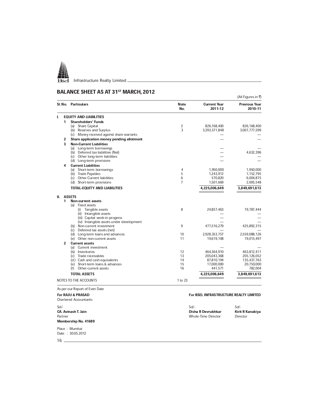

## BALANCE SHEET AS AT 31<sup>ST</sup> MARCH, 2012

(All Figures in  $\overline{\tau}$ ) SI. No. Particulars and the current Vear Current Year Previous Year Previous Year Previous Year Previous Year<br>No. 2011-12 2010-11 2011-12 I. EQUITY AND LIABILITIES<br>1 Shareholders' Funds Shareholders' Funds (a) Share Capital 2 826,168,400 826,168,400 826,168,400 826,168,400 826,168,400 826,168,400 826,168,400 826,168,400 826,168,400 826,168,400 826,168,400 826,168,400 826,168,400 826,168,400 826,168,400 826,168,400 826,177,59 (b) Reserves and Surplus (c) Money received against share warrants 2 Share application money pending allotment<br>3 Non-Current Liabilities **Non-Current Liabilities** (a) Long-term borrowings – and the set of the set of the set of the set of the set of the set of the set of the set of the set of the set of the set of the set of the set of the set of the set of the set of the set of the (b) Deferred tax liabilities (Net)  $-$ <br>
(c) Other long-term liabilities  $-$ (c) Other long-term liabilities (d) Long-term provisions 4 Current Liabilities (a) Short-term borrowings (a) Short-term borrowings (a) Short-term borrowings (a)  $4$  1,950,000 1,950,000 1,950,000 1,950,000 1,950,000 1,950,000 1,950,000 1,950,000 1,950,000 1,950,000 1,950,000 1,950,000 1,950,000 1,950, (b) Trade Payables (b) Trade Payables (c) Other Current liabilities (c) 0ther Current liabilities (c) 0ther Current liabilities (c) 0ther Current liabilities (c) 0ther Current liabilities (c) 0ther Current liabilities (c) (c) Other Current liabilities 1.6 of the contract of the current liabilities 6 6,004,875<br>
Short-term provisions 1.501,669 6,005,548 (d) Short-term provisions TOTAL-EQUITY AND LIABILITIES 4,225,006,649 3,849,691,613 II. ASSETS **Non-current assets** (a) Fixed assets (i) Tangible assets 8 24,857,463 19,787,444  $\overline{a}$  19,787,444  $\overline{b}$ (ii) Intangible assets Ð Ð (iii) Capital work-in-progress (iv) Intangible assets under development  $\equiv$  $\equiv$ (b) Non-current investment 100 in the state of the state of the state of the state of the state of the state of the state of the state of the state of the state of the state of the state of the state of the state of the st — Deferred tax assets (net)  $-$ <br>
Long-term loans and advances  $-$  0  $-$  0  $2,928,353,757$   $2,559,088,126$ (d) Long-term loans and advances 10 10 2,928,353,757 2,559,088,126<br>
(e) Other non-current assets 10 2,928,353,757 19,015,497 11 19,619,108 19,015,497 (e) Other non-current assets **2 Current assets**<br>(a) **Current inv** (a) Current investment  $\begin{array}{ccc} - & - \\ \hline \end{array}$ <br>
(b) Inventories 463,812,411 (b) Inventories 2012,411 12 464,364,910 463,812,411 (c) Trade receivables 13 205,043,368 205,126,052 (d) Cash and cash equivalents  $\frac{37,810}{14}$  87,810,194 135,437,763 (e) Short-term loans & advances 15 17,000,000 20,750,000<br>
(f) Other current assets 16 16 141,571 782,004 (f) Other current assets 16  $\frac{441,571}{4,225,006,649}$  782,004<br>TOTAL ASSETS  $\frac{782,004}{3,849,691,613}$ TOTAL ASSETS **4,225,006,649** 3,849,691,613 NOTES TO THE ACCOUNTS 1 to 23

As per our Report of Even Date

#### For RAJU & PRASAD For BSEL INFRASTRUCTURE REALTY LIMITED

| <b>Chartered Accountants</b>                                            |                                                     |                                               |
|-------------------------------------------------------------------------|-----------------------------------------------------|-----------------------------------------------|
| $Sd$ -<br><b>CA. Avinash T. Jain</b><br>Partner<br>Membership No. 41689 | $Sd$ -<br>Disha R Devrukhkar<br>Whole-Time Director | $Sd$ -<br><b>Kirit R Kanakiya</b><br>Director |
| Place: Mumbai<br>Date: 30.05.2012<br>16                                 |                                                     |                                               |
|                                                                         |                                                     |                                               |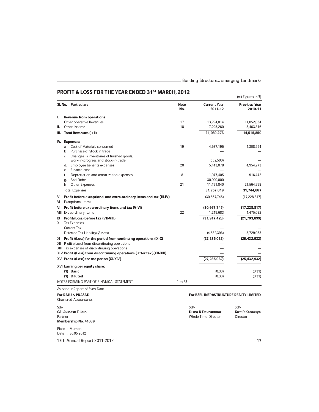## PROFIT & LOSS FOR THE YEAR ENDED 31ST MARCH, 2012

|    |                                                                         |                    |                                               | (All Figures in ₹)              |
|----|-------------------------------------------------------------------------|--------------------|-----------------------------------------------|---------------------------------|
|    | SI. No. Particulars                                                     | <b>Note</b><br>No. | <b>Current Year</b><br>2011-12                | <b>Previous Year</b><br>2010-11 |
| L. | <b>Revenue from operations</b>                                          |                    |                                               |                                 |
|    | Other operative Revenues                                                | 17                 | 13,794,014                                    | 11,052,034                      |
| Ш. | Other Income                                                            | 18                 | 7,295,260                                     | 3,463,816                       |
| Ш. | <b>Total Revenues (I+II)</b>                                            |                    | 21,089,273                                    | 14,515,850                      |
|    | IV. Expenses:                                                           |                    |                                               |                                 |
|    | Cost of Materials consumed<br>a.                                        | 19                 | 4,927,196                                     | 4,308,954                       |
|    | b.<br>Purchase of Stock in trade                                        |                    |                                               |                                 |
|    | Changes in inventories of finished goods,<br>C.                         |                    |                                               |                                 |
|    | work-in-progress and stock-in-trade                                     | 20                 | (552,500)                                     |                                 |
|    | Employee benefits expenses<br>d.<br>Finance cost<br>e.                  |                    | 5,143,078                                     | 4,954,273                       |
|    | f.<br>Depreciation and amortization expenses                            | 8                  | 1,047,405                                     | 916,442                         |
|    | <b>Bad Debts</b><br>g.                                                  |                    | 30,000,000                                    |                                 |
|    | <b>Other Expenses</b><br>h.                                             | 21                 | 11,191,840                                    | 21,564,998                      |
|    | <b>Total Expenses</b>                                                   |                    | 51,757,019                                    | 31,744,667                      |
| v  | Profit before exceptional and extra-ordinary items and tax (III-IV)     |                    | (30,667,745)                                  | (17, 228, 817)                  |
| VI | <b>Exceptional Items</b>                                                |                    |                                               |                                 |
|    | VII Profit before extra-ordinary items and tax (V-VI)                   |                    | (30,667,745)                                  | (17, 228, 817)                  |
|    | VIII Extraordinary Items                                                | 22                 | 1,249,683                                     | 4,475,082                       |
| IX | Profit/(Loss) before tax (VII-VIII)                                     |                    | (31, 917, 428)                                | (21, 703, 899)                  |
| X  | <b>Tax Expenses</b>                                                     |                    |                                               |                                 |
|    | <b>Current Tax</b>                                                      |                    |                                               |                                 |
|    | Deferred Tax Liability/(Assets)                                         |                    | (4,632,396)                                   | 3,729,033                       |
|    | XI Profit /(Loss) for the period from continuing operations (IX-X)      |                    | (27, 285, 032)                                | (25, 432, 932)                  |
|    | XII Profit / (Loss) from discontinuing operations                       |                    |                                               |                                 |
|    | XIII Tax expenses of discontinuing operations                           |                    |                                               |                                 |
|    | XIV Profit /(Loss) from discontinuing operations (after tax )(XII-XIII) |                    |                                               |                                 |
|    | XV Profit /(Loss) for the period (XI-XIV)                               |                    | (27, 285, 032)                                | (25, 432, 932)                  |
|    | XVI Earning per equity share:                                           |                    |                                               |                                 |
|    | (1) Basic                                                               |                    | (0.33)                                        | (0.31)                          |
|    | (1) Diluted                                                             |                    | (0.33)                                        | (0.31)                          |
|    | NOTES FORMING PART OF FINANICAL STATEMENT                               | 1 to 23            |                                               |                                 |
|    | As per our Report of Even Date                                          |                    |                                               |                                 |
|    | <b>For RAJU &amp; PRASAD</b><br><b>Chartered Accountants</b>            |                    | <b>For BSEL INFRASTRUCTURE REALTY LIMITED</b> |                                 |
|    |                                                                         |                    |                                               |                                 |
| Sd |                                                                         |                    | $Sd$ -                                        | $Sd$ -                          |
|    | <b>CA. Avinash T. Jain</b>                                              |                    | <b>Disha R Devrukhkar</b>                     | Kirit R Kanakiya                |
|    | Partner<br>Membership No. 41689                                         |                    | <b>Whole-Time Director</b>                    | Director                        |
|    | Place: Mumbai                                                           |                    |                                               |                                 |
|    | Date: 30.05.2012                                                        |                    |                                               |                                 |
|    |                                                                         |                    |                                               |                                 |

17th Annual Report 2011-2012 <u>2014</u> 17th Annual Report 2011-2012 2014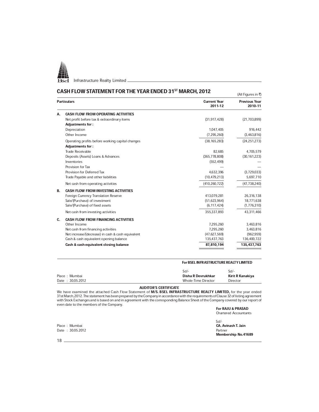

## CASH FLOW STATEMENT FOR THE YEAR ENDED 31ST MARCH, 2012

|    | VAJI I LVIV JIALLIVILIVI I VR ITIL TLAR LIVILLI JT TVIARVIT, ZVTZ |                                | (All Figures in ₹)              |
|----|-------------------------------------------------------------------|--------------------------------|---------------------------------|
|    | <b>Particulars</b>                                                | <b>Current Year</b><br>2011-12 | <b>Previous Year</b><br>2010-11 |
| Α. | <b>CASH FLOW FROM OPERATING ACTIVITIES</b>                        |                                |                                 |
|    | Net profit before tax & extraordinary items                       | (31, 917, 428)                 | (21, 703, 899)                  |
|    | <b>Adjustments for:</b>                                           |                                |                                 |
|    | Depreciation                                                      | 1,047,405                      | 916,442                         |
|    | Other Income                                                      | (7, 295, 260)                  | (3,463,816)                     |
|    | Operating profits before working capital changes                  | (38, 165, 283)                 | (24, 251, 273)                  |
|    | <b>Adjustments for:</b>                                           |                                |                                 |
|    | Trade Receivable                                                  | 82.685                         | 4,705,579                       |
|    | Deposits (Assets) Loans & Advances                                | (365, 778, 808)                | (30, 161, 223)                  |
|    | Inventories                                                       | (552, 499)                     |                                 |
|    | Provision for Tax                                                 |                                |                                 |
|    | Provision for Deferred Tax                                        | 4,632,396                      | (3,729,033)                     |
|    | Trade Payable and other liabilities                               | (10, 479, 213)                 | 5,697,710                       |
|    | Net cash from operating activities                                | (410, 260, 722)                | (47, 738, 240)                  |
| В. | <b>CASH FLOW FROM INVESTING ACTIVITIES</b>                        |                                |                                 |
|    | Foreign Currency Translation Reserve                              | 413,079,281                    | 26,316,138                      |
|    | Sale/(Purchase) of investment                                     | (51,623,964)                   | 18,771,638                      |
|    | Sale/(Purchase) of fixed assets                                   | (6, 117, 424)                  | (1,776,310)                     |
|    | Net cash from investing activities                                | 355,337,893                    | 43.311.466                      |
| C. | <b>CASH FLOW FROM FINANCING ACTIVITIES</b>                        |                                |                                 |
|    | Other Income                                                      | 7.295.260                      | 3,463,816                       |
|    | Net cash from financing activities                                | 7,295,260                      | 3,463,816                       |
|    | Net increase/(decrease) in cash & cash equivalent                 | (47, 627, 569)                 | (962, 959)                      |
|    | Cash & cash equivalent opening balance                            | 135,437,763                    | 136,400,722                     |
|    | Cash & cash equivalent closing balance                            | 87,810,194                     | 135,437,763                     |
|    |                                                                   |                                |                                 |

| <b>For BSEL INFRASTRUCTURE REALTY LIMITED</b> |
|-----------------------------------------------|
|-----------------------------------------------|

|                  | Sd/                 | $Sd$ /-          |
|------------------|---------------------|------------------|
| Place: Mumbai    | Disha R Devrukhkar  | Kirit R Kanakiya |
| Date: 30.05.2012 | Whole-Time Director | Director         |

**AUDITOR'S CERTIFICATE**<br>We have examined the attached Cash Flow Statement of **M/S. BSEL INFRASTRUCTURE REALTY LIMITED,** for the year ended<br>31st March,2012. The statement has been prepared by the Company in accordance with with Stock Exchanges and is based on and in agreement with the corresponding Balance Sheet of the Company covered by our report of even date to the members of the Company. For RAJU & PRASAD

|                  | TUI KAJU & FKAJAD<br><b>Chartered Accountants</b> |
|------------------|---------------------------------------------------|
| Place: Mumbai    | Sd<br><b>CA. Avinash T. Jain</b>                  |
| Date: 30.05.2012 | Partner<br><b>Membership No.41689</b>             |

18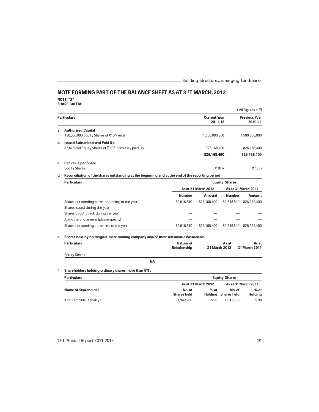## NOTE FORMING PART OF THE BALANCE SHEET AS AT 3<sup>1S</sup>T MARCH, 2012 NOTE : ª2º

SHARE CAPITAL

|    |                                                                                              |                                | ं All Figures in ₹)             |
|----|----------------------------------------------------------------------------------------------|--------------------------------|---------------------------------|
|    | <b>Particulars</b>                                                                           | <b>Current Year</b><br>2011-12 | <b>Previous Year</b><br>2010-11 |
| a. | <b>Authorised Capital</b><br>150,000,000 Equity Shares of ₹10/- each                         | 1,500,000,000                  | 1,500,000,000                   |
| b. | <b>Issued Subscribed and Paid Up</b><br>82,616,840 Equity Shares of ₹10/- each fully paid up | 826.168.400                    | 826,168,400                     |
|    |                                                                                              | 826,168,400                    | 826,168,400                     |
| c. | Par value per Share                                                                          |                                |                                 |
|    | <b>Equity Shares</b>                                                                         | ₹10/-                          | ₹ 10 /-                         |

## d. Reconciliation of the shares outstanding at the beginning and at the end of the reporting period

| <b>Particulars</b>                              |               | <b>Equity Shares</b>                       |               |             |
|-------------------------------------------------|---------------|--------------------------------------------|---------------|-------------|
|                                                 |               | As at 31 March 2012<br>As at 31 March 2011 |               |             |
|                                                 | <b>Number</b> | Amount                                     | <b>Number</b> | Amount      |
| Shares outstanding at the beginning of the year | 82.616.840    | 826.168.400                                | 82.616.840    | 826.168.400 |
| Shares Issued during the year                   |               |                                            |               |             |
| Shares bought back during the year              |               |                                            |               |             |
| Any other movement (please specify)             |               |                                            |               |             |
| Shares outstanding at the end of the year       | 82.616.840    | 826.168.400                                | 82.616.840    | 826.168.400 |

## e. Shares held by holding/ultimate holding company and/or their subsidiaries/associates

| <b>Particulars</b>                                  | Nature of<br>Relationship    |                   | As at<br>31 March 2012       | As at<br>31 March 2011   |
|-----------------------------------------------------|------------------------------|-------------------|------------------------------|--------------------------|
| <b>Equity Shares</b>                                |                              |                   |                              |                          |
| <b>NA</b>                                           |                              |                   |                              |                          |
| Shareholders holding ordinary shares more than 5% : |                              |                   |                              |                          |
| <b>Particulars</b>                                  |                              |                   | <b>Equity Shares</b>         |                          |
|                                                     | As at 31 March 2012          |                   |                              | As at 31 March 2011      |
| <b>Name of Shareholder</b>                          | No. of<br><b>Shares held</b> | $%$ of<br>Holding | No. of<br><b>Shares held</b> | $%$ of<br><b>Holding</b> |
| Kirit Ramniklal Kanakiya                            | 4.942.180                    | 5.98              | 4.942.180                    | 5.98                     |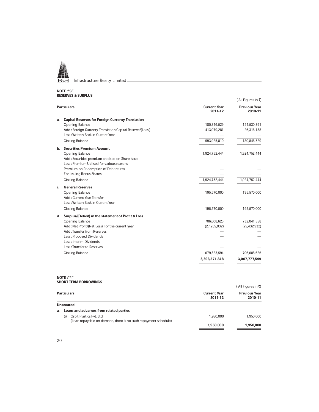

#### NOTE : ª3º RESERVES & SURPLUS

|    |                                                          |                                | (All Figures in ₹)              |
|----|----------------------------------------------------------|--------------------------------|---------------------------------|
|    | <b>Particulars</b>                                       | <b>Current Year</b><br>2011-12 | <b>Previous Year</b><br>2010-11 |
| a. | <b>Capital Reserves for Foreign Currency Translation</b> |                                |                                 |
|    | Opening Balance                                          | 180,846,529                    | 154,530,391                     |
|    | Add: Foreign Currenty Translation Capital Reserve/(Loss) | 413,079,281                    | 26,316,138                      |
|    | Less: Written Back in Current Year                       |                                |                                 |
|    | <b>Closing Balance</b>                                   | 593,925,810                    | 180,846,529                     |
| b. | <b>Securities Premium Account</b>                        |                                |                                 |
|    | Opening Balance                                          | 1,924,752,444                  | 1,924,752,444                   |
|    | Add : Securities premium credited on Share issue         |                                |                                 |
|    | Less: Premium Utilised for various reasons               |                                |                                 |
|    | Premium on Redemption of Debentures                      |                                |                                 |
|    | For Issuing Bonus Shares                                 |                                |                                 |
|    | <b>Closing Balance</b>                                   | 1,924,752,444                  | 1,924,752,444                   |
| C. | <b>General Reserves</b>                                  |                                |                                 |
|    | Opening Balance                                          | 195,570,000                    | 195,570,000                     |
|    | Add: Current Year Transfer                               |                                |                                 |
|    | Less: Written Back in Current Year                       |                                |                                 |
|    | <b>Closing Balance</b>                                   | 195,570,000                    | 195,570,000                     |
| d. | Surplus/(Deficit) in the statement of Profit & Loss      |                                |                                 |
|    | Opening Balance                                          | 706,608,626                    | 732,041,558                     |
|    | Add: Net Profit/(Net Loss) For the current year          | (27, 285, 032)                 | (25, 432, 932)                  |
|    | Add: Transfer from Reserves                              |                                |                                 |
|    | Less: Proposed Dividends                                 |                                |                                 |
|    | Less : Interim Dividends                                 |                                |                                 |
|    | Less: Transfer to Reserves                               |                                |                                 |
|    | <b>Closing Balance</b>                                   | 679,323,594                    | 706,608,626                     |
|    |                                                          | 3,393,571,848                  | 3,007,777,599                   |
|    |                                                          |                                |                                 |

#### NOTE : "4" SHORT TERM BORROWINGS

|    |                                                                                                    |                                | ( All Figures in ₹)             |
|----|----------------------------------------------------------------------------------------------------|--------------------------------|---------------------------------|
|    | <b>Particulars</b>                                                                                 | <b>Current Year</b><br>2011-12 | <b>Previous Year</b><br>2010-11 |
|    | <b>Unsecured</b>                                                                                   |                                |                                 |
| a. | Loans and advances from related parties                                                            |                                |                                 |
|    | Orbit Plastics Pvt. Ltd.<br>(i)<br>(Loan repayable on demand, there is no such repayment schedule) | 1,950,000                      | 1,950,000                       |
|    |                                                                                                    | 1,950,000                      | 1,950,000                       |
|    |                                                                                                    |                                |                                 |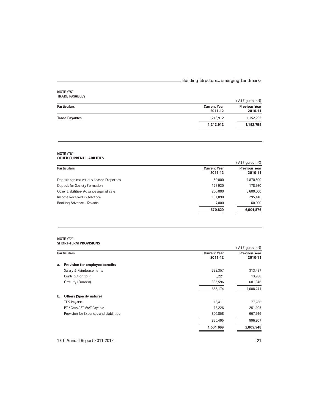#### NOTE : ª5º TRADE PAYABLES

| <b>Current Year</b><br>2011-12 | <b>Particulars</b>    |
|--------------------------------|-----------------------|
| 1,243,912                      | <b>Trade Payables</b> |
| 1,243,912                      |                       |
|                                |                       |
| (All Figures in ₹)             |                       |

#### NOTE : ª6º OTHER CURRENT LIABILITIES

|                                           |                                | (All Figures in ₹)              |
|-------------------------------------------|--------------------------------|---------------------------------|
| <b>Particulars</b>                        | <b>Current Year</b><br>2011-12 | <b>Previous Year</b><br>2010-11 |
| Deposit against various Leased Properties | 50,000                         | 1,870,500                       |
| Deposit for Society Formation             | 178.930                        | 178,930                         |
| Other Liabilities- Advance against sale   | 200,000                        | 3,600,000                       |
| Income Received in Advance                | 134.890                        | 295,446                         |
| Booking Advance - Kevadia                 | 7.000                          | 60,000                          |
|                                           | 570,820                        | 6,004,876                       |

#### **NOTE : "7"** SHORT-TERM PROVISIONS

|                    |                                        |                                | All Figures in ₹)               |
|--------------------|----------------------------------------|--------------------------------|---------------------------------|
| <b>Particulars</b> |                                        | <b>Current Year</b><br>2011-12 | <b>Previous Year</b><br>2010-11 |
| a.                 | Provision for employee benefits        |                                |                                 |
|                    | Salary & Reimbursements                | 322,357                        | 313,437                         |
|                    | Contribution to PF                     | 8,221                          | 13,958                          |
|                    | Gratuity (Funded)                      | 335,596                        | 681,346                         |
|                    |                                        | 666,174                        | 1,008,741                       |
| b.                 | <b>Others (Specify nature)</b>         |                                |                                 |
|                    | <b>TDS Payable</b>                     | 16,411                         | 77,786                          |
|                    | PT / Cess / ST / VAT Payable           | 13,226                         | 251,105                         |
|                    | Provision for Expenses and Liabilities | 805,858                        | 667,916                         |
|                    |                                        | 835,495                        | 996,807                         |
|                    |                                        | 1,501,669                      | 2,005,548                       |
|                    | 17th Annual Report 2011-2012           |                                | 21                              |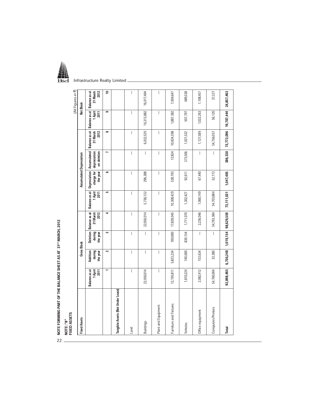

| $\overline{22}$ | FIXED ASSETS<br>NOTE: "8"         |                                  |                                |                                |                                   |                                         |                                        |                                                                                                                                                                                                                                                                                                                                                                                  |                                       |                                  | (All Figures in ₹)                |
|-----------------|-----------------------------------|----------------------------------|--------------------------------|--------------------------------|-----------------------------------|-----------------------------------------|----------------------------------------|----------------------------------------------------------------------------------------------------------------------------------------------------------------------------------------------------------------------------------------------------------------------------------------------------------------------------------------------------------------------------------|---------------------------------------|----------------------------------|-----------------------------------|
|                 | <b>Fixed Assets</b>               |                                  | <b>Gross Block</b>             |                                |                                   |                                         | <b>Accumulated Depreciation</b>        |                                                                                                                                                                                                                                                                                                                                                                                  |                                       |                                  | Net Block                         |
|                 |                                   | Balance as at<br>1 April<br>2011 | Addition<br>during<br>the year | Deletion<br>during<br>the year | 2012<br>Balance as at<br>31 March | <b>Balance as at</b><br>1 April<br>2011 | Depreciation<br>charge for<br>the year | Accumulated<br>depreciation<br>on deletion                                                                                                                                                                                                                                                                                                                                       | Balance as at<br>2012<br>31 March     | Balance as at<br>1 April<br>2011 | Balance as at<br>31 March<br>2012 |
|                 |                                   | $\overline{ }$                   | $\sim$                         | S                              | 4                                 | S                                       | ဖ                                      | r                                                                                                                                                                                                                                                                                                                                                                                | $\infty$                              | ക                                | ₽                                 |
|                 | Tangible Assets (Not Under Lease) |                                  |                                |                                |                                   |                                         |                                        |                                                                                                                                                                                                                                                                                                                                                                                  |                                       |                                  |                                   |
|                 | Land                              | $\overline{\phantom{a}}$         | $\overline{\phantom{a}}$       | $\overline{\phantom{a}}$       | I                                 | I                                       | $\overline{\phantom{a}}$               | $\overline{\phantom{a}}$                                                                                                                                                                                                                                                                                                                                                         | $\overline{\phantom{a}}$              | $\overline{\phantom{a}}$         | $\overline{\phantom{a}}$          |
|                 | Buildings                         | 22,050,014                       | $\overline{1}$                 | T                              | 22,050,014                        | 5,736,132                               | 296,388                                | $\overline{\phantom{a}}$                                                                                                                                                                                                                                                                                                                                                         | 6,032,520                             | 16,313,882                       | 16,017,494                        |
|                 | Plant and Equipment               | $\overline{\phantom{a}}$         | $\overline{\phantom{a}}$       | $\overline{\phantom{a}}$       | $\overline{\phantom{a}}$          | $\overline{\phantom{a}}$                | $\overline{\phantom{a}}$               | $\overline{\phantom{a}}$                                                                                                                                                                                                                                                                                                                                                         | $\begin{array}{c} \hline \end{array}$ | $\overline{\phantom{a}}$         | $\overline{\phantom{a}}$          |
|                 | Furniture and Fixtures            | 12,195,811                       | 5,823,234                      | 180,000                        | 17,839,045                        | 10,308,429                              | 538,793                                | 12,824                                                                                                                                                                                                                                                                                                                                                                           | 10,834,398                            | 1,887,382                        | 7,004,647                         |
|                 | Vehicles                          | 1,810,224                        | 740,000                        | 839,154                        | 1,711,070                         | 1,302,427                               | 92,611                                 | 373,506                                                                                                                                                                                                                                                                                                                                                                          | 1,021,532                             | 507,797                          | 689,538                           |
|                 | Office equipment                  | 2,082,412                        | 153,634                        | $\overline{\phantom{a}}$       | 2,236,046                         | 1,060,149                               | 67,440                                 | $\begin{array}{c} \rule{0pt}{2.5ex} \rule{0pt}{2.5ex} \rule{0pt}{2.5ex} \rule{0pt}{2.5ex} \rule{0pt}{2.5ex} \rule{0pt}{2.5ex} \rule{0pt}{2.5ex} \rule{0pt}{2.5ex} \rule{0pt}{2.5ex} \rule{0pt}{2.5ex} \rule{0pt}{2.5ex} \rule{0pt}{2.5ex} \rule{0pt}{2.5ex} \rule{0pt}{2.5ex} \rule{0pt}{2.5ex} \rule{0pt}{2.5ex} \rule{0pt}{2.5ex} \rule{0pt}{2.5ex} \rule{0pt}{2.5ex} \rule{0$ | 1,127,589                             | 1,022,263                        | 1,108,457                         |
|                 | Computers/Printers                | 54,760,004                       | 33,380                         | $\overline{\phantom{a}}$       | 54,793,384                        | 54,703,884                              | 52,173                                 | $\overline{\phantom{a}}$                                                                                                                                                                                                                                                                                                                                                         | 54,756,057                            | 56,120                           | 37,327                            |
|                 | Total                             | 92,898,465                       | 6,750,248                      | 1,019,154                      | 98,629,559                        | 73,111,021                              | 1,047,405                              | 386,330                                                                                                                                                                                                                                                                                                                                                                          | 73,772,096                            | 19,787,444                       | 24,857,463                        |
|                 |                                   |                                  |                                |                                |                                   |                                         |                                        |                                                                                                                                                                                                                                                                                                                                                                                  |                                       |                                  |                                   |

NOTE FORMING PART OF THE BALANCE SHEET AS AT 31<sup>51</sup> MARCH, 2012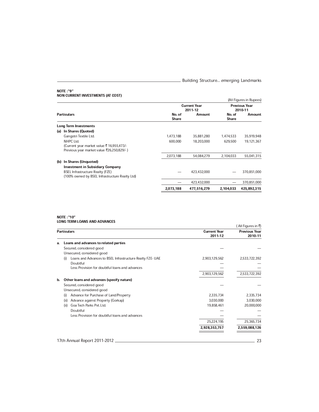#### NOTE : ª9º NON CURRENT INVESTMENTS (AT COST)

|                                                |                        |                                |                        | (All Figures in Rupees)         |
|------------------------------------------------|------------------------|--------------------------------|------------------------|---------------------------------|
|                                                |                        | <b>Current Year</b><br>2011-12 |                        | <b>Previous Year</b><br>2010-11 |
| <b>Particulars</b>                             | No. of<br><b>Share</b> | Amount                         | No. of<br><b>Share</b> | <b>Amount</b>                   |
| <b>Long Term Investments</b>                   |                        |                                |                        |                                 |
| (a) In Shares (Quoted)                         |                        |                                |                        |                                 |
| Gangotri Textile Ltd.                          | 1,473,188              | 35,881,280                     | 1,474,533              | 35,919,948                      |
| NHPC Ltd.                                      | 600.000                | 18,203,000                     | 629,500                | 19,121,367                      |
| (Current year market value ₹ 16,955,473/-      |                        |                                |                        |                                 |
| Previous year market value ₹26,250,829/-)      |                        |                                |                        |                                 |
|                                                | 2,073,188              | 54.084.279                     | 2,104,033              | 55,041,315                      |
| (b) In Shares (Unquoted)                       |                        |                                |                        |                                 |
| <b>Investment in Subsidiary Company</b>        |                        |                                |                        |                                 |
| <b>BSEL Infrastructure Realty (FZE)</b>        |                        | 423.432.000                    |                        | 370,851,000                     |
| (100% owned by BSEL Infrastructure Realty Ltd) |                        |                                |                        |                                 |
|                                                |                        | 423,432,000                    |                        | 370,851,000                     |
|                                                | 2,073,188              | 477,516,279                    | 2,104,033              | 425,892,315                     |

#### NOTE : ª10º LONG TERM LOANS AND ADVANCES

|    |                                                                  |                                | (All Figures in ₹)              |
|----|------------------------------------------------------------------|--------------------------------|---------------------------------|
|    | <b>Particulars</b>                                               | <b>Current Year</b><br>2011-12 | <b>Previous Year</b><br>2010-11 |
| a. | Loans and advances to related parties                            |                                |                                 |
|    | Secured, considered good                                         |                                |                                 |
|    | Unsecured, considered good                                       |                                |                                 |
|    | Loans and Advances to BSEL Infrastructure Realty FZE- UAE<br>(i) | 2,903,129,562                  | 2,533,722,392                   |
|    | Doubtful                                                         |                                |                                 |
|    | Less: Provision for doubtful loans and advances                  |                                |                                 |
|    |                                                                  | 2,903,129,562                  | 2,533,722,392                   |
| b. | Other loans and advances (specify nature)                        |                                |                                 |
|    | Secured, considered good                                         |                                |                                 |
|    | Unsecured, considered good                                       |                                |                                 |
|    | Advance for Purchase of Land/Property<br>(i)                     | 2,335,734                      | 2,335,734                       |
|    | Advance against Property (Gorkap)<br>(ii)                        | 3,030,000                      | 3,030,000                       |
|    | Goa Tech Parks Pvt. Ltd.<br>(ii)                                 | 19,858,461                     | 20,000,000                      |
|    | Doubtful                                                         |                                |                                 |
|    | Less: Provision for doubtful loans and advances                  |                                |                                 |
|    |                                                                  | 25,224,195                     | 25,365,734                      |
|    |                                                                  | 2,928,353,757                  | 2,559,088,126                   |
|    |                                                                  |                                |                                 |
|    | 17th Annual Report 2011-2012                                     |                                | 23                              |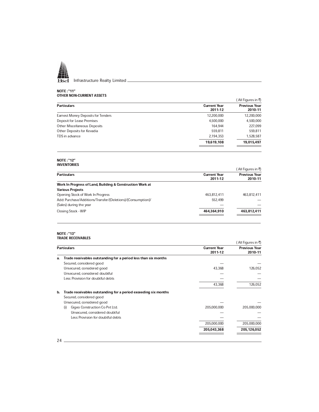

#### NOTE : "11" OTHER NON-CURRENT ASSETS

|                                           |                                | ( All Figures in ₹)             |
|-------------------------------------------|--------------------------------|---------------------------------|
| <b>Particulars</b>                        | <b>Current Year</b><br>2011-12 | <b>Previous Year</b><br>2010-11 |
| <b>Earnest Money Deposits for Tenders</b> | 12,200,000                     | 12,200,000                      |
| Deposit for Lease Premises                | 4,500,000                      | 4,500,000                       |
| <b>Other Miscellaneous Deposits</b>       | 164.944                        | 227,099                         |
| Other Deposits for Kevadia                | 559.811                        | 559,811                         |
| TDS in advance                            | 2.194.353                      | 1,528,587                       |
|                                           | 19.619.108                     | 19,015,497                      |

#### NOTE : "12" INVENTORIES

|                                                             |                                | ' All Figures in ₹ੋ)            |
|-------------------------------------------------------------|--------------------------------|---------------------------------|
| <b>Particulars</b>                                          | <b>Current Year</b><br>2011-12 | <b>Previous Year</b><br>2010-11 |
| Work In Progress of Land, Building & Construction Work at   |                                |                                 |
| <b>Various Projects</b>                                     |                                |                                 |
| Opening Stock of Work In Progress                           | 463.812.411                    | 463,812,411                     |
| Add: Purchase/Additions/Transfer/(Deletions)/(Consumption)/ | 552.499                        |                                 |
| (Sales) during the year                                     |                                |                                 |
| Closing Stock - WIP                                         | 464,364,910                    | 463,812,411                     |

#### NOTE : "13" TRADE RECEIVABLES

|    |                                                                 |                                | ्All Figures in ₹)              |
|----|-----------------------------------------------------------------|--------------------------------|---------------------------------|
|    | <b>Particulars</b>                                              | <b>Current Year</b><br>2011-12 | <b>Previous Year</b><br>2010-11 |
| a. | Trade receivables outstanding for a period less than six months |                                |                                 |
|    | Secured, considered good                                        |                                |                                 |
|    | Unsecured, considered good                                      | 43,368                         | 126,052                         |
|    | Unsecured, considered doubtful                                  |                                |                                 |
|    | Less: Provision for doubtful debts                              |                                |                                 |
|    |                                                                 | 43,368                         | 126,052                         |
| b. | Trade receivables outstanding for a period exceeding six months |                                |                                 |
|    | Secured, considered good                                        |                                |                                 |
|    | Unsecured, considered good                                      |                                |                                 |
|    | Gigeo Construction Co Pvt Ltd.<br>(i)                           | 205,000,000                    | 205,000,000                     |
|    | Unsecured, considered doubtful                                  |                                |                                 |
|    | Less: Provision for doubtful debts                              |                                |                                 |
|    |                                                                 | 205,000,000                    | 205,000,000                     |
|    |                                                                 | 205,043,368                    | 205,126,052                     |
| 24 |                                                                 |                                |                                 |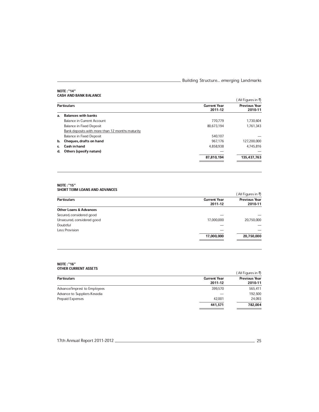**ENET AT A BUILDING STATE CONTROLLER CONTROLLER CONTROLLER CONTROLLER CONTROLLER CONTROLLER CONTROLLER CONTROLL** 

#### NOTE : "14" CASH AND BANK BALANCE

|    |                                                 |                                | All Figures in ₹)               |
|----|-------------------------------------------------|--------------------------------|---------------------------------|
|    | <b>Particulars</b>                              | <b>Current Year</b><br>2011-12 | <b>Previous Year</b><br>2010-11 |
| а. | <b>Balances with banks</b>                      |                                |                                 |
|    | Balance in Current Account                      | 770.779                        | 1,730,604                       |
|    | <b>Balance in Fixed Deposit</b>                 | 80.673.194                     | 1.761.343                       |
|    | Bank deposits with more than 12 months maturity |                                |                                 |
|    | <b>Balance in Fixed Deposit</b>                 | 540.107                        |                                 |
| b. | Cheques, drafts on hand                         | 967.176                        | 127,200,000                     |
| c. | Cash in hand                                    | 4,858,938                      | 4.745.816                       |
| d. | Others (specify nature)                         |                                |                                 |
|    |                                                 | 87,810,194                     | 135,437,763                     |
|    |                                                 |                                |                                 |

## NOTE : "15"

| SHORT TERM LOANS AND ADVANCES     |                                |                                 |
|-----------------------------------|--------------------------------|---------------------------------|
|                                   |                                | ( All Figures in ₹)             |
| <b>Particulars</b>                | <b>Current Year</b><br>2011-12 | <b>Previous Year</b><br>2010-11 |
| <b>Other Loans &amp; Advances</b> |                                |                                 |
| Secured, considered good          |                                |                                 |
| Unsecured, considered good        | 17,000,000                     | 20,750,000                      |
| Doubtful                          |                                |                                 |
| Less: Provision                   |                                |                                 |
|                                   | 17,000,000                     | 20,750,000                      |

### **NOTE : "16"** OTHER CURRENT ASSETS

|                              |                                | ( All Figures in ₹)             |
|------------------------------|--------------------------------|---------------------------------|
| <b>Particulars</b>           | <b>Current Year</b><br>2011-12 | <b>Previous Year</b><br>2010-11 |
| Advance/Imprest to Employees | 399.570                        | 565,411                         |
| Advance to Suppliers-Kevadia |                                | 192,500                         |
| <b>Prepaid Expenses</b>      | 42.001                         | 24,093                          |
|                              | 441.571                        | 782,004                         |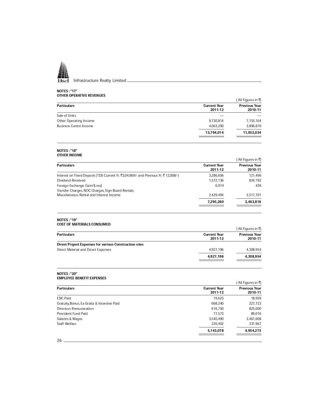

#### NOTES : ª17º OTHER OPERATIVE REVENUES

|                               |                                | ( All Figures in ₹)             |
|-------------------------------|--------------------------------|---------------------------------|
| <b>Particulars</b>            | <b>Current Year</b><br>2011-12 | <b>Previous Year</b><br>2010-11 |
| Sale of Units                 |                                |                                 |
| Other Operating Income        | 9.730.814                      | 7,155,164                       |
| <b>Business Centre Income</b> | 4,063,200                      | 3,896,870                       |
|                               | 13,794,014                     | 11,052,034                      |

#### NOTES : "18" OTHER INCOME

|                                                                                    |                                | ( All Figures in ₹)             |
|------------------------------------------------------------------------------------|--------------------------------|---------------------------------|
| <b>Particulars</b>                                                                 | <b>Current Year</b><br>2011-12 | <b>Previous Year</b><br>2010-11 |
| Interest on Fixed Deposit (TDS Current Yr. ₹3,04,969/- and Previous Yr. ₹12,008/-) | 3,286,656                      | 121,496                         |
| Dividend Received                                                                  | 1.572.136                      | 824,192                         |
| Foreign Exchange Gain/(Loss)                                                       | 6.974                          | 426                             |
| Transfer Charges, NOC Charges, Sign Board Rentals,                                 |                                |                                 |
| Miscellaneous Rental and Interest Income                                           | 2.429.494                      | 2.517.701                       |
|                                                                                    | 7,295,260                      | 3,463,816                       |

#### NOTES : ª19º COST OF MATERIALS CONSUMED

|                                | ( All Figures in ₹)             |
|--------------------------------|---------------------------------|
| <b>Current Year</b><br>2011-12 | <b>Previous Year</b><br>2010-11 |
|                                |                                 |
| 4.927.196                      | 4,308,954                       |
| 4,927,196                      | 4,308,954                       |
|                                |                                 |

#### NOTES : ª20º EMPLOYEE BENEFIT EXPENSES

|                                             |                                | ( All Figures in ₹)             |
|---------------------------------------------|--------------------------------|---------------------------------|
| <b>Particulars</b>                          | <b>Current Year</b><br>2011-12 | <b>Previous Year</b><br>2010-11 |
| <b>ESIC Paid</b>                            | 19,623                         | 18,959                          |
| Gratuity, Bonus, Ex-Gratia & Incentive Paid | 668.240                        | 227,723                         |
| <b>Directors Remuneration</b>               | 616,750                        | 825,000                         |
| Provident Fund Paid                         | 77.573                         | 89,016                          |
| Salaries & Wages                            | 3,540,490                      | 3,461,608                       |
| <b>Staff Welfare</b>                        | 220,402                        | 331,967                         |
|                                             | 5,143,078                      | 4,954,273                       |
| 26                                          |                                |                                 |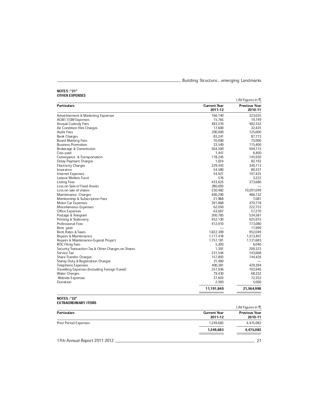**EXECUTE:** Building Structure... emerging Landmarks

#### NOTES : ª21º OTHER EXPENSES

| <b>Particulars</b><br><b>Current Year</b><br>2011-12<br>Advertisement & Marketing Expenses<br>166,140<br><b>AGM / EGM Expenses</b><br>15,765<br><b>Annual Custody Fees</b><br>483,576<br>Air Condition Hire Charges<br>17,600<br><b>Audit Fees</b><br>200,000<br><b>Bank Charges</b><br>83,241<br>70,000<br><b>Board Meeting Fees</b><br><b>Business Promotion</b><br>33,549<br>Brokerage & Commission<br>564,500<br>Cess paid<br>7,447<br>178,245<br>Conveyance & Transportation<br>Delay Payment Charges<br>1,024<br><b>Electricity Charges</b><br>229,443<br>54,580<br>Insurance<br>54,921<br>Internet Expenses<br>Labour Welfare Fund<br>576<br><b>Listing Fees</b><br>433,625<br>Loss on Sale of Fixed Assets<br>280,093<br>230,482<br>Loss on sale of shares<br>10,291,049<br>Maintenance Charges<br>490,290<br>486,132<br>Membership & Subscription Fees<br>21,988<br>470,718<br>Motor Car Expenses<br>391,868<br>Miscellaneous Expenses<br>62,050<br>222,753<br><b>Office Expenses</b><br>63,667<br>57,270<br>Postage & Telegram<br>534,581<br>300,785<br>452,130<br>625,975<br>Printing & Stationery<br><b>Professional Fees</b><br>412,010<br>773,080<br>11,999<br>Rent paid<br>1,822,309<br>Rent, Rates & Taxes<br>952,049<br>1,117,418<br>1,313,407<br>Repairs & Maintenance<br>Repairs & Maintenance-Gujarat Project<br>1,757,181<br>1,131,683<br><b>ROC Filing Fees</b><br>5,200<br>6,040<br>Security Transaction Tax & Other Charges on Shares<br>1,391<br>209,323<br>Service Tax<br>231,544<br>143,668<br><b>Share Transfer Charges</b><br>157,893<br>144,426<br>Stamp Duty & Registration Charges<br>21,460<br><b>Telephone Expenses</b><br>400,381<br>429,394<br>Travelling Expenses (Including Foreign Travel)<br>257,936<br>703,946<br><b>Water Charges</b><br>79,430<br>68,332<br><b>Website Expenses</b><br>37,603<br>72,352<br>5,000<br>Donation<br>2,500<br>11,191,840 |  | (All Figures in ₹)              |
|------------------------------------------------------------------------------------------------------------------------------------------------------------------------------------------------------------------------------------------------------------------------------------------------------------------------------------------------------------------------------------------------------------------------------------------------------------------------------------------------------------------------------------------------------------------------------------------------------------------------------------------------------------------------------------------------------------------------------------------------------------------------------------------------------------------------------------------------------------------------------------------------------------------------------------------------------------------------------------------------------------------------------------------------------------------------------------------------------------------------------------------------------------------------------------------------------------------------------------------------------------------------------------------------------------------------------------------------------------------------------------------------------------------------------------------------------------------------------------------------------------------------------------------------------------------------------------------------------------------------------------------------------------------------------------------------------------------------------------------------------------------------------------------------------------------------------------------------------------------------------------------------|--|---------------------------------|
|                                                                                                                                                                                                                                                                                                                                                                                                                                                                                                                                                                                                                                                                                                                                                                                                                                                                                                                                                                                                                                                                                                                                                                                                                                                                                                                                                                                                                                                                                                                                                                                                                                                                                                                                                                                                                                                                                                |  | <b>Previous Year</b><br>2010-11 |
|                                                                                                                                                                                                                                                                                                                                                                                                                                                                                                                                                                                                                                                                                                                                                                                                                                                                                                                                                                                                                                                                                                                                                                                                                                                                                                                                                                                                                                                                                                                                                                                                                                                                                                                                                                                                                                                                                                |  | 323,035                         |
|                                                                                                                                                                                                                                                                                                                                                                                                                                                                                                                                                                                                                                                                                                                                                                                                                                                                                                                                                                                                                                                                                                                                                                                                                                                                                                                                                                                                                                                                                                                                                                                                                                                                                                                                                                                                                                                                                                |  | 19,749                          |
|                                                                                                                                                                                                                                                                                                                                                                                                                                                                                                                                                                                                                                                                                                                                                                                                                                                                                                                                                                                                                                                                                                                                                                                                                                                                                                                                                                                                                                                                                                                                                                                                                                                                                                                                                                                                                                                                                                |  | 482,332                         |
|                                                                                                                                                                                                                                                                                                                                                                                                                                                                                                                                                                                                                                                                                                                                                                                                                                                                                                                                                                                                                                                                                                                                                                                                                                                                                                                                                                                                                                                                                                                                                                                                                                                                                                                                                                                                                                                                                                |  | 32,425                          |
|                                                                                                                                                                                                                                                                                                                                                                                                                                                                                                                                                                                                                                                                                                                                                                                                                                                                                                                                                                                                                                                                                                                                                                                                                                                                                                                                                                                                                                                                                                                                                                                                                                                                                                                                                                                                                                                                                                |  | 125,000                         |
|                                                                                                                                                                                                                                                                                                                                                                                                                                                                                                                                                                                                                                                                                                                                                                                                                                                                                                                                                                                                                                                                                                                                                                                                                                                                                                                                                                                                                                                                                                                                                                                                                                                                                                                                                                                                                                                                                                |  | 87,773                          |
|                                                                                                                                                                                                                                                                                                                                                                                                                                                                                                                                                                                                                                                                                                                                                                                                                                                                                                                                                                                                                                                                                                                                                                                                                                                                                                                                                                                                                                                                                                                                                                                                                                                                                                                                                                                                                                                                                                |  | 75,000                          |
|                                                                                                                                                                                                                                                                                                                                                                                                                                                                                                                                                                                                                                                                                                                                                                                                                                                                                                                                                                                                                                                                                                                                                                                                                                                                                                                                                                                                                                                                                                                                                                                                                                                                                                                                                                                                                                                                                                |  | 115,400                         |
|                                                                                                                                                                                                                                                                                                                                                                                                                                                                                                                                                                                                                                                                                                                                                                                                                                                                                                                                                                                                                                                                                                                                                                                                                                                                                                                                                                                                                                                                                                                                                                                                                                                                                                                                                                                                                                                                                                |  | 504,115                         |
|                                                                                                                                                                                                                                                                                                                                                                                                                                                                                                                                                                                                                                                                                                                                                                                                                                                                                                                                                                                                                                                                                                                                                                                                                                                                                                                                                                                                                                                                                                                                                                                                                                                                                                                                                                                                                                                                                                |  | 6,400                           |
|                                                                                                                                                                                                                                                                                                                                                                                                                                                                                                                                                                                                                                                                                                                                                                                                                                                                                                                                                                                                                                                                                                                                                                                                                                                                                                                                                                                                                                                                                                                                                                                                                                                                                                                                                                                                                                                                                                |  | 145,930                         |
|                                                                                                                                                                                                                                                                                                                                                                                                                                                                                                                                                                                                                                                                                                                                                                                                                                                                                                                                                                                                                                                                                                                                                                                                                                                                                                                                                                                                                                                                                                                                                                                                                                                                                                                                                                                                                                                                                                |  | 82,192                          |
|                                                                                                                                                                                                                                                                                                                                                                                                                                                                                                                                                                                                                                                                                                                                                                                                                                                                                                                                                                                                                                                                                                                                                                                                                                                                                                                                                                                                                                                                                                                                                                                                                                                                                                                                                                                                                                                                                                |  | 340,713                         |
|                                                                                                                                                                                                                                                                                                                                                                                                                                                                                                                                                                                                                                                                                                                                                                                                                                                                                                                                                                                                                                                                                                                                                                                                                                                                                                                                                                                                                                                                                                                                                                                                                                                                                                                                                                                                                                                                                                |  | 80,337                          |
|                                                                                                                                                                                                                                                                                                                                                                                                                                                                                                                                                                                                                                                                                                                                                                                                                                                                                                                                                                                                                                                                                                                                                                                                                                                                                                                                                                                                                                                                                                                                                                                                                                                                                                                                                                                                                                                                                                |  | 107,425                         |
|                                                                                                                                                                                                                                                                                                                                                                                                                                                                                                                                                                                                                                                                                                                                                                                                                                                                                                                                                                                                                                                                                                                                                                                                                                                                                                                                                                                                                                                                                                                                                                                                                                                                                                                                                                                                                                                                                                |  | 3,222                           |
|                                                                                                                                                                                                                                                                                                                                                                                                                                                                                                                                                                                                                                                                                                                                                                                                                                                                                                                                                                                                                                                                                                                                                                                                                                                                                                                                                                                                                                                                                                                                                                                                                                                                                                                                                                                                                                                                                                |  | 373,686                         |
|                                                                                                                                                                                                                                                                                                                                                                                                                                                                                                                                                                                                                                                                                                                                                                                                                                                                                                                                                                                                                                                                                                                                                                                                                                                                                                                                                                                                                                                                                                                                                                                                                                                                                                                                                                                                                                                                                                |  |                                 |
|                                                                                                                                                                                                                                                                                                                                                                                                                                                                                                                                                                                                                                                                                                                                                                                                                                                                                                                                                                                                                                                                                                                                                                                                                                                                                                                                                                                                                                                                                                                                                                                                                                                                                                                                                                                                                                                                                                |  |                                 |
|                                                                                                                                                                                                                                                                                                                                                                                                                                                                                                                                                                                                                                                                                                                                                                                                                                                                                                                                                                                                                                                                                                                                                                                                                                                                                                                                                                                                                                                                                                                                                                                                                                                                                                                                                                                                                                                                                                |  |                                 |
|                                                                                                                                                                                                                                                                                                                                                                                                                                                                                                                                                                                                                                                                                                                                                                                                                                                                                                                                                                                                                                                                                                                                                                                                                                                                                                                                                                                                                                                                                                                                                                                                                                                                                                                                                                                                                                                                                                |  | 7,087                           |
|                                                                                                                                                                                                                                                                                                                                                                                                                                                                                                                                                                                                                                                                                                                                                                                                                                                                                                                                                                                                                                                                                                                                                                                                                                                                                                                                                                                                                                                                                                                                                                                                                                                                                                                                                                                                                                                                                                |  |                                 |
|                                                                                                                                                                                                                                                                                                                                                                                                                                                                                                                                                                                                                                                                                                                                                                                                                                                                                                                                                                                                                                                                                                                                                                                                                                                                                                                                                                                                                                                                                                                                                                                                                                                                                                                                                                                                                                                                                                |  |                                 |
|                                                                                                                                                                                                                                                                                                                                                                                                                                                                                                                                                                                                                                                                                                                                                                                                                                                                                                                                                                                                                                                                                                                                                                                                                                                                                                                                                                                                                                                                                                                                                                                                                                                                                                                                                                                                                                                                                                |  |                                 |
|                                                                                                                                                                                                                                                                                                                                                                                                                                                                                                                                                                                                                                                                                                                                                                                                                                                                                                                                                                                                                                                                                                                                                                                                                                                                                                                                                                                                                                                                                                                                                                                                                                                                                                                                                                                                                                                                                                |  |                                 |
|                                                                                                                                                                                                                                                                                                                                                                                                                                                                                                                                                                                                                                                                                                                                                                                                                                                                                                                                                                                                                                                                                                                                                                                                                                                                                                                                                                                                                                                                                                                                                                                                                                                                                                                                                                                                                                                                                                |  |                                 |
|                                                                                                                                                                                                                                                                                                                                                                                                                                                                                                                                                                                                                                                                                                                                                                                                                                                                                                                                                                                                                                                                                                                                                                                                                                                                                                                                                                                                                                                                                                                                                                                                                                                                                                                                                                                                                                                                                                |  |                                 |
|                                                                                                                                                                                                                                                                                                                                                                                                                                                                                                                                                                                                                                                                                                                                                                                                                                                                                                                                                                                                                                                                                                                                                                                                                                                                                                                                                                                                                                                                                                                                                                                                                                                                                                                                                                                                                                                                                                |  |                                 |
|                                                                                                                                                                                                                                                                                                                                                                                                                                                                                                                                                                                                                                                                                                                                                                                                                                                                                                                                                                                                                                                                                                                                                                                                                                                                                                                                                                                                                                                                                                                                                                                                                                                                                                                                                                                                                                                                                                |  |                                 |
|                                                                                                                                                                                                                                                                                                                                                                                                                                                                                                                                                                                                                                                                                                                                                                                                                                                                                                                                                                                                                                                                                                                                                                                                                                                                                                                                                                                                                                                                                                                                                                                                                                                                                                                                                                                                                                                                                                |  |                                 |
|                                                                                                                                                                                                                                                                                                                                                                                                                                                                                                                                                                                                                                                                                                                                                                                                                                                                                                                                                                                                                                                                                                                                                                                                                                                                                                                                                                                                                                                                                                                                                                                                                                                                                                                                                                                                                                                                                                |  |                                 |
|                                                                                                                                                                                                                                                                                                                                                                                                                                                                                                                                                                                                                                                                                                                                                                                                                                                                                                                                                                                                                                                                                                                                                                                                                                                                                                                                                                                                                                                                                                                                                                                                                                                                                                                                                                                                                                                                                                |  |                                 |
|                                                                                                                                                                                                                                                                                                                                                                                                                                                                                                                                                                                                                                                                                                                                                                                                                                                                                                                                                                                                                                                                                                                                                                                                                                                                                                                                                                                                                                                                                                                                                                                                                                                                                                                                                                                                                                                                                                |  |                                 |
|                                                                                                                                                                                                                                                                                                                                                                                                                                                                                                                                                                                                                                                                                                                                                                                                                                                                                                                                                                                                                                                                                                                                                                                                                                                                                                                                                                                                                                                                                                                                                                                                                                                                                                                                                                                                                                                                                                |  |                                 |
|                                                                                                                                                                                                                                                                                                                                                                                                                                                                                                                                                                                                                                                                                                                                                                                                                                                                                                                                                                                                                                                                                                                                                                                                                                                                                                                                                                                                                                                                                                                                                                                                                                                                                                                                                                                                                                                                                                |  |                                 |
|                                                                                                                                                                                                                                                                                                                                                                                                                                                                                                                                                                                                                                                                                                                                                                                                                                                                                                                                                                                                                                                                                                                                                                                                                                                                                                                                                                                                                                                                                                                                                                                                                                                                                                                                                                                                                                                                                                |  |                                 |
|                                                                                                                                                                                                                                                                                                                                                                                                                                                                                                                                                                                                                                                                                                                                                                                                                                                                                                                                                                                                                                                                                                                                                                                                                                                                                                                                                                                                                                                                                                                                                                                                                                                                                                                                                                                                                                                                                                |  |                                 |
|                                                                                                                                                                                                                                                                                                                                                                                                                                                                                                                                                                                                                                                                                                                                                                                                                                                                                                                                                                                                                                                                                                                                                                                                                                                                                                                                                                                                                                                                                                                                                                                                                                                                                                                                                                                                                                                                                                |  |                                 |
|                                                                                                                                                                                                                                                                                                                                                                                                                                                                                                                                                                                                                                                                                                                                                                                                                                                                                                                                                                                                                                                                                                                                                                                                                                                                                                                                                                                                                                                                                                                                                                                                                                                                                                                                                                                                                                                                                                |  |                                 |
|                                                                                                                                                                                                                                                                                                                                                                                                                                                                                                                                                                                                                                                                                                                                                                                                                                                                                                                                                                                                                                                                                                                                                                                                                                                                                                                                                                                                                                                                                                                                                                                                                                                                                                                                                                                                                                                                                                |  |                                 |
|                                                                                                                                                                                                                                                                                                                                                                                                                                                                                                                                                                                                                                                                                                                                                                                                                                                                                                                                                                                                                                                                                                                                                                                                                                                                                                                                                                                                                                                                                                                                                                                                                                                                                                                                                                                                                                                                                                |  |                                 |
|                                                                                                                                                                                                                                                                                                                                                                                                                                                                                                                                                                                                                                                                                                                                                                                                                                                                                                                                                                                                                                                                                                                                                                                                                                                                                                                                                                                                                                                                                                                                                                                                                                                                                                                                                                                                                                                                                                |  |                                 |
|                                                                                                                                                                                                                                                                                                                                                                                                                                                                                                                                                                                                                                                                                                                                                                                                                                                                                                                                                                                                                                                                                                                                                                                                                                                                                                                                                                                                                                                                                                                                                                                                                                                                                                                                                                                                                                                                                                |  | 21,564,998                      |

#### NOTES : ª22º EXTRAORDINARY ITEMS

| EXIKAUKUINAKY IIEMS          |                                | ( All Figures in ₹)             |
|------------------------------|--------------------------------|---------------------------------|
| <b>Particulars</b>           | <b>Current Year</b><br>2011-12 | <b>Previous Year</b><br>2010-11 |
| <b>Prior Period Expenses</b> | 1.249.683                      | 4,475,082                       |
|                              | 1,249,683                      | 4,475,082                       |
| 17th Annual Report 2011-2012 |                                | 27                              |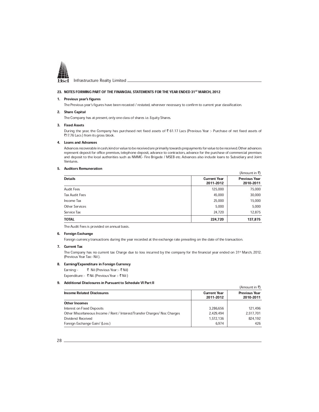

### 23. NOTES FORMING PART OF THE FINANCIAL STATEMENTS FOR THE YEAR ENDED 31<sup>ST</sup> MARCH, 2012

#### 1. Previous year's figures

The Previous year's figures have been recasted / restated, wherever necessary to confirm to current year classification.

#### 2. Share Capital

The Company has at present, only one class of shares i.e. Equity Shares.

### 3. Fixed Assets

During the year, the Company has purchased net fixed assets of  $\bar{\tau}$  61.17 Lacs (Previous Year :- Purchase of net fixed assets of `17.76 Lacs ) from its gross block.

#### 4. Loans and Advances

Advances recoverable in cash, kind or value to be received are primarily towards prepayments for value to be received. Other advances represent deposit for office premises, telephone deposit, advance to contractors, advance for the purchase of commercial premises and deposit to the local authorities such as NMMC- Fire Brigade / MSEB etc. Advances also include loans to Subsidiary and Joint Ventures.

#### 5. Auditors Remuneration

| , www.core.com<br>(Amount in ₹) |                                  |                                   |
|---------------------------------|----------------------------------|-----------------------------------|
| <b>Details</b>                  | <b>Current Year</b><br>2011-2012 | <b>Previous Year</b><br>2010-2011 |
| <b>Audit Fees</b>               | 125,000                          | 75,000                            |
| <b>Tax Audit Fees</b>           | 45,000                           | 30,000                            |
| Income Tax                      | 25,000                           | 15,000                            |
| <b>Other Services</b>           | 5,000                            | 5,000                             |
| Service Tax                     | 24,720                           | 12,875                            |
| <b>TOTAL</b>                    | 224,720                          | 137,875                           |

The Audit Fees is provided on annual basis.

#### 6. Foreign Exchange

Foreign currency transactions during the year recorded at the exchange rate prevailing on the date of the transaction.

#### 7. Current Tax

The Company has no current tax Charge due to loss incurred by the company for the financial year ended on 31<sup>st</sup> March, 2012. (Previous Year Tax:- Nil ).

8. Earning/Expenditure in Foreign Currency<br>Earning:  $\bar{\xi}$  Nil (Previous Year :- ₹ Nil) ₹ Nil (Previous Year :- ₹ Nil) Expenditure: - ₹ Nil. (Previous Year :- ₹ Nil)

## 9. Additional Disclosures in Pursuant to Schedule VI Part II

|                                                                            |                                  | (Amount in ₹)                     |
|----------------------------------------------------------------------------|----------------------------------|-----------------------------------|
| <b>Income Related Disclosures</b>                                          | <b>Current Year</b><br>2011-2012 | <b>Previous Year</b><br>2010-2011 |
| <b>Other Incomes</b>                                                       |                                  |                                   |
| Interest on Fixed Deposits                                                 | 3,286,656                        | 121.496                           |
| Other Miscellaneous Income / Rent / Interest/Transfer Charges/ Noc Charges | 2,429,494                        | 2,517,701                         |
| Dividend Received                                                          | 1.572.136                        | 824.192                           |
| Foreign Exchange Gain/ (Loss)                                              | 6.974                            | 426                               |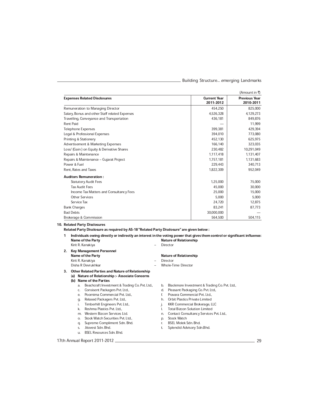|                                                |                                  | (Amount in ₹)                     |
|------------------------------------------------|----------------------------------|-----------------------------------|
| <b>Expenses Related Disclosures</b>            | <b>Current Year</b><br>2011-2012 | <b>Previous Year</b><br>2010-2011 |
| Remuneration to Managing Director              | 454,250                          | 825,000                           |
| Salary, Bonus and other Staff related Expenses | 4,526,328                        | 4,129,273                         |
| Travelling, Conveyance and Transportation      | 436,181                          | 849.876                           |
| <b>Rent Paid</b>                               |                                  | 11,999                            |
| <b>Telephone Expenses</b>                      | 399.381                          | 429,394                           |
| Legal & Professional Expenses                  | 394,010                          | 773,080                           |
| Printing & Stationery                          | 452.130                          | 625,975                           |
| Advertisement & Marketing Expenses             | 166,140                          | 323,035                           |
| Loss/ (Gain) on Equity & Derivative Shares     | 230,482                          | 10,291,049                        |
| Repairs & Maintenance                          | 1,117,418                        | 1,131,407                         |
| Repairs & Maintenance - Gujarat Project        | 1,757,181                        | 1,131,683                         |
| Power & Fuel                                   | 229,443                          | 340,713                           |
| <b>Rent, Rates and Taxes</b>                   | 1,822,309                        | 952,049                           |
| <b>Auditors Remuneration:</b>                  |                                  |                                   |
| <b>Statutory Audit Fees</b>                    | 1,25,000                         | 75,000                            |
| <b>Tax Audit Fees</b>                          | 45.000                           | 30,000                            |
| Income Tax Matters and Consultancy Fees        | 25,000                           | 15,000                            |
| <b>Other Services</b>                          | 5.000                            | 5.000                             |
| Service Tax                                    | 24,720                           | 12,875                            |
| <b>Bank Charges</b>                            | 83,241                           | 87,773                            |
| <b>Bad Debts</b>                               | 30.000.000                       |                                   |
| Brokerage & Commission                         | 564,500                          | 504,115                           |

## 10. Related Party Disclosures

Related Party Disclosure as required by AS-18 "Related Party Disclosure" are given below :

| Kirit R. Kanakiya                                                                                                                            |                                                                                                                                                                                                                                                                                      | <b>Nature of Relationship</b><br>Director                                                                                                                                                                        |
|----------------------------------------------------------------------------------------------------------------------------------------------|--------------------------------------------------------------------------------------------------------------------------------------------------------------------------------------------------------------------------------------------------------------------------------------|------------------------------------------------------------------------------------------------------------------------------------------------------------------------------------------------------------------|
| <b>Key Management Personnel</b><br><b>Name of the Party</b><br>Kirit R. Kanakiya<br>Disha R Devrukhkar                                       |                                                                                                                                                                                                                                                                                      | <b>Nature of Relationship</b><br>Director<br>Whole-Time Director                                                                                                                                                 |
| <b>Other Related Parties and Nature of Relationship</b><br><b>Nature of Relationship :- Associate Concerns</b><br><b>Name of the Parties</b> | b.<br>d.                                                                                                                                                                                                                                                                             | Blackmore Investment & Trading Co. Pvt. Ltd.,<br>Pleasant Packaging Co. Pvt. Ltd.,                                                                                                                               |
|                                                                                                                                              | h.<br>n.<br>p.                                                                                                                                                                                                                                                                       | Pravara Commercial Pvt. Ltd.,<br>Orbit Plastics Private Limited<br><b>KKR Commercial Brokerage, LLC</b><br><b>Total Bizcon Solution Limited</b><br>Contact Consultancy Services Pvt. Ltd.,<br><b>Stock Watch</b> |
|                                                                                                                                              | Beachcraft Investment & Trading Co. Pvt. Ltd.,<br>Consisent Packagers Pvt. Ltd.,<br>Poornima Commercial Pvt. Ltd<br>Relaxed Packagers Pvt. Ltd.,<br>Timberhill Engineers Pvt. Ltd.,<br>Reshma Plastics Pvt. Ltd.,<br>Western Bizcon Services Ltd.<br>Stock Watch Securities Pvt. Ltd | f.                                                                                                                                                                                                               |

q. Supreme Compliment Sdn. Bhd. r. BSEL Molek Sdn. Bhd.

- s. Jitovest Sdn. Bhd. t. Splendid Advisory Sdn.Bhd.
- u. BSEL Resources Sdn. Bhd.

17th Annual Report 2011-2012 29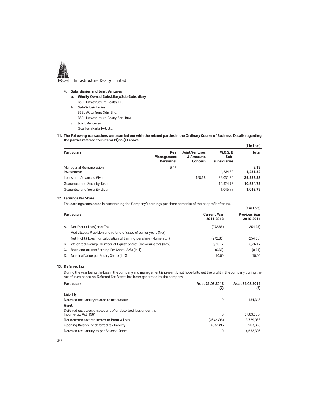

#### 4. Subsidiaries and Joint Ventures

- a. Wholly Owned Subsidiary/Sub-Subsidiary
	- BSEL Infrastructure Realty FZE
- b. Sub-Subsidiaries BSEL Waterfront Sdn. Bhd. BSEL Infrastructure Realty Sdn. Bhd.
- c. Joint Ventures
- Goa Tech Parks Pvt. Ltd.
- 11. The Following transactions were carried out with the related parties in the Ordinary Course of Business. Details regarding the parties referred to in items (1) to (4) above

|                                        |                                       |                                                        |                                             | (₹ In Lacs)      |
|----------------------------------------|---------------------------------------|--------------------------------------------------------|---------------------------------------------|------------------|
| <b>Particulars</b>                     | Key<br><b>Management</b><br>Personnel | <b>Joint Ventures</b><br>& Associate<br><b>Concern</b> | <b>W.O.S. &amp;</b><br>Sub-<br>subsidiaries | <b>Total</b>     |
| Managerial Remuneration<br>Investments | 6.17                                  |                                                        | 4,234.32                                    | 6.17<br>4,234.32 |
| Loans and Advances Given               |                                       | 198.58                                                 | 29.031.30                                   | 29,229.88        |
| Guarantee and Security Taken           |                                       |                                                        | 10.924.72                                   | 10,924.72        |
| Guarantee and Security Given           |                                       |                                                        | 1,045.77                                    | 1,045.77         |

### 12. Earnings Per Share

The earnings considered in ascertaining the Company's earnings per share comprise of the net profit after tax.

|    | The carrings considered in ascendining are company's carrings per share comprise or the net pront arter tax. |                                  | (₹ in Lacs)                       |
|----|--------------------------------------------------------------------------------------------------------------|----------------------------------|-----------------------------------|
|    | <b>Particulars</b>                                                                                           | <b>Current Year</b><br>2011-2012 | <b>Previous Year</b><br>2010-2011 |
| А. | Net Profit (Loss) after Tax                                                                                  | (272.85)                         | (254.33)                          |
|    | Add: Excess Provision and refund of taxes of earlier years (Net)                                             |                                  |                                   |
|    | Net Profit (Loss) for calculation of Earning per share (Numerator)                                           | (272.85)                         | (254.33)                          |
| В. | Weighted Average Number of Equity Shares (Denominator) (Nos.)                                                | 8.26.17                          | 8.26.17                           |
|    | Basic and diluted Earning Per Share (A/B) (In ₹)                                                             | (0.33)                           | (0.31)                            |
| D. | Nominal Value per Equity Share (In ₹)                                                                        | 10.00                            | 10.00                             |

#### 13. Deferred tax

During the year being the loss in the company and management is presently not hopeful to get the profit in the company during the near future hence no Deferred Tax Assets has been generated by the company.

| <b>Particulars</b>                                                                  | As at 31.03.2012<br>(3) | As at 31.03.2011<br>(₹) |
|-------------------------------------------------------------------------------------|-------------------------|-------------------------|
| Liability                                                                           |                         |                         |
| Deferred tax liability related to fixed assets                                      | 0                       | 134.343                 |
| Asset                                                                               |                         |                         |
| Deferred tax assets on account of unabsorbed loss under the<br>Income-tax Act. 1961 | 0                       | (3,863,376)             |
| Net deferred tax transferred to Profit & Loss                                       | (4632396)               | 3,729,033               |
| Opening Balance of deferred tax liability                                           | 4632396                 | 903.363                 |
| Deferred tax liability as per Balance Sheet                                         | 0                       | 4,632,396               |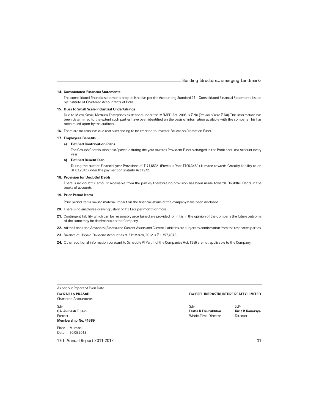#### 14. Consolidated Financial Statements

The consolidated financial statements are published as per the Accounting Standard 21 - Consolidated Financial Statements issued by Institute of Chartered Accountants of India.

### 15. Dues to Small Scale Industrial Undertakings

Due to Micro, Small, Medium Enterprises as defined under the MSMED Act, 2006 is ₹ Nil (Previous Year ₹ Nil). This information has been determined to the extent such parties have been identified on the basis of information available with the company. This has been relied upon by the auditors.

16. There are no amounts due and outstanding to be credited to Investor Education Protection Fund.

#### 17. Employees Benefits

#### a) Defined Contribution Plans

The Group's Contribution paid/ payable during the year towards Provident Fund is charged in the Profit and Loss Account every year

#### b) Defined Benefit Plan

During the current Financial year Provisions of ₹ 71,653/- (Previous Year ₹105,346/-) is made towards Gratuity liability as on 31.03.2012 under the payment of Gratuity Act,1972.

#### 18. Provision for Doubtful Debts

There is no doubtful amount receivable from the parties, therefore no provision has been made towards Doubtful Debts in the books of accounts.

#### 19. Prior Period Items

Prior period items having material impact on the financial affairs of the company have been disclosed.

- 20. There is no employee drawing Salary of  $\overline{\mathfrak{c}}$  2 Lacs per month or more.
- 21. Contingent liability which can be reasonably ascertained are provided for if it is in the opinion of the Company the future outcome of the same may be detrimental to the Company.
- 22. All the Loans and Advances (Assets) and Current Assets and Current Liabilities are subject to confirmation from the respective parties.
- 23. Balance of Unpaid Dividend Account as at  $31<sup>st</sup>$  March, 2012 is ₹1,357,407/-.
- 24. Other additional information pursuant to Schedule VI Part II of the Companies Act, 1956 are not applicable to the Company.

| As per our Report of Even Date                               |                                        |                  |
|--------------------------------------------------------------|----------------------------------------|------------------|
| <b>For RAJU &amp; PRASAD</b><br><b>Chartered Accountants</b> | For BSEL INFRASTRUCTURE REALTY LIMITED |                  |
| $Sd/-$                                                       | Sd                                     | Sd               |
| CA. Avinash T. Jain                                          | <b>Disha R Devrukhkar</b>              | Kirit R Kanakiya |
| Partner                                                      | Whole-Time Director                    | Director         |
| Membership No. 41689                                         |                                        |                  |
| $D0$ Mumboi                                                  |                                        |                  |

Place : Mumbai Date : 30.05.2012

17th Annual Report 2011-2012 31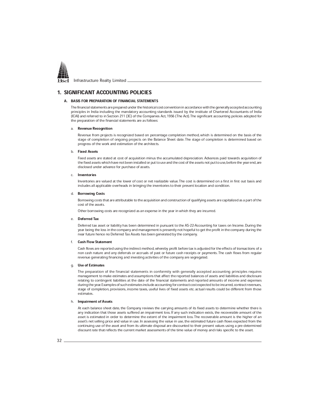

## 1. SIGNIFICANT ACCOUNTING POLICIES

#### A. BASIS FOR PREPARATION OF FINANCIAL STATEMENTS

The financial statements are prepared under the historical cost convention in accordance with the generally accepted accounting principles in India including the mandatory accounting standards issued by the institute of Chartered Accountants of India (ICAI) and referred to in Section 211 (3C) of the Companies Act, 1956 (The Act). The significant accounting policies adopted for the preparation of the financial statements are as follows:

#### a. Revenue Recognition

Revenue from projects is recognized based on percentage completion method, which is determined on the basis of the stage of completion of ongoing projects on the Balance Sheet date. The stage of completion is determined based on progress of the work and estimation of the architects.

#### b. Fixed Assets

Fixed assets are stated at cost of acquisition minus the accumulated depreciation. Advances paid towards acquisition of the fixed assets which have not been installed or put to use and the cost of the assets not put to use, before the year end, are disclosed under advance for purchase of assets.

#### c. Inventories

Inventories are valued at the lower of cost or net realizable value. The cost is determined on a first in first out basis and includes all applicable overheads in bringing the inventories to their present location and condition.

#### d. Borrowing Costs

Borrowing costs that are attributable to the acquisition and construction of qualifying assets are capitalized as a part of the cost of the assets.

Other borrowing costs are recognized as an expense in the year in which they are incurred.

#### e. Deferred Tax

Deferred tax asset or liability has been determined in pursuant to the AS-22-Accounting for taxes on Income. During the year being the loss in the company and management is presently not hopeful to get the profit in the company during the near future hence no Deferred Tax Assets has been generated by the company.

#### f. Cash Flow Statement

Cash flows are reported using the indirect method, whereby profit before tax is adjusted for the effects of transactions of a non cash nature and any deferrals or accruals of past or future cash receipts or payments. The cash flows from regular revenue generating financing and investing activities of the company are segregated.

#### g. Use of Estimates

The preparation of the financial statements in conformity with generally accepted accounting principles requires management to make estimates and assumptions that affect the reported balances of assets and liabilities and disclosure relating to contingent liabilities at the date of the financial statements and reported amounts of income and expenses during the year. Examples of such estimates include accounting for contract cost expected to be incurred, contract revenues, stage of completion, provisions, income taxes, useful lives of fixed assets etc. actual results could be different from those estimates.

#### h. Impairment of Assets

At each balance sheet date, the Company reviews the carrying amounts of its fixed assets to determine whether there is any indication that those assets suffered an impairment loss. If any such indication exists, the recoverable amount of the asset is estimated in order to determine the extent of the impairment loss. The recoverable amount is the higher of an asset's net selling price and value in use. In assessing the value in use, the estimated future cash flows expected from the continuing use of the asset and from its ultimate disposal are discounted to their present values using a pre-determined discount rate that reflects the current market assessments of the time value of money and risks specific to the asset.

 $32 -$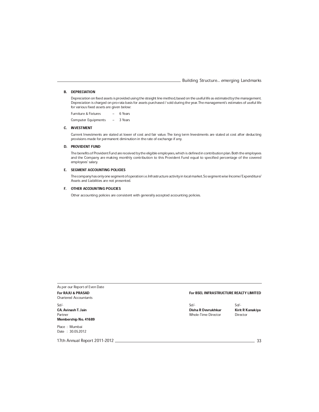#### B. DEPRECIATION

Depreciation on fixed assets is provided using the straight line method, based on the useful life as estimated by the management. Depreciation is charged on pro-rata basis for assets purchased / sold during the year. The management's estimates of useful life for various fixed assets are given below:

Furniture & Fixtures  $- 6$  Years

Computer Equipments - 3 Years

### C. INVESTMENT

Current Investments are stated at lower of cost and fair value. The long term Investments are stated at cost after deducting provisions made for permanent diminution in the rate of exchange if any.

#### D. PROVIDENT FUND

The benefits of Provident Fund are received by the eligible employees, which is defined in contribution plan. Both the employees and the Company are making monthly contribution to this Provident Fund equal to specified percentage of the covered employees' salary.

#### E. SEGMENT ACCOUNTING POLICIES

The company has only one segment of operation i.e. Infrastructure activity in local market. So segment wise Income/ Expenditure/ Assets and Liabilities are not presented.

#### F. OTHER ACCOUNTING POLICIES

Other accounting policies are consistent with generally accepted accounting policies.

As per our Report of Even Date Chartered Accountants

Sd/- Sd/- Sd/- CA. Avinash T. Jain Disha R Devrukhkar Kirit R Kanakiya Membership No. 41689

Place : Mumbai Date : 30.05.2012

17th Annual Report 2011-2012 33

#### For RAJU & PRASAD For BSEL INFRASTRUCTURE REALTY LIMITED

Whole-Time Director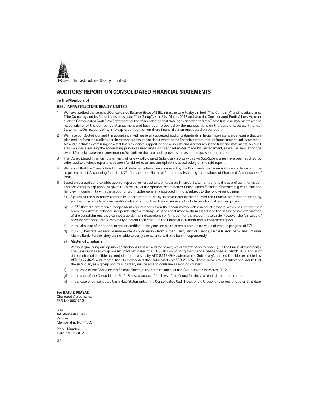

## AUDITORS' REPORT ON CONSOLIDATED FINANCIAL STATEMENTS

#### To the Members of

#### BSEL INFRASTRUCTURE REALTY LIMITED

- We have audited the attached Consolidated Balance Sheet of BSEL Infrastructure Realty Limited ("The Company") and its subsidiaries (The Company and its Subsidiaries constitute ªThe Groupº)as at 31st March, 2012 and also the Consolidated Profit & Loss Account and the Consolidated Cash Flow Statement for the year ended on that date both annexed thereto. These financial statements are the responsibility of the Company's Management and have been prepared by the management on the basis of separate Financial Statements. Our responsibility is to express an opinion on these financial statements based on our audit.
- 2. We have conducted our audit in accordance with generally accepted auditing standards in India. Those standards require that we plan and perform the audit to obtain reasonable assurance about whether the financial statements are free of material mis-statement. An audit includes examining, on a test basis, evidence supporting the amounts and disclosures in the financial statements. An audit also includes assessing the accounting principles used and significant estimates made by management, as well as evaluating the overall financial statement presentation. We believe that our audit provides a reasonable basis for our opinion.
- 3. The Consolidated Financial Statements of one wholly owned Subsidiary along with two Sub-Subsidiaries have been audited by other auditors whose reports have been furnished to us and our opinion is based solely on the said report.
- 4. We report that the Consolidated Financial Statements have been prepared by the Company's management in accordance with the requirements of Accounting Standards-21, Consolidated Financial Statements issued by the Institute of Chartered Accountants of India.
- 5. Based on our audit and consideration of report of other auditors, on separate Financial Statements and to the best of our information and according to explanations given to us, we are of the opinion that attached Consolidated Financial Statements gives a true and fair view in conformity with the accounting principles generally accepted in India. Subject to the followings opinion :
	- a) Figures of the subsidiary companies incorporated in Malaysia have been extracted from the financial statement audited by another firm of independent auditor, which has modified their opinion and include para for matter of emphasis.
	- b) In FZE they did not receive independent confirmations from the accounts receivable, account payable, which has limited their scope to verify the balances independently, the management has confirmed to them that due to the nature of sales transaction of the establishment, they cannot provide the independent confirmation for the account receivable. However the fair value of account receivable is not materially different than stated in the financial statement and is considered good.
	- c) In the absence of independent valuer certificate , they are unable to express opinion on value of work in progress of FZE.
	- d) In FZE ,They did not receive independent confirmation from Ajman Bank, Bank of Baroda, Dubai Islamic bank and Emirates Islamic Bank, Further they are not able to verify the balance with the bank Independently.

#### e) Matter of Emphasis

Without qualifying our opinion as disclosed in other auditor report, we draw attention to note 1(i) in the financial statements. The subsidiary as a Group has incurred net losses of AED 8,518,494/- during the financial year ended 31 March 2012 and as of date, their total liabilities exceeded its total assets by AED 8,518,494/-, whereas the Subsidiary's current liabilities exceeded by AED 2,422,462/- and its total liabilities exceeded their total assets by AED 28,225/-. These factors raised substantial doubt that the subsidiary as a group and its subsidiary will be able to continue as a going concern.

- f) In the case of the Consolidated Balance Sheet, of the state of affairs of the Group as at 31st March, 2012.
- g) In the case of the Consolidated Profit & Loss account, of the Loss of the Group for the year ended on that date; and
- h) In the case of Consolidated Cash Flow Statement, of the Consolidated Cash Flows of the Group for the year ended on that date.

For RAJU & PRASAD Chartered Accountants

FRN NO. 003475 S

Sd/- CA. Avinash T. Jain Partner Membership No. 41689

Place : Mumbai Date : 30.05.2012

34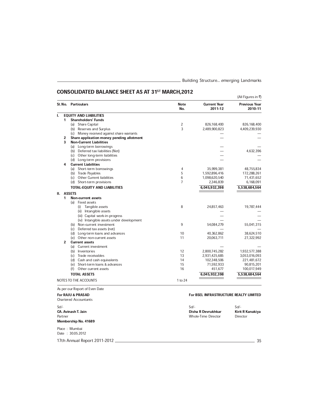## CONSOLIDATED BALANCE SHEET AS AT 31ST MARCH,2012

| SI. No.        | <b>Particulars</b>                           | <b>Note</b><br>No. | <b>Current Year</b><br>2011-12 | <b>Previous Year</b><br>2010-11 |
|----------------|----------------------------------------------|--------------------|--------------------------------|---------------------------------|
| ı.             | <b>EQUITY AND LIABILITIES</b>                |                    |                                |                                 |
| 1              | <b>Shareholders' Funds</b>                   |                    |                                |                                 |
|                | <b>Share Capital</b><br>(a)                  | 2                  | 826,168,400                    | 826,168,400                     |
|                | (b) Reserves and Surplus                     | 3                  | 2,489,900,823                  | 4,409,239,930                   |
|                | Money received against share warrants<br>(c) |                    |                                |                                 |
| 2              | Share application money pending allotment    |                    |                                |                                 |
| 3              | <b>Non-Current Liabilities</b>               |                    |                                |                                 |
|                | (a) Long-term borrowings                     |                    |                                |                                 |
|                | (b) Deferred tax liabilities (Net)           |                    |                                | 4,632,396                       |
|                | (c)<br>Other long-term liabilities           |                    |                                |                                 |
|                | (d) Long-term provisions                     |                    |                                |                                 |
| Δ              | <b>Current Liabilities</b>                   |                    |                                |                                 |
|                | Short-term borrowings<br>(a)                 | 4                  | 35,999,381                     | 48,755,834                      |
|                | <b>Trade Payables</b><br>(b)                 | 5                  | 1,592,896,416                  | 172,288,261                     |
|                | (c)<br><b>Other Current liabilities</b>      | 6                  | 1,098,620,540                  | 71,431,652                      |
|                | (d) Short-term provisions                    | 7                  | 2,346,839                      | 6,168,091                       |
|                | <b>TOTAL-EQUITY AND LIABILITIES</b>          |                    | 6,045,932,398                  | 5,538,684,564                   |
| Ш.             | <b>ASSETS</b>                                |                    |                                |                                 |
| 1              | <b>Non-current assets</b>                    |                    |                                |                                 |
|                | (a)<br><b>Fixed assets</b>                   |                    |                                |                                 |
|                | (i)<br>Tangible assets                       | 8                  | 24,857,463                     | 19,787,444                      |
|                | (ii) Intangible assets                       |                    |                                |                                 |
|                | (iii) Capital work-in-progress               |                    |                                |                                 |
|                | (iv) Intangible assets under development     |                    |                                |                                 |
|                | Non-current investment<br>(b)                | 9                  | 54,084,279                     | 55,041,315                      |
|                | (c)<br>Deferred tax assets (net)             |                    |                                |                                 |
|                | Long-term loans and advances<br>(d)          | 10                 | 40,362,862                     | 38,624,510                      |
|                | (e)<br>Other non-current assets              | 11                 | 20,063,711                     | 27,322,992                      |
| $\overline{2}$ | <b>Current assets</b>                        |                    |                                |                                 |
|                | (a)<br>Current investment                    |                    |                                |                                 |
|                | (b) Inventories                              | 12                 | 2,800,745,282                  | 1,932,577,388                   |
|                | (c)<br>Trade receivables                     | 13                 | 2,931,425,685                  | 3,053,016,093                   |
|                | (d)<br>Cash and cash equivalents             | 14                 | 102,348,506                    | 221,481,672                     |
|                | (e)<br>Short-term loans & advances           | 15                 | 71,592,933                     | 90,815,201                      |
|                | (f)<br>Other current assets                  | 16                 | 451,677                        | 100,017,949                     |
|                | <b>TOTAL ASSETS</b>                          |                    | 6,045,932,398                  | 5,538,684,564                   |
|                | <b>NOTES TO THE ACCOUNTS</b>                 | 1 to 24            |                                |                                 |
|                |                                              |                    |                                |                                 |

| <b>Chartered Accountants</b>                                        |                                                     |                                        |
|---------------------------------------------------------------------|-----------------------------------------------------|----------------------------------------|
| Sd<br><b>CA. Avinash T. Jain</b><br>Partner<br>Membership No. 41689 | $Sd$ -<br>Disha R Devrukhkar<br>Whole-Time Director | $Sd$ .<br>Kirit R Kanakiya<br>Director |
| Place: Mumbai<br>Date: 30.05.2012                                   |                                                     |                                        |
| 17th Annual Report 2011-2012                                        |                                                     | 35                                     |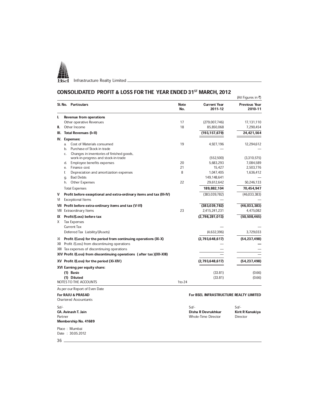

**Infrastructure Realty Limited** <u>Community Realty Realty Realty Realty Realty Realty Realty Realty Realty Realty Realty Realty Realty Realty Realty Realty Realty Realty Realty Realty Realty Realty Realty Realty Realty Real</u>

# CONSOLIDATED PROFIT & LOSS FOR THE YEAR ENDED 31ST MARCH, 2012

|        |                                                                         |                    |                                        | (All Figures in ₹)              |
|--------|-------------------------------------------------------------------------|--------------------|----------------------------------------|---------------------------------|
|        | <b>SI. No. Particulars</b>                                              | <b>Note</b><br>No. | <b>Current Year</b><br>2011-12         | <b>Previous Year</b><br>2010-11 |
| ı.     | <b>Revenue from operations</b>                                          |                    |                                        |                                 |
|        | Other operative Revenues                                                | 17                 | (279,007,746)                          | 17,131,110                      |
| н.     | Other Income                                                            | 18                 | 85,850,068                             | 7,290,454                       |
| Ш.     | <b>Total Revenues (I+II)</b>                                            |                    | (193, 157, 679)                        | 24,421,564                      |
|        | IV. Expenses:                                                           |                    |                                        |                                 |
|        | Cost of Materials consumed<br>a.                                        | 19                 | 4,927,196                              | 12,294,612                      |
|        | Purchase of Stock in trade<br>$b$                                       |                    |                                        |                                 |
|        | Changes in inventories of finished goods,<br>c.                         |                    |                                        |                                 |
|        | work-in-progress and stock-in-trade<br>Employee benefits expenses<br>d. | 20                 | (552,500)<br>5,683,293                 | (3,310,575)<br>7,084,589        |
|        | Finance cost<br>е.                                                      | 21                 | 15,427                                 | 2,503,776                       |
|        | f.<br>Depreciation and amortization expenses                            | 8                  | 1,047,405                              | 1,636,412                       |
|        | <b>Bad Debts</b><br>g.                                                  |                    | 149,148,641                            |                                 |
|        | <b>Other Expenses</b><br>h.                                             | 22                 | 29,612,642                             | 50,246,133                      |
|        | <b>Total Expenses</b>                                                   |                    | 189,882,104                            | 70,454,947                      |
| V      | Profit before exceptional and extra-ordinary items and tax (III-IV)     |                    | (383, 039, 782)                        | (46,033,383)                    |
| VI     | <b>Exceptional Items</b>                                                |                    |                                        |                                 |
| VII    | Profit before extra-ordinary items and tax (V-VI)                       |                    | (383,039,782)                          | (46, 033, 383)                  |
|        | VIII Extraordinary Items                                                | 23                 | 2,415,241,231                          | 4,475,082                       |
| IX     | Profit/(Loss) before tax                                                |                    | (2,798,281,013)                        | (50, 508, 465)                  |
| X      | <b>Tax Expenses</b>                                                     |                    |                                        |                                 |
|        | <b>Current Tax</b>                                                      |                    |                                        |                                 |
|        | Deferred Tax Liability/(Assets)                                         |                    | (4,632,396)                            | 3,729,033                       |
| XI.    | Profit /(Loss) for the period from continuing operations (IX-X)         |                    | (2,793,648,617)                        | (54, 237, 498)                  |
|        | XII Profit /(Loss) from discontinuing operations                        |                    |                                        |                                 |
|        | XIII Tax expenses of discontinuing operations                           |                    |                                        |                                 |
|        | XIV Profit /(Loss) from discontinuing operations (after tax )(XII-XIII) |                    |                                        |                                 |
|        | XV Profit /(Loss) for the period (XI-XIV)                               |                    | (2,793,648,617)                        | (54, 237, 498)                  |
|        | XVI Earning per equity share:                                           |                    |                                        |                                 |
|        | (1) Basic                                                               |                    | (33.81)                                | (0.66)                          |
|        | (1) Diluted                                                             |                    | (33.81)                                | (0.66)                          |
|        | <b>NOTES TO THE ACCOUNTS</b>                                            | 1to 24             |                                        |                                 |
|        | As per our Report of Even Date                                          |                    |                                        |                                 |
|        | <b>For RAJU &amp; PRASAD</b>                                            |                    | For BSEL INFRASTRUCTURE REALTY LIMITED |                                 |
|        | <b>Chartered Accountants</b>                                            |                    |                                        |                                 |
| $Sd$ - |                                                                         |                    | Sd                                     | $Sd$ -                          |
|        | <b>CA. Avinash T. Jain</b>                                              |                    | Disha R Devrukhkar                     | Kirit R Kanakiya                |
|        | Partner                                                                 |                    | Whole-Time Director                    | Director                        |
|        | Membership No. 41689                                                    |                    |                                        |                                 |
|        | Place: Mumbai                                                           |                    |                                        |                                 |

Place : Mumbai Date : 30.05.2012

36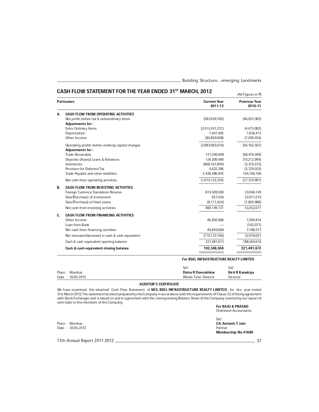## CASH FLOW STATEMENT FOR THE YEAR ENDED 31ST MARCH, 2012

|           | <u>VASH FLOW STATEMENT FOR THE TEAR CNDED ST. MARGH, ZUTZ</u>               |                                | (All Figures in ₹)              |
|-----------|-----------------------------------------------------------------------------|--------------------------------|---------------------------------|
|           | <b>Particulars</b>                                                          | <b>Current Year</b><br>2011-12 | <b>Previous Year</b><br>2010-11 |
| А.        | <b>CASH FLOW FROM OPERATING ACTIVITIES</b>                                  |                                |                                 |
|           | Net profit before tax & extraordinary items<br><b>Adjustments for:</b>      | (383,039,782)                  | (46,033,383)                    |
|           | <b>Extra Ordinary Items</b>                                                 | (2,415,241,231)                | (4,475,082)                     |
|           | Depreciation                                                                | 1.047.405                      | 1,636,412                       |
|           | Other Income                                                                | (85, 850, 068)                 | (7, 290, 454)                   |
|           | Operating profits before working capital changes<br><b>Adjustments for:</b> | (2,883,083,676)                | (56, 162, 507)                  |
|           | Trade Receivable                                                            | 121,590,408                    | (58, 476, 049)                  |
|           | Deposits (Assets) Loans & Advances                                          | 124,309,469                    | (10, 212, 994)                  |
|           | Inventories                                                                 | (868, 167, 894)                | (3,310,575)                     |
|           | Provision for Deferred Tax                                                  | 4,632,396                      | (3,729,033)                     |
|           | Trade Payable and other liabilities                                         | 2,426,586,943                  | 104,166,166                     |
|           | Net cash from operating activities                                          | (1,074,132,355)                | (27, 724, 991)                  |
| <b>B.</b> | <b>CASH FLOW FROM INVESTING ACTIVITIES</b>                                  |                                |                                 |
|           | Foreign Currency Translation Reserve                                        | 874,309,509                    | 33,046,149                      |
|           | Sale/(Purchase) of investment                                               | 957.036                        | 22,011,510                      |
|           | Sale/(Purchase) of fixed assets                                             | (6, 117, 424)                  | (1,604,988)                     |
|           | Net cash from investing activities                                          | 869.149.121                    | 53.452.671                      |
| C.        | <b>CASH FLOW FROM FINANCING ACTIVITIES</b>                                  |                                |                                 |
|           | Other Income                                                                | 85,850,068                     | 7,290,454                       |
|           | Loan from Bank                                                              |                                | (102, 077)                      |
|           | Net cash from financing activities                                          | 85,850,068                     | 7,188,377                       |
|           | Net increase/(decrease) in cash & cash equivalent                           | (119, 133, 166)                | 32,916,057                      |
|           | Cash & cash equivalent opening balance                                      | 221,481,672                    | 188,565,616                     |
|           | Cash & cash equivalent closing balance                                      | 102.348.506                    | 221,481,672                     |
|           |                                                                             |                                |                                 |

#### For BSEL INFRASTRUCTURE REALTY LIMITED

|                  | Sd/·                | Sd               |
|------------------|---------------------|------------------|
| Place: Mumbai    | Disha R Devrukhkar  | Kirit R Kanakiya |
| Date: 30.05.2012 | Whole-Time Director | Director         |

#### AUDITOR'S CERTIFICATE

We have examined the attached Cash Flow Statement of M/S. BSEL INFRASTRUCTURE REALTY LIMITED, for the year ended 31st March 2012. The statement has been prepared by the Company in accordance with the requirements of Clause 32 of listing agreement<br>with Stock Exchanges and is based on and in agreement with the corresponding Balance She even date to the members of the Company.

For RAJU & PRASAD Chartered Accountants Sd/- Place : Mumbai CA. Avimash T. Jain Care CA. Avimash T. Jain CA. Avimash T. Jain CA. Avimash T. Jain CA. Avimash T Date : 30.05.2012 Partner Membership No.41689

17th Annual Report 2011-2012 37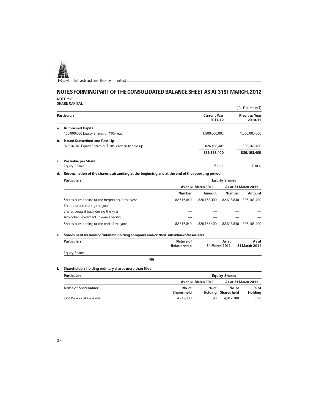

## NOTES FORMING PART OF THE CONSOLIDATED BALANCE SHEET AS AT 31ST MARCH, 2012 **NOTE : "2"**

SHARE CAPITAL

|    |                                                                                              |                                | ( All Figures in ₹)             |
|----|----------------------------------------------------------------------------------------------|--------------------------------|---------------------------------|
|    | <b>Particulars</b>                                                                           | <b>Current Year</b><br>2011-12 | <b>Previous Year</b><br>2010-11 |
| a. | <b>Authorised Capital</b><br>150,000,000 Equity Shares of ₹10/- each                         | 1.500.000.000                  | 1.500.000.000                   |
| b. | <b>Issued Subscribed and Paid Up</b><br>82,616,840 Equity Shares of ₹10/- each fully paid up | 826.168.400                    | 826,168,400                     |
|    |                                                                                              | 826,168,400                    | 826,168,400                     |
| c. | Par value per Share                                                                          |                                |                                 |
|    | <b>Equity Shares</b>                                                                         | ₹ 10/-                         | ₹ 10 /-                         |

## d. Reconciliation of the shares outstanding at the beginning and at the end of the reporting period

| <b>Particulars</b>                              |               | <b>Equity Shares</b>       |               |                     |
|-------------------------------------------------|---------------|----------------------------|---------------|---------------------|
|                                                 |               | <b>As at 31 March 2012</b> |               | As at 31 March 2011 |
|                                                 | <b>Number</b> | Amount                     | <b>Number</b> | Amount              |
| Shares outstanding at the beginning of the year | 82.616.840    | 826.168.400                | 82.616.840    | 826.168.400         |
| Shares Issued during the year                   |               |                            |               |                     |
| Shares bought back during the year              |               |                            |               |                     |
| Any other movement (please specify)             |               |                            |               |                     |
| Shares outstanding at the end of the year       | 82.616.840    | 826.168.400                | 82.616.840    | 826.168.400         |

| Shares held by holding/ultimate holding company and/or their subsidiaries/associates<br>е. |                                                     |                     |                     |                      |                     |
|--------------------------------------------------------------------------------------------|-----------------------------------------------------|---------------------|---------------------|----------------------|---------------------|
|                                                                                            | <b>Particulars</b>                                  | Nature of           |                     | As at                | As at               |
|                                                                                            |                                                     | <b>Relationship</b> |                     | 31 March 2012        | 31 March 2011       |
|                                                                                            | <b>Equity Shares</b>                                |                     |                     |                      |                     |
|                                                                                            |                                                     | <b>NA</b>           |                     |                      |                     |
| f.                                                                                         | Shareholders holding ordinary shares more than 5% : |                     |                     |                      |                     |
|                                                                                            | <b>Particulars</b>                                  |                     |                     | <b>Equity Shares</b> |                     |
|                                                                                            |                                                     |                     | As at 31 March 2012 |                      | As at 31 March 2011 |
|                                                                                            | <b>Name of Shareholder</b>                          | No. of              | $%$ of              | No. of               | $%$ of              |
|                                                                                            |                                                     | <b>Shares held</b>  |                     | Holding Shares held  | <b>Holding</b>      |
|                                                                                            | Kirit Ramniklal Kanakiya                            | 4.942.180           | 5.98                | 4.942.180            | 5.98                |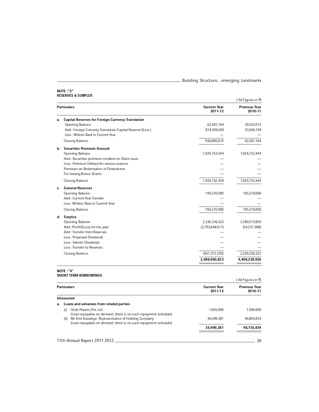#### NOTE : ª3º RESERVES & SURPLUS

|                                                                                                                                                                                                                                 |                                                                      | (All Figures in ₹)                                                |
|---------------------------------------------------------------------------------------------------------------------------------------------------------------------------------------------------------------------------------|----------------------------------------------------------------------|-------------------------------------------------------------------|
| <b>Particulars</b>                                                                                                                                                                                                              | <b>Current Year</b><br>2011-12                                       | <b>Previous Year</b><br>2010-11                                   |
| <b>Capital Reserves for Foreign Currency Translation</b><br>а.<br>Opening Balance<br>Add: Foreign Currenty Translation Capital Reserve/(Loss)<br>Less: Written Back in Current Year<br><b>Closing Balance</b>                   | 62,581,164<br>874,309,509<br>936,890,674                             | 29,535,015<br>33,046,149<br>62,581,164                            |
| <b>Securities Premium Account</b><br>b.<br>Opening Balnace<br>Add : Securities premium credited on Share issue<br>Less: Premium Utilised for various reasons<br>Premium on Redemption of Debentures<br>For Issuing Bonus Shares | 1,924,752,444                                                        | 1,924,752,444                                                     |
| <b>Closing Balance</b><br><b>General Reserves</b><br>c.<br>Opening Balance<br>Add: Current Year Transfer<br>Less: Written Back in Current Year<br><b>Closing Balance</b>                                                        | 1,924,752,444<br>195,570,000<br>195,570,000                          | 1,924,752,444<br>195,570,000<br>195,570,000                       |
| <b>Surplus</b><br>d.<br>Opening Balance<br>Add: Profit/(Loss) for the year<br>Add: Transfer from Reserves<br>Less: Proposed Dividends<br>Less : Interim Dividends<br>Less: Transfer to Reserves<br><b>Closing Balance</b>       | 2,226,336,322<br>(2,793,648,617)<br>(567, 312, 295)<br>2,489,900,823 | 2,280,573,820<br>(54, 237, 498)<br>2,226,336,322<br>4,409,239,930 |

#### NOTE : "4" SHORT TERM BORROWINGS

|    |                                                                                                                                   |                                | ' All Figures in ₹ੋ)            |
|----|-----------------------------------------------------------------------------------------------------------------------------------|--------------------------------|---------------------------------|
|    | <b>Particulars</b>                                                                                                                | <b>Current Year</b><br>2011-12 | <b>Previous Year</b><br>2010-11 |
|    | <b>Unsecured</b>                                                                                                                  |                                |                                 |
| a. | Loans and advances from related parties                                                                                           |                                |                                 |
|    | Orbit Plastics Pvt. Ltd.<br>(i)<br>(Loan repayable on demand , there is no such repayment schedule)                               | 1.950.000                      | 1.950.000                       |
|    | Mr. Kirit Kanakiya- Representative of Holding Company<br>(ii)<br>(Loan repayable on demand , there is no such repayment schedule) | 34.049.381                     | 46.805.834                      |
|    |                                                                                                                                   | 35,999,381                     | 48,755,834                      |
|    | 17th Annual Report 2011-2012                                                                                                      |                                | 39                              |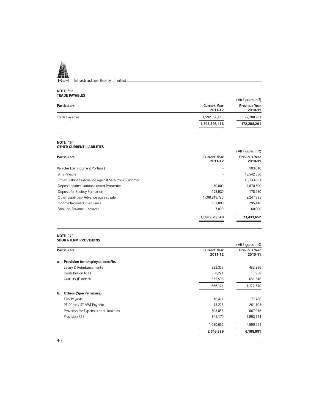

#### NOTE : ª5º TRADE PAYABLES

|                       |                                | (All Figures in ₹)              |
|-----------------------|--------------------------------|---------------------------------|
| <b>Particulars</b>    | <b>Current Year</b><br>2011-12 | <b>Previous Year</b><br>2010-11 |
| <b>Trade Payables</b> | 1,592,896,416                  | 172,288,261                     |
|                       | 1,592,896,416                  | 172,288,261                     |
|                       |                                |                                 |

#### NOTE : ª6º OTHER CURRENT LIABILITIES

|                                                      |                                | (All Figures in ₹)              |
|------------------------------------------------------|--------------------------------|---------------------------------|
| <b>Particulars</b>                                   | <b>Current Year</b><br>2011-12 | <b>Previous Year</b><br>2010-11 |
| Vehicles Loan (Current Portion)                      |                                | 103.010                         |
| <b>Bills Payable</b>                                 |                                | 18,542,550                      |
| Other Liabilities-Advance against Sale/from Customer |                                | 48.133.881                      |
| Deposit against various Leased Properties            | 50.000                         | 1,870,500                       |
| Deposit for Society Formation                        | 178.930                        | 178,930                         |
| Other Liabilities- Advance against sale              | 1.098.249.720                  | 2,247,335                       |
| Income Received in Advance                           | 134.890                        | 295,446                         |
| Booking Advance - Kevadia                            | 7.000                          | 60.000                          |
|                                                      | 1,098,620,540                  | 71,431,652                      |
|                                                      |                                |                                 |

#### NOTE : ª7º SHORT-TERM PROVISIONS

| <b>JITURI "ILNIVI FRUVIJIUIVJ</b>      |                                | All Figures in ₹)               |
|----------------------------------------|--------------------------------|---------------------------------|
| <b>Particulars</b>                     | <b>Current Year</b><br>2011-12 | <b>Previous Year</b><br>2010-11 |
| Provision for employee benefits<br>a.  |                                |                                 |
| Salary & Reimbursements                | 322,357                        | 482,236                         |
| Contribution to PF                     | 8,221                          | 13,958                          |
| Gratuity (Funded)                      | 335,596                        | 681,346                         |
|                                        | 666,174                        | 1,177,540                       |
| <b>Others (Specify nature)</b><br>b.   |                                |                                 |
| <b>TDS Payable</b>                     | 16,411                         | 77,786                          |
| PT / Cess / ST / VAT Payable           | 13,226                         | 251,105                         |
| Provision for Expenses and Liabilities | 805,858                        | 667,916                         |
| Provision FZE                          | 845,170                        | 3,993,744                       |
|                                        | 1,680,665                      | 4,990,551                       |
|                                        | 2,346,839                      | 6,168,091                       |
| 40                                     |                                |                                 |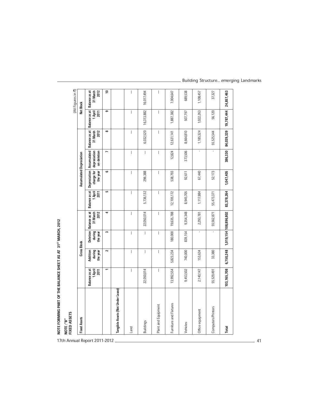| <b>Fixed Assets</b>               |                                                                                                                                                                                                                                                                                                                                                                                  | <b>Gross Block</b>                    |                                |                                   |                                  | <b>Accumulated Depreciation</b>               |                                            |                                       |                                       | (All Figures in ₹)<br>Net Block          |
|-----------------------------------|----------------------------------------------------------------------------------------------------------------------------------------------------------------------------------------------------------------------------------------------------------------------------------------------------------------------------------------------------------------------------------|---------------------------------------|--------------------------------|-----------------------------------|----------------------------------|-----------------------------------------------|--------------------------------------------|---------------------------------------|---------------------------------------|------------------------------------------|
|                                   | <b>Balance as at</b><br>1 April<br>2011                                                                                                                                                                                                                                                                                                                                          | <b>Addition</b><br>during<br>the year | Deletion<br>during<br>the year | 2012<br>Balance as at<br>31 March | Balance as at<br>1 April<br>2011 | <b>Depreciation</b><br>charge for<br>the year | Accumulated<br>depreciation<br>on deletion | Balance as at<br>2012<br>31 March     | Balance as at<br>1 April<br>2011      | <b>Balance as at</b><br>31 March<br>2012 |
|                                   | $\overline{ }$                                                                                                                                                                                                                                                                                                                                                                   | $\sim$                                | S                              | 4                                 | LO.                              | ဖ                                             | r                                          | $\infty$                              | ക                                     | S                                        |
| Tangible Assets (Not Under Lease) |                                                                                                                                                                                                                                                                                                                                                                                  |                                       |                                |                                   |                                  |                                               |                                            |                                       |                                       |                                          |
| Land                              | $\begin{array}{c} \rule{0pt}{2.5ex} \rule{0pt}{2.5ex} \rule{0pt}{2.5ex} \rule{0pt}{2.5ex} \rule{0pt}{2.5ex} \rule{0pt}{2.5ex} \rule{0pt}{2.5ex} \rule{0pt}{2.5ex} \rule{0pt}{2.5ex} \rule{0pt}{2.5ex} \rule{0pt}{2.5ex} \rule{0pt}{2.5ex} \rule{0pt}{2.5ex} \rule{0pt}{2.5ex} \rule{0pt}{2.5ex} \rule{0pt}{2.5ex} \rule{0pt}{2.5ex} \rule{0pt}{2.5ex} \rule{0pt}{2.5ex} \rule{0$ | $\overline{\phantom{a}}$              | $\overline{\phantom{a}}$       | $\overline{\phantom{a}}$          | $\overline{\phantom{a}}$         | $\overline{\phantom{a}}$                      | $\overline{\phantom{a}}$                   | $\begin{array}{c} \hline \end{array}$ | $\begin{array}{c} \hline \end{array}$ | $\overline{\phantom{a}}$                 |
| <b>Buildings</b>                  | 22,050,014                                                                                                                                                                                                                                                                                                                                                                       | $\overline{\phantom{a}}$              | $\vert$                        | 22,050,014                        | 5,736,132                        | 296,388                                       | $\begin{array}{c} \hline \end{array}$      | 6,032,520                             | 16,313,882                            | 16,017,494                               |
| Plant and Equipment               | $\overline{\phantom{a}}$                                                                                                                                                                                                                                                                                                                                                         | $\overline{\phantom{a}}$              | $\overline{\phantom{a}}$       | $\overline{\phantom{a}}$          | $\overline{\phantom{a}}$         | $\overline{\phantom{a}}$                      | $\overline{\phantom{a}}$                   | $\begin{array}{c} \hline \end{array}$ | $\begin{array}{c} \hline \end{array}$ | $\overline{\phantom{a}}$                 |
| Furniture and Fixtures            | 13,992,554                                                                                                                                                                                                                                                                                                                                                                       | 5,823,234                             | 180,000                        | 19,635,788                        | 12,105,172                       | 538,793                                       | 12,824                                     | 12,631,141                            | 1,887,382                             | 7,004,647                                |
| Vehicles                          | 9,453,502                                                                                                                                                                                                                                                                                                                                                                        | 740,000                               | 839,154                        | 9,354,348                         | 8,945,705                        | 92,611                                        | 373,506                                    | 8,664,810                             | 507,797                               | 689,538                                  |
| Office equipment                  | 2,140,147                                                                                                                                                                                                                                                                                                                                                                        | 153,634                               | $\blacksquare$                 | 2,293,781                         | 1,117,884                        | 67,440                                        | ï,                                         | 1,185,324                             | 1,022,263                             | 1,108,457                                |
| Computers/Printers                | 55,529,491                                                                                                                                                                                                                                                                                                                                                                       | 33,380                                | $\blacksquare$                 | 55,562,871                        | 55,473,371                       | 52,173                                        | $\blacksquare$                             | 55,525,544                            | 56,120                                | 37,327                                   |
| Total                             | 103,165,708                                                                                                                                                                                                                                                                                                                                                                      | 6,750,248                             |                                | 1,019,154 108,896,802             | 83,378,264                       | 1,047,405                                     | 386,330                                    | 84,039,339                            | 19,787,444                            | 24,857,463                               |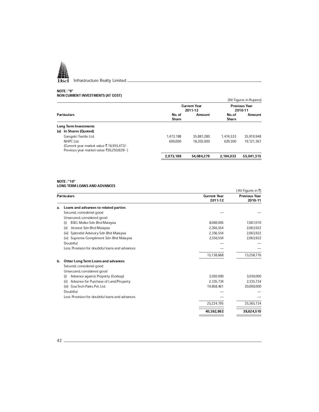

**Infrastructure Realty Limited** <u>Constructure Realty Limited</u>

#### NOTE : ª9º NON CURRENT INVESTMENTS (AT COST)

|                                                                                        |                        |                                |                        | (All Figures in Rupees)         |
|----------------------------------------------------------------------------------------|------------------------|--------------------------------|------------------------|---------------------------------|
|                                                                                        |                        | <b>Current Year</b><br>2011-12 |                        | <b>Previous Year</b><br>2010-11 |
| <b>Particulars</b>                                                                     | No. of<br><b>Share</b> | Amount                         | No. of<br><b>Share</b> | Amount                          |
| <b>Long Term Investments</b>                                                           |                        |                                |                        |                                 |
| (a) In Shares (Quoted)                                                                 |                        |                                |                        |                                 |
| Gangotri Textile Ltd.                                                                  | 1,473,188              | 35,881,280                     | 1.474.533              | 35,919,948                      |
| NHPC Ltd.                                                                              | 600.000                | 18.203.000                     | 629.500                | 19.121.367                      |
| (Current year market value ₹ 16,955,473/-<br>Previous year market value ₹26,250,829/-) |                        |                                |                        |                                 |
|                                                                                        | 2,073,188              | 54,084,279                     | 2,104,033              | 55,041,315                      |

#### NOTE : "10" LONG TERM LOANS AND ADVANCES

| <b>Current Year</b><br><b>Particulars</b><br>2011-12       | <b>Previous Year</b><br>2010-11 |
|------------------------------------------------------------|---------------------------------|
|                                                            |                                 |
| Loans and advances to related parties<br>a.                |                                 |
| Secured, considered good                                   |                                 |
| Unsecured, considered good                                 |                                 |
| <b>BSEL Molke Sdn Bhd Malaysia</b><br>8.069.005<br>(i)     | 7,067,010                       |
| Jitovest Sdn Bhd Malaysia<br>(ii)<br>2,356,554             | 2,063,922                       |
| Splendid Advisory Sdn Bhd Malaysia<br>2,356,554<br>(iii)   | 2,063,922                       |
| Supreme Compliment Sdn Bhd Malaysia<br>2,356,554<br>(iv)   | 2,063,922                       |
| Doubtful                                                   |                                 |
| Less: Provision for doubtful loans and advances            |                                 |
| 15,138,668                                                 | 13,258,776                      |
| <b>Other Long Term Loans and advances</b><br>b.            |                                 |
| Secured, considered good                                   |                                 |
| Unsecured, considered good                                 |                                 |
| Advance against Property (Gorkap)<br>3,030,000<br>(i)      | 3,030,000                       |
| Advance for Purchase of Land/Property<br>2,335,734<br>(ii) | 2,335,734                       |
| Goa Tech Parks Pvt. Ltd.<br>19.858.461<br>(iii)            | 20.000.000                      |
| Doubtful                                                   |                                 |
| Less: Provision for doubtful loans and advances            |                                 |
| 25,224,195                                                 | 25,365,734                      |
| 40.362.862                                                 | 38,624,510                      |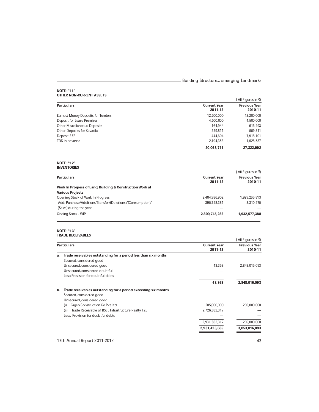#### NOTE : ª11º OTHER NON-CURRENT ASSETS

| ,,,,,,,,,,,,,,,,,,,,,,,,,,,,,,,,,,,,      |                                | ( All Figures in ₹)             |
|-------------------------------------------|--------------------------------|---------------------------------|
| <b>Particulars</b>                        | <b>Current Year</b><br>2011-12 | <b>Previous Year</b><br>2010-11 |
| <b>Earnest Money Deposits for Tenders</b> | 12,200,000                     | 12,200,000                      |
| Deposit for Lease Premises                | 4,500,000                      | 4,500,000                       |
| <b>Other Miscellaneous Deposits</b>       | 164.944                        | 616,493                         |
| Other Deposits for Kevadia                | 559.811                        | 559,811                         |
| Deposit FZE                               | 444.604                        | 7,918,101                       |
| TDS in advance                            | 2,194,353                      | 1,528,587                       |
|                                           | 20,063,711                     | 27,322,992                      |
|                                           |                                |                                 |

#### **NOTE : "12"** INVENTORIES

|                                                             |                                | ( All Figures in ₹)             |
|-------------------------------------------------------------|--------------------------------|---------------------------------|
| <b>Particulars</b>                                          | <b>Current Year</b><br>2011-12 | <b>Previous Year</b><br>2010-11 |
| Work In Progress of Land, Building & Construction Work at   |                                |                                 |
| <b>Various Projects</b>                                     |                                |                                 |
| Opening Stock of Work In Progress                           | 2.404.986.902                  | 1,929,266,813                   |
| Add: Purchase/Additions/Transfer/(Deletions)/(Consumption)/ | 395.758.381                    | 3.310.575                       |
| (Sales) during the year                                     |                                |                                 |
| Closing Stock - WIP                                         | 2,800,745,282                  | 1,932,577,388                   |
|                                                             |                                |                                 |

#### NOTE : ª13º TRADE RECEIVABLES

|    | IKAUL KELEIVADLES                                               |                                | ( All Figures in ₹)             |
|----|-----------------------------------------------------------------|--------------------------------|---------------------------------|
|    | <b>Particulars</b>                                              | <b>Current Year</b><br>2011-12 | <b>Previous Year</b><br>2010-11 |
| a. | Trade receivables outstanding for a period less than six months |                                |                                 |
|    | Secured, considered good                                        |                                |                                 |
|    | Unsecured, considered good                                      | 43,368                         | 2,848,016,093                   |
|    | Unsecured, considered doubtful                                  |                                |                                 |
|    | Less: Provision for doubtful debts                              |                                |                                 |
|    |                                                                 | 43,368                         | 2,848,016,093                   |
| b. | Trade receivables outstanding for a period exceeding six months |                                |                                 |
|    | Secured, considered good                                        |                                |                                 |
|    | Unsecured, considered good                                      |                                |                                 |
|    | Gigeo Construction Co Pvt Ltd.<br>(i)                           | 205,000,000                    | 205,000,000                     |
|    | Trade Receivable of BSEL Infrastructure Realty FZE<br>(ii)      | 2,726,382,317                  |                                 |
|    | Less: Provision for doubtful debts                              |                                |                                 |
|    |                                                                 | 2,931,382,317                  | 205,000,000                     |
|    |                                                                 | 2,931,425,685                  | 3,053,016,093                   |
|    | 17th Annual Report 2011-2012                                    |                                | 43                              |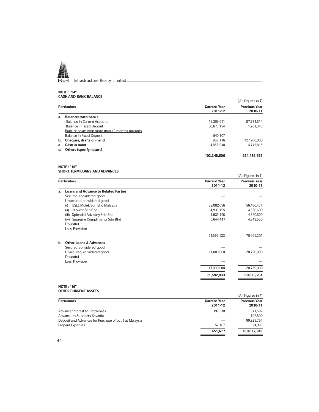

#### NOTE : ª14º CASH AND BANK BALANCE

|    |                                                 |                                | (All Figures in ₹)              |
|----|-------------------------------------------------|--------------------------------|---------------------------------|
|    | <b>Particulars</b>                              | <b>Current Year</b><br>2011-12 | <b>Previous Year</b><br>2010-11 |
| a. | <b>Balances with banks</b>                      |                                |                                 |
|    | Balance in Current Account                      | 15.309.091                     | 87.774.514                      |
|    | <b>Balance in Fixed Deposit</b>                 | 80.673.194                     | 1.761.343                       |
|    | Bank deposits with more than 12 months maturity |                                |                                 |
|    | <b>Balance in Fixed Deposit</b>                 | 540.107                        |                                 |
| b. | <b>Cheques, drafts on hand</b>                  | 967.176                        | 127,200,000                     |
| c. | Cash in hand                                    | 4.858.938                      | 4.745.815                       |
| d. | Others (specify nature)                         |                                |                                 |
|    |                                                 | 102,348,506                    | 221,481,672                     |
|    |                                                 |                                |                                 |

#### NOTE : "15"

|     | SHORT TERM LOANS AND ADVANCES               |                     |                      |
|-----|---------------------------------------------|---------------------|----------------------|
|     |                                             |                     | ( All Figures in ₹)  |
|     | <b>Particulars</b>                          | <b>Current Year</b> | <b>Previous Year</b> |
|     |                                             | 2011-12             | 2010-11              |
| a.  | <b>Loans and Advance to Related Parties</b> |                     |                      |
|     | Secured, considered good                    |                     |                      |
|     | Unsecured, considered good                  |                     |                      |
| (i) | <b>BSEL Molek Sdn Bhd Malaysia</b>          | 39,082,096          | 56,480,471           |
|     | Jitovest Sdn Bhd<br>(ii)                    | 4,933,195           | 4,320,600            |
|     | Splendid Advisory Sdn Bhd<br>(iii)          | 4,933,195           | 4,320,600            |
|     | (iv) Supreme Compliments Sdn Bhd            | 5,644,447           | 4,943,530            |
|     | Doubtful                                    |                     |                      |
|     | Less: Provision                             |                     |                      |
|     |                                             | 54,592,933          | 70,065,201           |
| b.  | <b>Other Loans &amp; Advances</b>           |                     |                      |
|     | Secured, considered good                    |                     |                      |
|     | Unsecured, considered good                  | 17,000,000          | 20,750,000           |
|     | Doubtful                                    |                     |                      |
|     | Less: Provision                             |                     |                      |
|     |                                             | 17,000,000          | 20,750,000           |
|     |                                             | 71,592,933          | 90,815,201           |
|     |                                             |                     |                      |

#### NOTE : ª16º OTHER CURRENT ASSETS

|                                                        |                                | (All Figures in ₹)              |
|--------------------------------------------------------|--------------------------------|---------------------------------|
| <b>Particulars</b>                                     | <b>Current Year</b><br>2011-12 | <b>Previous Year</b><br>2010-11 |
| Advance/Imprest to Employees                           | 399.570                        | 571,592                         |
| Advance to Suppliers-Kevadia                           |                                | 192,500                         |
| Deposit and Advances for Purchase of Lot 1 at Malaysia |                                | 99,229,764                      |
| <b>Prepaid Expenses</b>                                | 52.107                         | 24,093                          |
|                                                        | 451,677                        | 100,017,949                     |
| 44                                                     |                                |                                 |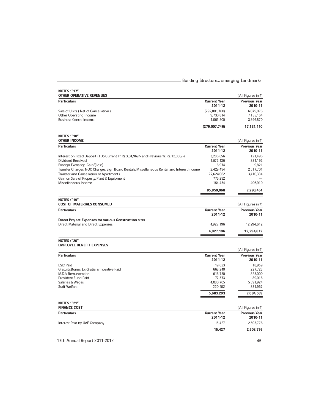| <b>NOTES: "17"</b><br><b>OTHER OPERATIVE REVENUES</b>                                       |                                | (All Figures in ₹)                         |
|---------------------------------------------------------------------------------------------|--------------------------------|--------------------------------------------|
| <b>Particulars</b>                                                                          | <b>Current Year</b><br>2011-12 | <b>Previous Year</b><br>2010-11            |
| Sale of Units (Net of Cancellation)                                                         | (292, 801, 760)                | 6,079,076                                  |
| Other Operating Income<br><b>Business Centre Income</b>                                     | 9,730,814                      | 7,155,164                                  |
|                                                                                             | 4,063,200                      | 3,896,870                                  |
|                                                                                             | (279,007,746)                  | 17,131,110                                 |
| <b>NOTES: "18"</b><br><b>OTHER INCOME</b>                                                   |                                | (All Figures in ₹)                         |
| <b>Particulars</b>                                                                          | <b>Current Year</b><br>2011-12 | <b>Previous Year</b><br>2010-11            |
| Interest on Fixed Deposit (TDS Current Yr. Rs.3,04,969/- and Previous Yr. Rs. 12,008/-)     | 3,286,656                      | 121,496                                    |
| Dividend Received                                                                           | 1,572,136                      | 824,192                                    |
| Foreign Exchange Gain/(Loss)                                                                | 6,974                          | 9,821                                      |
| Transfer Charges, NOC Charges, Sign Board Rentals, Miscellaneous Rental and Interest Income | 2,429,494                      | 2,517,701                                  |
| Transfer and Cancellation of Apartments                                                     | 77,624,062                     | 3,410,334                                  |
| Gain on Sale of Property, Plant & Equipment                                                 | 776,292                        |                                            |
| Miscellaneous Income                                                                        | 154,454                        | 406,910                                    |
|                                                                                             | 85,850,068                     | 7,290,454                                  |
| <b>NOTES: "19"</b>                                                                          |                                |                                            |
| <b>COST OF MATERIALS CONSUMED</b>                                                           |                                | (All Figures in ₹)                         |
| <b>Particulars</b>                                                                          | <b>Current Year</b><br>2011-12 | <b>Previous Year</b><br>2010-11            |
| <b>Direct Project Expenses for various Construction sites</b>                               |                                |                                            |
| <b>Direct Material and Direct Expenses</b>                                                  | 4,927,196                      | 12,294,612                                 |
|                                                                                             | 4,927,196                      | 12,294,612                                 |
| <b>NOTES: "20"</b>                                                                          |                                |                                            |
| <b>EMPLOYEE BENEFIT EXPENSES</b>                                                            |                                | (All Figures in ₹)                         |
| <b>Particulars</b>                                                                          | <b>Current Year</b>            | <b>Previous Year</b>                       |
|                                                                                             | 2011-12                        | 2010-11                                    |
| <b>ESIC Paid</b>                                                                            | 19,623                         | 18,959                                     |
| Gratuity, Bonus, Ex-Gratia & Incentive Paid                                                 | 668,240                        | 227,723                                    |
| M.D.'s Remuneration                                                                         | 616,750                        | 825,000                                    |
| Provident Fund Paid                                                                         | 77,573                         | 89,016                                     |
| Salaries & Wages                                                                            | 4,080,705                      | 5,591,924                                  |
| <b>Staff Welfare</b>                                                                        | 220,402                        | 331,967                                    |
|                                                                                             | 5,683,293                      | 7,084,589                                  |
| <b>NOTES: "21"</b>                                                                          |                                |                                            |
| <b>FINANCE COST</b><br><b>Particulars</b>                                                   | <b>Current Year</b>            | (All Figures in ₹)<br><b>Previous Year</b> |
|                                                                                             | 2011-12                        | 2010-11                                    |
| Interest Paid by UAE Company                                                                | 15,427                         | 2,503,776                                  |
|                                                                                             | 15,427                         | 2,503,776                                  |
|                                                                                             |                                |                                            |
| 17th Annual Report 2011-2012                                                                |                                | 45                                         |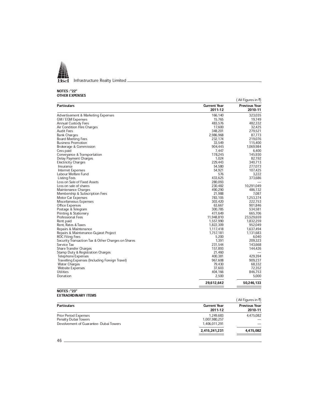

#### NOTES : ª22º OTHER EXPENSES

| UITIER EAFENJEJ                                    |                     | (All Figures in ₹)   |
|----------------------------------------------------|---------------------|----------------------|
| <b>Particulars</b>                                 | <b>Current Year</b> | <b>Previous Year</b> |
|                                                    | 2011-12             | 2010-11              |
| Advertisement & Marketing Expenses                 | 166,140             | 323.035              |
| <b>GM / EGM Expenses</b>                           | 15,765              | 19,749               |
| <b>Annual Custody Fees</b>                         | 483,576             | 482,332              |
| Air Condition Hire Charges                         | 17,600              | 32,425               |
| <b>Audit Fees</b>                                  | 348,201             | 279,521              |
| <b>Bank Charges</b>                                | 2,986,968           | 87,773               |
| <b>Board Meeting Fees</b>                          | 232,174             | 219,076              |
| <b>Business Promotion</b>                          | 33,549              | 115,400              |
| Brokerage & Commission                             | 904,445             | 1,069,984            |
| Cess paid                                          | 7,447               | 6,400                |
| Conveyance & Transportation                        | 178,245             | 145,930              |
| <b>Delay Payment Charges</b>                       | 1,024               | 82,192               |
| <b>Electricity Charges</b>                         | 229,443             | 340,713              |
|                                                    |                     |                      |
| Insurance                                          | 54,580              | 277,073              |
| Internet Expenses                                  | 54,921              | 107,425              |
| Labour Welfare Fund                                | 576                 | 3,222                |
| Listing Fees                                       | 433,625             | 373,686              |
| Loss on Sale of Fixed Assets                       | 280,093             |                      |
| Loss on sale of shares                             | 230,482             | 10,291,049           |
| Maintenance Charges                                | 490,290             | 486,132              |
| Membership & Subscription Fees                     | 21,988              | 7,087                |
| <b>Motor Car Expenses</b>                          | 783,105             | 1,253,374            |
| Miscellaneous Expenses                             | 303,420             | 222,753              |
| <b>Office Expenses</b>                             | 63,667              | 901,846              |
| Postage & Telegram                                 | 300,785             | 534,581              |
| Printing & Stationery                              | 477,649             | 665,706              |
| <b>Professional Fees</b>                           | 11,948,810          | 23,529,659           |
| Rent paid                                          | 1,557,990           | 1,832,259            |
| Rent, Rates & Taxes                                | 1,822,309           | 952,049              |
| Repairs & Maintenance                              | 1,117,418           | 1,637,494            |
| Repairs & Maintenance-Gujarat Project              | 1,757,181           | 1,131,683            |
| <b>ROC Filing Fees</b>                             | 5,200               | 6,040                |
| Security Transaction Tax & Other Charges on Shares | 1,391               | 209,323              |
| Service Tax                                        | 231,544             | 143,668              |
| <b>Share Transfer Charges</b>                      | 157,893             | 144,426              |
| Stamp Duty & Registration Charges                  | 21,460              |                      |
| <b>Telephone Expenses</b>                          | 400,381             | 429,394              |
| Travelling Expenses (Including Foreign Travel)     | 967,608             | 909,237              |
| <b>Water Charges</b>                               | 79,430              | 68,332               |
| <b>Website Expenses</b>                            | 37,603              | 72,352               |
| <b>Utilities</b>                                   |                     |                      |
|                                                    | 404,166             | 846,753              |
| Donation                                           | 2,500               | 5,000                |
|                                                    | 29,612,642          | 50,246,133           |

#### NOTES : ª23º EXTRAORDINARY ITEMS

(All Figures in  $\overline{\tau}$ )

| <b>Particulars</b>                                   | <b>Current Year</b><br>2011-12 | <b>Previous Year</b><br>2010-11 |
|------------------------------------------------------|--------------------------------|---------------------------------|
| <b>Prior Period Expenses</b><br>Penalty Dubai Towers | 1.249.683<br>1,007,980,257     | 4,475,082                       |
| Devolvement of Guarantee- Dubai Towers               | 1,406,011,291                  |                                 |
|                                                      | 2,415,241,231                  | 4,475,082                       |
| 46                                                   |                                |                                 |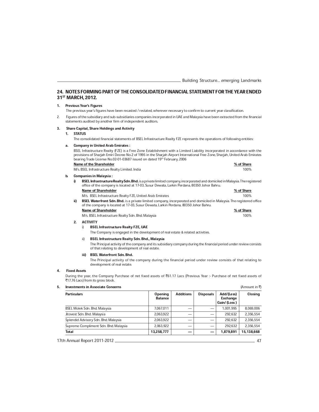## 24. NOTES FORMING PART OF THE CONSOLIDATED FINANCIAL STATEMENT FOR THE YEAR ENDED 31<sup>ST</sup> MARCH, 2012.

#### 1. Previous Year's Figures

The previous year's figures have been recasted / restated, wherever necessary to confirm to current year classification.

2. Figures of the subsidiary and sub-subsidiaries companies incorporated in UAE and Malaysia have been extracted from the financial statements audited by another firm of independent auditors.

#### 3. Share Capital, Share Holdings and Activity

#### 1. STATUS

The consolidated financial statements of BSEL Infrastructure Realty FZE represents the operations of following entities:

#### a. Company in United Arab Emirates :

BSEL Infrastructure Realty (FZE) is a Free Zone Establishment with a Limited Liability incorporated in accordance with the provisions of Sharjah Emiri Decree No.2 of 1995 in the Sharjah Airport International Free Zone, Sharjah, United Arab Emirates bearing Trade License No.02-01-03687 issued on dated 19th February, 2006 **Name of the Shareholder**  $\frac{\% \text{ of Share}}{100\%}$ <br>M/s. BSEL Infrastructure Realty Limited. India

| <b>NATILE OF LITE JURIE LIBRI</b>              |  |
|------------------------------------------------|--|
| M/s. BSEL Infrastructure Realty Limited. India |  |

#### b. Companies in Malaysia :

i) BSEL Infrastructure Realty Sdn. Bhd. is a private limited company, incorporated and domiciled in Malaysia. The registered office of the company is located at 17-03, Susur Dewata, Larkin Perdana, 80350 Johor Bahru. Name of Shareholder **Mathematic Shareholder Washington Washington Washington Washington Washington Washington Washington Washington Washington Washington Washington Washington Washington Washing** 

M/s. BSEL Infrastructure Realty FZE, United Arab Emirates 100% 100%

ii) BSEL Waterfront Sdn. Bhd. is a private limited company, incorporated and domiciled in Malaysia. The registered office of the company is located at 17-03, Susur Dewata, Larkin Perdana, 80350 Johor Bahru.

| Name of Shareholder                                | % of Share |
|----------------------------------------------------|------------|
| M/s. BSEL Infrastructure Realty Sdn. Bhd. Malaysia | 100%       |

### 2. ACTIVITY

i) BSEL Infrastructure Realty FZE, UAE

The Company is engaged in the development of real estate & related activities.

#### ii) BSEL Infrastructure Realty Sdn. Bhd., Malaysia

The Principal activity of the company and its subsidiary company during the financial period under review consists of that relating to development of real estate.

#### iii) BSEL Waterfront Sdn. Bhd.

The Principal activity of the company during the financial period under review consists of that relating to development of real estate.

#### 4. Fixed Assets

During the year, the Company Purchase of net fixed assets of ₹61.17 Lacs (Previous Year :- Purchase of net fixed assets of ₹17.76 Lacs) from its gross block.

#### 5. Investments in Associate Concerns (Amount in ₹)

| <b>Particulars</b>                    | <b>Opening</b><br><b>Balance</b> | <b>Additions</b> | <b>Disposals</b> | Add/(Less)<br><b>Exchange</b><br>Gain/(Loss) | <b>Closing</b> |
|---------------------------------------|----------------------------------|------------------|------------------|----------------------------------------------|----------------|
| <b>BSEL Molek Sdn. Bhd. Malaysia</b>  | 7.067.011                        |                  |                  | 1,001,995                                    | 8,069,006      |
| Jitovest Sdn. Bhd. Malaysia           | 2.063.922                        | –                |                  | 292.632                                      | 2,356,554      |
| Splendid Advisory Sdn. Bhd. Malaysia  | 2,063,922                        | –                |                  | 292.632                                      | 2,356,554      |
| Supreme Compliment Sdn. Bhd. Malaysia | 2,063,922                        |                  |                  | 292.632                                      | 2,356,554      |
| <b>Total</b>                          | 13,258,777                       | _                |                  | 1,879,891                                    | 15,138,668     |

17th Annual Report 2011-2012 47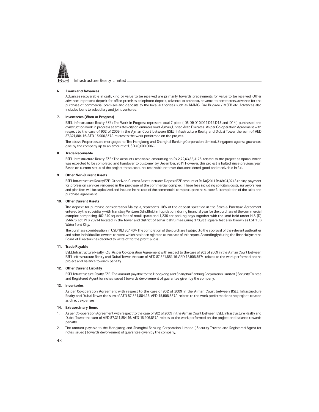

#### 6. Loans and Advances

Advances recoverable in cash, kind or value to be received are primarily towards prepayments for value to be received. Other advances represent deposit for office premises, telephone deposit, advance to architect, advance to contractors, advance for the purchase of commercial premises and deposits to the local authorities such as NMMC- Fire Brigade / MSEB etc. Advances also includes loans to subsidiary and joint ventures.

#### 7. Inventories (Work in Progress)

BSEL Infrastructure Realty FZE : The Work in Progress represent total 7 plots ( D8,D9,D10,D11,D12,D13 and D14 ) purchased and construction work in progress at emirates city on emirates road, Ajman, United Arab Emirates . As per Co-operation Agreement with respect to the case of 902 of 2009 in the Ajman Court between BSEL Infrastructure Realty and Dubai Tower the sum of AED 87,321,884.16. AED 15,906,857/- relates to the work performed on the project.

The above Properties are mortgaged to The Hongkong and Shanghai Banking Corporation Limited, Singapore against guarantee give by the company up to an amount of USD 40,000,000/-.

#### 8. Trade Receivable

BSEL Infrastructure Realty FZE : The accounts receivable amounting to Rs 2,72,63,82,317/- related to the project at Ajman, which was expected to be completed and handover to customer by December, 2011 However, this project is halted since previous year. Based on current status of the project these accounts receivable not over due, considered good and receivable in full.

#### 9. Other Non-Current Assets

BSEL Infrastructure Realty FZE : Other Non-Current Assets includes Deposit FZE amount of Rs Nil(2011 Rs 69,04,974/-) being payment for profession services rendered in the purchase of the commercial complex . These fees including solicitors costs, surveyors fees and plan fees will be capitalized and include in the cost of the commercial complex upon the successful completion of the sales and purchase agreement.

#### 10. Other Current Assets

The deposit for purchase consideration Malaysia, represents 10% of the deposit specified in the Sales & Purchase Agreement entered by the subsidiary with Transbay Ventures Sdn. Bhd. (in liquidation) during financial year for the purchase of the commercial complex comprising 402,240 square feet of retail space and 1,235 car parking bays together with the land held under H.S. (D) 256676 Lot PTB 20214 located in the tower and district of Johar bahru measuring 373,933 square feet also known as Lot 1 JB Waterfront City.

The purchase consideration in USD 18,130,140/- The completion of the purchase I subject to the approval of the relevant authorities and other individual lot owners consent which has been rejected at the date of this report. Accordingly during the financial year the Board of Directors has decided to write off to the profit & loss.

#### 11. Trade Payable

BSEL Infrastructure Realty FZE : As per Co-operation Agreement with respect to the case of 902 of 2009 in the Ajman Court between BSEL Infrastructure Realty and Dubai Tower the sum of AED 87,321,884.16. AED 15,906,857/- relates to the work performed on the project and balance towards penalty.

#### 12. Other Current Liability

BSEL Infrastructure Realty FZE : The amount payable to the Hongkong and Shanghai Banking Corporation Limited ( Security Trustee and Registered Agent for notes issued ) towards devolvement of guarantee given by the company.

#### 13. Inventories

As per Co-operation Agreement with respect to the case of 902 of 2009 in the Ajman Court between BSEL Infrastructure Realty and Dubai Tower the sum of AED 87,321,884.16. AED 15,906,857/- relates to the work performed on the project, treated as direct expenses.

#### 14. Extraordinary Items

- 1. As per Co-operation Agreement with respect to the case of 902 of 2009 in the Ajman Court between BSEL Infrastructure Realty and Dubai Tower the sum of AED 87,321,884.16. AED 15,906,857/- relates to the work performed on the project and balance towards penalty.
- 2. The amount payable to the Hongkong and Shanghai Banking Corporation Limited ( Security Trustee and Registered Agent for notes issued ) towards devolvement of guarantee given by the company.
- 48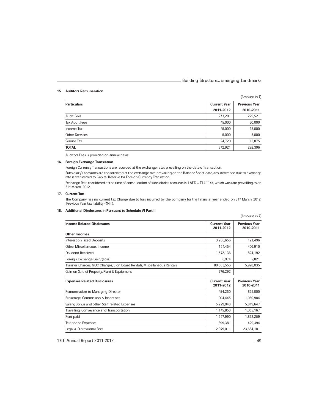#### 15. Auditors Remuneration

|                       |                                  | (Amount in ₹)                     |
|-----------------------|----------------------------------|-----------------------------------|
| <b>Particulars</b>    | <b>Current Year</b><br>2011-2012 | <b>Previous Year</b><br>2010-2011 |
| Audit Fees            | 273,201                          | 229,521                           |
| Tax Audit Fees        | 45,000                           | 30,000                            |
| Income Tax            | 25,000                           | 15,000                            |
| <b>Other Services</b> | 5,000                            | 5,000                             |
| Service Tax           | 24,720                           | 12,875                            |
| TOTAL                 | 372,921                          | 292,396                           |

Auditors Fees is provided on annual basis

#### 16. Foreign Exchange Translation

Foreign Currency Transactions are recorded at the exchange rates prevailing on the date of transaction.

Subsidiary's accounts are consolidated at the exchange rate prevailing on the Balance Sheet date, any difference due to exchange rate is transferred to Capital Reserve for Foreign Currency Translation.

Exchange Rate considered at the time of consolidation of subsidiaries accounts is 1 AED = ₹14.1144, which was rate prevailing as on 31st March, 2012.

#### 17. Current Tax

The Company has no current tax Charge due to loss incurred by the company for the financial year ended on 31<u>st March, 2012.</u><br>(Previous Year tax liability-₹Nil ).

#### 18. Additional Disclosures in Pursuant to Schedule VI Part II

|                                                                          |                                  | (Amount in ₹)                     |
|--------------------------------------------------------------------------|----------------------------------|-----------------------------------|
| <b>Income Related Disclosures</b>                                        | <b>Current Year</b><br>2011-2012 | <b>Previous Year</b><br>2010-2011 |
| <b>Other Incomes</b>                                                     |                                  |                                   |
| Interest on Fixed Deposits                                               | 3,286,656                        | 121,496                           |
| Other Miscellaneous Income                                               | 154,454                          | 406,910                           |
| Dividend Received                                                        | 1,572,136                        | 824,192                           |
| Foreign Exchange Gain/(Loss)                                             | 6.974                            | 9,821                             |
| Transfer Charges, NOC Charges, Sign Board Rentals, Miscellaneous Rentals | 80,053,556                       | 5,928,035                         |
| Gain on Sale of Property, Plant & Equipment                              | 776,292                          |                                   |
| <b>Expenses Related Disclosures</b>                                      | <b>Current Year</b><br>2011-2012 | <b>Previous Year</b><br>2010-2011 |
| Remuneration to Managing Director                                        | 454.250                          | 825.000                           |
| Brokerage, Commission & Incentives                                       | 904,445                          | 1,069,984                         |
| Salary, Bonus and other Staff related Expenses                           | 5,229,043                        | 5,819,647                         |
| Travelling, Conveyance and Transportation                                | 1,145,853                        | 1,055,167                         |
| Rent paid                                                                | 1,557,990                        | 1,832,259                         |
| <b>Telephone Expenses</b>                                                | 399,381                          | 429,394                           |
| Legal & Professional Fees                                                | 12,079,011                       | 23.684.181                        |

17th Annual Report 2011-2012 49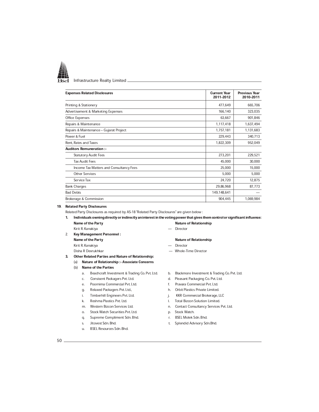

| <b>Expenses Related Disclosures</b>     | <b>Current Year</b><br>2011-2012 | <b>Previous Year</b><br>2010-2011 |
|-----------------------------------------|----------------------------------|-----------------------------------|
| Printing & Stationery                   | 477,649                          | 665,706                           |
| Advertisement & Marketing Expenses      | 166,140                          | 323,035                           |
| <b>Office Expenses</b>                  | 63,667                           | 901,846                           |
| Repairs & Maintenance                   | 1,117,418                        | 1,637,494                         |
| Repairs & Maintenance - Gujarat Project | 1,757,181                        | 1,131,683                         |
| Power & Fuel                            | 229,443                          | 340,713                           |
| Rent, Rates and Taxes                   | 1,822,309                        | 952,049                           |
| <b>Auditors Remuneration:-</b>          |                                  |                                   |
| <b>Statutory Audit Fees</b>             | 273,201                          | 229,521                           |
| <b>Tax Audit Fees</b>                   | 45,000                           | 30,000                            |
| Income Tax Matters and Consultancy Fees | 25,000                           | 15,000                            |
| <b>Other Services</b>                   | 5,000                            | 5,000                             |
| Service Tax                             | 24,720                           | 12,875                            |
| <b>Bank Charges</b>                     | 29,86,968                        | 87,773                            |
| <b>Bad Debts</b>                        | 149,148,641                      |                                   |
| Brokerage & Commission                  | 904,445                          | 1,069,984                         |

#### 19. Related Party Disclosures

Related Party Disclosures as required by AS-18 "Related Party Disclosures" are given below :

### 1. Individuals owning directly or indirectly an interest in the voting power that gives them control or significant influence: **Nature of Relationship**

 $-$  Director

|  |  | Kirit R. Kanakiya |  |
|--|--|-------------------|--|
|--|--|-------------------|--|

2. Key Management Personnel :

Name of the Party<br>
Kirit R. Kanakiya<br>  $\begin{array}{ccc}\n & \text{Nature of Relationship} \\
- & \text{Directory} \\
- & \text{Directory} \\
\end{array}$ Kirit R. Kanakiya

Disha R Devrukhkar **Disha R Devrukhkar Zames William School** Whole-Time Director

3. Other Related Parties and Nature of Relationship:

- (a) Nature of Relationship :- Associate Concerns
- (b) Name of the Parties
	- a. Beachcraft Investment & Trading Co. Pvt. Ltd. b. Blackmore Investment & Trading Co. Pvt. Ltd.
		-
	- e. Poornima Commercial Pvt. Ltd. f. Pravara Commercial Pvt. Ltd.
	- g. Relaxed Packagers Pvt. Ltd., h. Orbit Plastics Private Limited.<br>i. Timberhill Engineers Pvt. Ltd. (j. KKR Commercial Brokerage, L
	-
	-
	-
	-
	- o. Stock Watch Securities Pvt. Ltd. p. Stock Watch. q. Supreme Compliment Sdn. Bhd.<br>s. Jitovest Sdn. Bhd.
	-
	- u. BSEL Resources Sdn. Bhd.
- 
- c. Consisent Packagers Pvt. Ltd. d. Pleasant Packaging Co. Pvt. Ltd.
	-
	-
	-
- i. Timberhill Engineers Pvt. Ltd. j. KKR Commercial Brokerage, LLC
- k. Reshma Plastics Pvt. Ltd. l. Cortal Bizcon Solution Limited.<br>1. Mestern Bizcon Services Ltd. l. Contact Consultancy Services m. Contact Consultancy Services Pvt. Ltd.<br>p. Stock Watch.
	-
	-
- s. Jitovest Sdn. Bhd. t. Splendid Advisory Sdn. Bhd.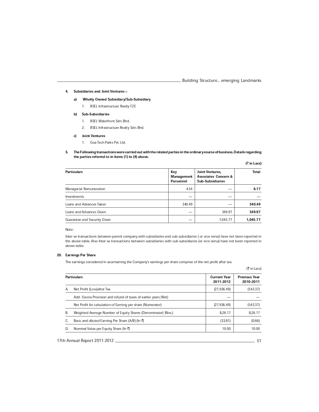### 4. Subsidiaries and Joint Ventures :-

- a) Wholly Owned Subsidiary/Sub-Subsidiary
	- 1. BSEL Infrastructure Realty FZE
- b) Sub-Subsidiaries
	- 1. BSEL Waterfront Sdn. Bhd.
	- 2. BSEL Infrastructure Realty Sdn. Bhd.

#### c) Joint Ventures

- 1. Goa Tech Parks Pvt. Ltd.
- 5. The Following transactions were carried out with the related parties in the ordinary course of business. Details regarding the parties referred to in items (1) to (4) above.

 $($ ₹ in Lacs)

| <b>Particulars</b>           | Key<br><b>Management</b><br>Personnel | Joint Ventures,<br><b>Associates Concern &amp;</b><br><b>Sub-Subsidiaries</b> | Total    |
|------------------------------|---------------------------------------|-------------------------------------------------------------------------------|----------|
| Managerial Remuneration      | 4.54                                  |                                                                               | 6.17     |
| Investments                  |                                       |                                                                               |          |
| Loans and Advances Taken     | 340.49                                |                                                                               | 340.49   |
| Loans and Advances Given     |                                       | 349.97                                                                        | 349.97   |
| Guarantee and Security Given |                                       | 1,045.77                                                                      | 1,045.77 |

Note :

Inter-se transactions between parent company with subsidiaries and sub-subsidiaries ( or vice versa) have not been reported in the above table. Also Inter-se transactions between subsidiaries with sub-subsidiaries (or vice versa) have not been reported in above table.

#### 20. Earnings Per Share

The earnings considered in ascertaining the Company's earnings per share comprise of the net profit after tax.

|    |                                                                  |                                  | (₹ in Lacs)                       |
|----|------------------------------------------------------------------|----------------------------------|-----------------------------------|
|    | <b>Particulars</b>                                               | <b>Current Year</b><br>2011-2012 | <b>Previous Year</b><br>2010-2011 |
| А. | Net Profit (Loss) after Tax                                      | (27, 936.49)                     | (543.37)                          |
|    | Add: Excess Provision and refund of taxes of earlier years (Net) |                                  |                                   |
|    | Net Profit for calculation of Earning per share (Numerator)      | (27, 936.49)                     | (543.37)                          |
| В. | Weighted Average Number of Equity Shares (Denominator) (Nos.)    | 8.26.17                          | 8.26.17                           |
| C. | Basic and diluted Earning Per Share (A/B) (In ₹)                 | (33.81)                          | (0.66)                            |
| D. | Nominal Value per Equity Share (In ₹)                            | 10.00                            | 10.00                             |
|    |                                                                  |                                  |                                   |

17th Annual Report 2011-2012 51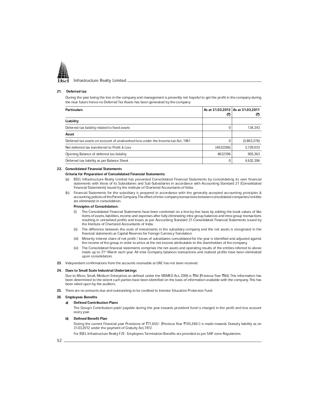

#### 21. Deferred tax

During the year being the loss in the company and management is presently not hopeful to get the profit in the company during the near future hence no Deferred Tax Assets has been generated by the company.

| <b>Particulars</b>                                                               | (₹)       | As at 31.03.2012 As at 31.03.2011<br>(₹) |
|----------------------------------------------------------------------------------|-----------|------------------------------------------|
| Liability                                                                        |           |                                          |
| Deferred tax liability related to fixed assets                                   |           | 134,343                                  |
| Asset                                                                            |           |                                          |
| Deferred tax assets on account of unabsorbed loss under the Income-tax Act, 1961 |           | (3,863,376)                              |
| Net deferred tax transferred to Profit & Loss                                    | (4632396) | 3,729,033                                |
| Opening Balance of deferred tax liability                                        | 4632396   | 903.363                                  |
| Deferred tax liability as per Balance Sheet                                      | 0         | 4.632.396                                |

### 22. Consolidated Financial Statements

#### Criteria for Preparation of Consolidated Financial Statements:

- (a) BSEL Infrastructure Realty Limited has presented Consolidated Financial Statements by consolidating its own financial statements with those of its Subsidiaries and Sub-Subsidiaries in accordance with Accounting Standard 21 (Consolidated Financial Statements) issued by the institute of Chartered Accountants of India.
- (b) Financial Statements for the subsidiary is prepared in accordance with the generally accepted accounting principles & accounting policies of the Parent Company. The effect of inter-company transactions between consolidated companies/ entitles are eliminated in consolidation.

#### Principles of Consolidation:

- (i) The Consolidated Financial Statements have been combined on a line-by-line basis by adding the book values of like items of assets, liabilities, income and expenses after fully eliminating intra-group balances and intra-group transactions resulting in unrealized profits and losses as per Accounting Standard 21-Consolidated Financial Statements issued by the Institute of Chartered Accountants of India.
- (ii) The difference between the costs of investments in the subsidiary company and the net assets is recognized in the financial statements as Capital Reserves for Foreign Currency Translation.
- (iii) Minority interest share of net profit / losses of subsidiaries consolidated for the year is identified and adjusted against the income of the group in order to arrive at the net income attributable to the shareholders of the company.
- (iv) The Consolidated financial statements comprises the net assets and operating results of the entities referred to above made up to 31st March each year. All inter-Company balances transactions and realized profits have been eliminated upon consolidation.
- 23. Independent confirmations from the accounts receivable at UAE has not been received.

#### 24. Dues to Small Scale Industrial Undertakings

Due to Micro, Small, Medium Enterprises as defined under the MSMED Act, 2006 is ₹Nil (Previous Year ₹Nil). This information has been determined to the extent such parties have been identified on the basis of information available with the company. This has been relied upon by the auditors.

25. There are no amounts due and outstanding to be credited to Investor Education Protection Fund.

#### 26. Employees Benefits

#### a) Defined Contribution Plans

The Group's Contribution paid/ payable during the year towards provident fund is charged in the profit and loss account every year.

b) Defined Benefit Plan

During the current Financial year Provisions of ₹71,653/- (Previous Year ₹105,346/-) is made towards Gratuity liability as on 31.03.2012 under the payment of Gratuity Act,1972.

For BSEL Infrastructure Realty FZE : Employees Termination Benefits are provided as per SAIF zone Regulations.

 $52 -$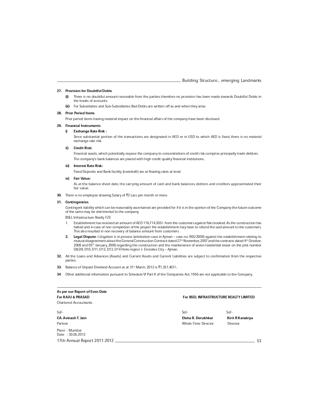#### 27. Provision for Doubtful Debts

- (i) There is no doubtful amount receivable from the parties; therefore no provision has been made towards Doubtful Debts in the books of accounts.
- (ii) For Subsidiaries and Sub-Subsidiaries: Bad Debts are written off as and when they arise.

## 28. Prior Period Items

Prior period items having material impact on the financial affairs of the company have been disclosed.

## 29. Financial Instruments

#### i) Exchange Rate Risk :

Since substantial portion of the transactions are designated in AED or in USD to which AED is fixed, there is no material exchange rate risk.

#### ii) Credit Risk:

Financial assets, which potentially expose the company to concentrations of credit risk comprise principally trade debtors. The company's bank balances are placed with high credit quality financial institutions.

#### iii) Interest Rate Risk:

Fixed Deposits and Bank facility (overdraft) are at floating rates at level.

iv) Fair Value:

As at the balance sheet date, the carrying amount of cash and bank balances, debtors and creditors approximated their fair value.

30. There is no employee drawing Salary of  $\overline{z}$  Lacs per month or more.

#### 31. Contingencies

Contingent liability which can be reasonably ascertained are provided for if it is in the opinion of the Company the future outcome of the same may be detrimental to the company.

BSEL Infrastructure Realty FZE

- 1. Establishment has received an amount of AED 116,714,305/- from the customers against flats booked. As the construction has halted and in case of non completion of the project the establishment may have to refund the said amount to the customers. This also resulted in non recovery of balance amount from customers.
- **2. Legal Dispute :** Litigation is in process (arbitration case in Ajman case no. 903/2009) against the establishment relating to<br>mutual disagreement about the General Construction Contract dated 27<sup>th</sup> November, 2007 a 2008 and 05th January, 2008 regarding the construction and the maintenance of seven residential tower on the plot number D8,D9, D10, D11, D12, D13, D14 Helio region J- Emirates City ± Ajman.
- 32. All the Loans and Advances (Assets) and Current Assets and Current Liabilities are subject to confirmation from the respective parties
- 33. Balance of Unpaid Dividend Account as at 31<sup>st</sup> March, 2012 is ₹1,357,407/-.
- 34. Other additional information pursuant to Schedule VI Part II of the Companies Act, 1956 are not applicable to the Company.

| As per our Report of Even Date<br><b>For RAJU &amp; PRASAD</b><br><b>For BSEL INFRASTRUCTURE REALTY LIMITED</b><br><b>Chartered Accountants</b> |                                                     |                                        |  |
|-------------------------------------------------------------------------------------------------------------------------------------------------|-----------------------------------------------------|----------------------------------------|--|
| Sd<br><b>CA. Avinash T. Jain</b><br>Partner                                                                                                     | $Sd$ -<br>Disha R. Derukhkar<br>Whole-Time Director | $Sd$ .<br>Kirit R Kanakiya<br>Director |  |
| Place: Mumbai<br>Date: 30.05.2012<br>17th Annual Report 2011-2012                                                                               |                                                     | 53                                     |  |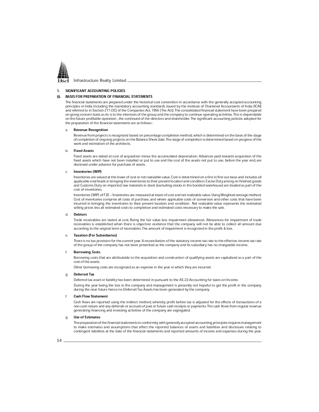

#### 1. SIGNIFICANT ACCOUNTING POLICIES

#### (i). BASIS FOR PREPARATION OF FINANCIAL STATEMENTS

The financial statements are prepared under the historical cost convention in accordance with the generally accepted accounting principles in India including the mandatory accounting standards issued by the institute of Chartered Accountants of India (ICAI) and referred to in Section 211 (3C) of the Companies Act, 1956 (The Act). The consolidated financial statement have been prepared on going concern basis as its is to the intension of the group and the company to continue operating activities. This is dependable on the future profitable operation , the continued of the directors and shareholder. The significant accounting policies adopted for the preparation of the financial statements are as follows :

#### a. Revenue Recognition

Revenue from projects is recognized based on percentage completion method, which is determined on the basis of the stage of completion of ongoing projects on the Balance Sheet date. The stage of completion is determined based on progress of the work and estimation of the architects.

#### b. Fixed Assets

Fixed assets are stated at cost of acquisition minus the accumulated depreciation. Advances paid towards acquisition of the fixed assets which have not been installed or put to use and the cost of the assets not put to use, before the year end, are disclosed under advance for purchase of assets.

#### Inventories (WIP)

Inventories are valued at the lower of cost or net realizable value. Cost is determined on a first in first out basis and includes all applicable overheads in bringing the inventories to their present location and condition. Excise Duty arising on finished goods and Customs Duty on imported raw materials in stock (excluding stocks in the bonded warehouse) are treated as part of the cost of inventories.

Inventories (WIP) of FZE - Inventories are measured at lower of cost and net realizable value. Using Weighted average method. Cost of inventories comprise all costs of purchase, and where applicable costs of conversion and other costs that have been incurred in bringing the inventories to their present location and condition . Net realizable value represents the estimated selling prices less all estimated costs to completion and estimated costs necessary to make the sale.

#### d. Debtors

Trade receivables are stated at cost, Being the fair value less impairment allowances. Allowances for impairment of trade receivables is established when there is objection evidence that the company will not be able to collect all amount due according to the original term of receivables. The amount of impairment is recognized in the profit & loss.

#### e. Taxation (For Subsidiaries)

There is no tax provision for the current year. A reconciliation of the statutory income tax rate to the effective income tax rate of the group of the company has not been presented as the company and its subsidiary has no chargeable income.

#### f. Borrowing Costs

Borrowing costs that are attributable to the acquisition and construction of qualifying assets are capitalized as a part of the cost of the assets.

Other borrowing costs are recognized as an expense in the year in which they are incurred.

#### g. Deferred Tax

Deferred tax asset or liability has been determined in pursuant to the AS-22-Accounting for taxes on Income.

During the year being the loss in the company and management is presently not hopeful to get the profit in the company during the near future hence no Deferred Tax Assets has been generated by the company.

#### f. Cash Flow Statement

Cash flows are reported using the indirect method, whereby profit before tax is adjusted for the effects of transactions of a non cash nature and any deferrals or accruals of past or future cash receipts or payments. The cash flows from regular revenue generating financing and investing activities of the company are segregated.

#### Use of Estimates

The preparation of the financial statements in conformity with generally accepted accounting principles requires management to make estimates and assumptions that affect the reported balances of assets and liabilities and disclosure relating to contingent liabilities at the date of the financial statements and reported amounts of income and expenses during the year.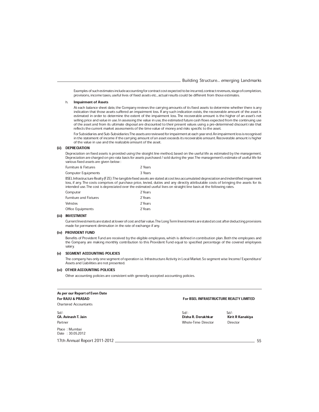Examples of such estimates include accounting for contract cost expected to be incurred, contract revenues, stage of completion, provisions, income taxes, useful lives of fixed assets etc., actual results could be different from those estimates.

#### h. Impairment of Assets

At each balance sheet date, the Company reviews the carrying amounts of its fixed assets to determine whether there is any indication that those assets suffered an impairment loss. If any such indication exists, the recoverable amount of the asset is estimated in order to determine the extent of the impairment loss. The recoverable amount is the higher of an asset's net selling price and value in use. In assessing the value in use, the estimated future cash flows expected from the continuing use of the asset and from its ultimate disposal are discounted to their present values using a pre-determined discount rate that reflects the current market assessments of the time value of money and risks specific to the asset.

For Subsidiaries and Sub-Subsidiaries: The assets are reviewed for impairment at each year end. An impairment loss is recognised in the statement of income if the carrying amount of an asset exceeds its recoverable amount. Recoverable amount is higher of the value in use and the realizable amount of the asset.

### (ii). DEPRECIATION

Depreciation on fixed assets is provided using the straight line method, based on the useful life as estimated by the management. Depreciation are charged on pro-rata basis for assets purchased / sold during the year. The management's estimate of useful life for various fixed assets are given below :

| <b>Furniture &amp; Fixtures</b> | 2 Years |
|---------------------------------|---------|
| <b>Computer Equipments</b>      | 3 Years |

BSEL Infrastructure Realty (FZE) : The tangible fixed assets are stated at cost less accumulated depreciation and indentified impairment loss, if any. The costs comprises of purchase price, levied, duties and any directly attributable costs of bringing the assets for its intended use. The cost is depreciated over the estimated useful lives on straight line basis at the following rates.

| Computer                      | 2 Years |
|-------------------------------|---------|
| <b>Furniture and Fixtures</b> | 2 Years |
| <b>Vehicles</b>               | 2 Years |
| <b>Office Equipments</b>      | 2 Years |

#### (iii) INVESTMENT

Current Investments are stated at lower of cost and fair value. The Long Term Investments are stated at cost after deducting provisions made for permanent diminution in the rate of exchange if any.

#### (iv) PROVIDENT FUND

Benefits of Provident Fund are received by the eligible employees, which is defined in contribution plan. Both the employees and the Company are making monthly contribution to this Provident Fund equal to specified percentage of the covered employees salary.

#### (v) SEGMENT ACCOUNTING POLICIES

The company has only one segment of operation i.e. Infrastructure Activity in Local Market. So segment wise Income/ Expenditure/ Assets and Liabilities are not presented.

#### (vi) OTHER ACCOUNTING POLICIES

Other accounting policies are consistent with generally accepted accounting policies.

| As per our Report of Even Date<br><b>For RAJU &amp; PRASAD</b> | For BSEL INFRASTRUCTURE REALTY LIMITED |                            |
|----------------------------------------------------------------|----------------------------------------|----------------------------|
|                                                                |                                        |                            |
| <b>Chartered Accountants</b>                                   |                                        |                            |
| Sd<br><b>CA. Avinash T. Jain</b>                               | $Sd$ -<br>Disha R. Derukhkar           | $Sd$ -<br>Kirit R Kanakiya |
| Partner                                                        | Whole-Time Director                    | Director                   |
| Place: Mumbai<br>Date: 30.05.2012                              |                                        |                            |
| 17th Annual Report 2011-2012                                   |                                        | 55                         |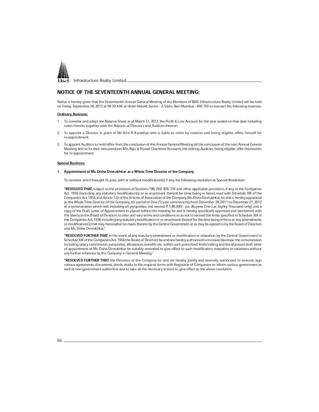

## NOTICE OF THE SEVENTEENTH ANNUAL GENERAL MEETING:

Notice is hereby given that the Seventeenth Annual General Meeting of the Members of BSEL Infrastructure Realty Limited will be held on Friday, September 28, 2012 at 09.30 A.M. at Hotel Abbott, Sector - 2, Vashi, Navi Mumbai - 400 703 to transact the following business:

#### **Ordinary Business:**

- 1. To consider and adopt the Balance Sheet as at March 31, 2012, the Profit & Loss Account for the year ended on that date including notes thereto, together with the Reports of Directors and Auditors thereon.
- 2. To appoint a Director in place of Mr. Kirit R. Kanakiya who is liable to retire by rotation and being eligible, offers himself for re-appointment.
- 3. To appoint Auditors to hold office from the conclusion of this Annual General Meeting till the conclusion of the next Annual General Meeting and to fix their remuneration. M/s Raju & Prasad Chartered Accounts, the retiring Auditors, being eligible, offer themselves for re-appointment.

#### **Special Business:**

#### 4. Appointment of Ms. Disha Devrukhkar as a Whole Time Director of the Company

To consider and if thought fit, pass, with or without modification(s) if any, the following resolution as Special Resolution:

"RESOLVED THAT, subject to the provisions of Sections 198, 269, 309, 310 and other applicable provisions, if any, of the Companies Act, 1956 (including any statutory modification(s) or re-enactment thereof, for time being in force), read with Schedule XIII of the Companies Act, 1956 and Article 153 of the Articles of Association of the Company, Ms. Disha Devrukhkar, be and is hereby appointed as the Whole Time Director of the Company, for period of One (1) year commencing from December 28, 2011 to December 27, 2012 at a remuneration which will, including all perquisites, not exceed ₹ 1,80,000/- p.a. (Rupees One Lac Eighty Thousand only) and a copy of the Draft Letter of Appointment as placed before this meeting be and is hereby specifically approved and sanctioned with the liberty to the Board of Directors to alter and vary terms and conditions so as not to exceed the limits specified in Schedule XIII of the Companies Act, 1956 including any statutory modification or re-enactment thereof for the time being in force or any amendments or modification(s) that may hereinafter be made thereto by the Central Government or as may be agreed to by the Board of Directors and Ms. Disha Devrukhkar<sup>'</sup>.

"RESOLVED FURTHER THAT in the event of any statutory amendment or modification or relaxation by the Central Government to Schedule XIII of the Companies Act, 1956 the Board of Directors be and are hereby authorized to increase/decrease the remuneration including salary, commission, perquisites, allowances, benefits etc. within such prescribed limits/ceiling and the aforesaid draft letter of appointment of Ms. Disha Devrukhkar be suitably amended to give effect to such modification, relaxation or variations without any further reference to the Company in General Meeting"

"RESOLVED FURTHER THAT the Directors of the Company be and are hereby jointly and severally authorised to execute, sign various agreements, documents, deeds, drafts; to file required forms with Registarar of Companies; to inform various government as well as non-government authorities and to take all the necessary actions to give effect to the above resolution.

56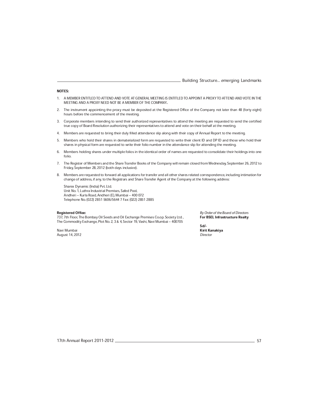### NOTES:

- 1. A MEMBER ENTITLED TO ATTEND AND VOTE AT GENERAL MEETING IS ENTITLED TO APPOINT A PROXY TO ATTEND AND VOTE IN THE MEETING AND A PROXY NEED NOT BE A MEMBER OF THE COMPANY.
- 2. The instrument appointing the proxy must be deposited at the Registered Office of the Company not later than 48 (forty eight) hours before the commencement of the meeting.
- 3. Corporate members intending to send their authorized representatives to attend the meeting are requested to send the certified true copy of Board Resolution authorizing their representatives to attend and vote on their behalf at the meeting.
- 4. Members are requested to bring their duly filled attendance slip along with their copy of Annual Report to the meeting.
- 5. Members who hold their shares in dematerialized form are requested to write their client ID and DP ID and those who hold their shares in physical form are requested to write their folio number in the attendance slip for attending the meeting.
- 6. Members holding shares under multiple folios in the identical order of names are requested to consolidate their holdings into one folio.
- 7. The Register of Members and the Share Transfer Books of the Company will remain closed from Wednesday, September 26, 2012 to Friday, September 28, 2012 (both days inclusive).
- 8. Members are requested to forward all applications for transfer and all other shares related correspondence, including intimation for change of address, if any, to the Registrars and Share Transfer Agent of the Company at the following address:

Sharex Dynamic (India) Pvt. Ltd. Unit No. 1, Luthra Industrial Premises, Safed Pool, Andheri - Kurla Road, Andheri (E), Mumbai - 400 072 Telephone No. (022) 2851 5606/5644 7 Fax: (022) 2851 2885

737, 7th Floor, The Bombay Oil Seeds and Oil Exchange Premises Co.op. Society Ltd. , **For BSEL Infrastructure Realty** The Commodity Exchange, Plot No. 2, 3 & 4, Sector 19, Vashi, Navi Mumbai - 400705

**Registered Office:** By Order of the Board of Directors and the Board of Directors of the Board of Directors and  $B$ 

Sd/- Navi Mumbai **Kirit Kanakiya**<br>August 14, 2012 **August 2018 - August 2018 - August 2018** - August 2018 - *Director* 

August 14, 2012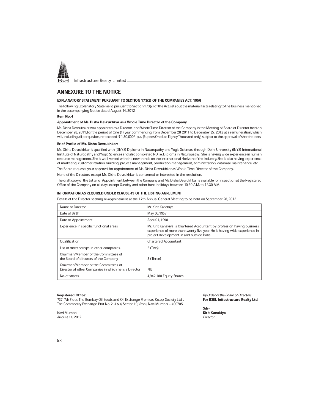

## ANNEXURE TO THE NOTICE

#### EXPLANATORY STATEMENT PURSUANT TO SECTION 173(2) OF THE COMPANIES ACT, 1956

The following Explanatory Statement, pursuant to Section 173(2) of the Act, sets out the material facts relating to the business mentioned in the accompanying Notice dated August 14, 2012.

#### Item No. 4

#### Appointment of Ms. Disha Devrukhkar as a Whole Time Director of the Company

Ms. Disha Devrukhkar was appointed as a Director and Whole Time Director of the Company in the Meeting of Board of Director held on December 28, 2011, for the period of One (1) year commencing from December 28, 2011 to December 27, 2012 at a remuneration, which will, including all perquisites, not exceed ₹1,80,000/- p.a. (Rupees One Lac Eighty Thousand only) subject to the approval of shareholders.

#### Brief Profile of Ms. Disha Devrukhkar:

Ms. Disha Devrukhkar is qualified with (DNYS) Diploma in Naturopathy and Yogic Sciences through Delhi University (INYS) International Institute of Naturopathy and Yogic Sciences and also completed ND i.e. Diploma in Naturopathy. She is having wide experience in human resource management. She is well-versed with the new trends on the International Horizon of the industry. She is also having experience of marketing, customer relation building, project management, production management, administration, database maintenance, etc.

The Board requests your approval for appointment of Ms. Disha Devrukhkar as Whole Time Director of the Company.

None of the Directors, except Ms. Disha Devrukhkar is concerned or interested in the resolution.

The draft copy of the Letter of Appointment between the Company and Ms. Disha Devrukhkar is available for inspection at the Registered Office of the Company on all days except Sunday and other bank holidays between 10.30 A.M. to 12.30 A.M.

#### INFORMATION AS REQUIRED UNDER CLAUSE 49 OF THE LISTING AGREEMENT

Details of the Director seeking re-appointment at the 17th Annual General Meeting to be held on September 28, 2012.

| Name of Director                                                                              | Mr. Kirit Kanakiya                                                                                                                                                                                 |
|-----------------------------------------------------------------------------------------------|----------------------------------------------------------------------------------------------------------------------------------------------------------------------------------------------------|
| Date of Birth                                                                                 | May 06,1957                                                                                                                                                                                        |
| Date of Appointment                                                                           | April 01, 1998                                                                                                                                                                                     |
| Experience in specific functional areas.                                                      | Mr. Kirit Kanakiya is Chartered Accountant by profession having business<br>experience of more than twenty five year. He is having wide experience in<br>project development in and outside India. |
| <b>Qualification</b>                                                                          | <b>Chartered Accountant</b>                                                                                                                                                                        |
| List of directorships in other companies.                                                     | $2$ (Two)                                                                                                                                                                                          |
| Chairman/Member of the Committees of<br>the Board of directors of the Company                 | 3 (Three)                                                                                                                                                                                          |
| Chairman/Member of the Committees of<br>Director of other Companies in which he is a Director | <b>NIL</b>                                                                                                                                                                                         |
| No. of shares                                                                                 | 4,942,180 Equity Shares                                                                                                                                                                            |

Registered Office:<br>The Board of Directors (By Order of the Board of Directors of Directors of the Board of Directors (1998) (By Or<br>By Order of the Board of Directors Realty Ltd. 737, 7th Floor, The Bombay Oil Seeds and Oil Exchange Premises Co.op. Society Ltd., The Commodity Exchange, Plot No. 2, 3 & 4, Sector 19, Vashi, Navi Mumbai - 400705

August 14, 2012

Sd/- Navi Mumbai Kiri<mark>t Kanakiya</mark><br>August 14, 2012

58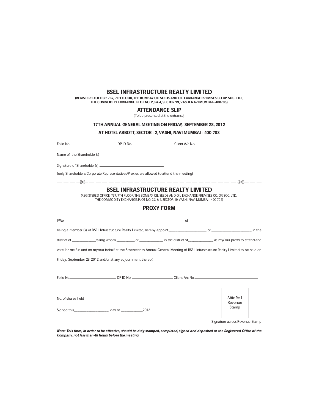## BSEL INFRASTRUCTURE REALTY LIMITED

(REGISTERED OFFICE: 737, 7TH FLOOR, THE BOMBAY OIL SEEDS AND OIL EXCHANGE PREMISES CO.OP. SOC. LTD., THE COMMODITY EXCHANGE, PLOT NO. 2,3 & 4, SECTOR 19, VASHI, NAVI MUMBAI - 400705)

### ATTENDANCE SLIP

(To be presented at the entrance)

## 17TH ANNUAL GENERAL MEETING ON FRIDAY, SEPTEMBER 28, 2012

## AT HOTEL ABBOTT, SECTOR - 2, VASHI, NAVI MUMBAI - 400 703

|                                                                                                                              | (only Shareholders/Corporate Representatives/Proxies are allowed to attend the meeting) |                                                                                                                                                                                                                                                               |                                                                                                                                    |  |
|------------------------------------------------------------------------------------------------------------------------------|-----------------------------------------------------------------------------------------|---------------------------------------------------------------------------------------------------------------------------------------------------------------------------------------------------------------------------------------------------------------|------------------------------------------------------------------------------------------------------------------------------------|--|
| $\overline{\phantom{a}}$ $\overline{\phantom{a}}$ $\overline{\phantom{a}}$ $\overline{\phantom{a}}$ $\overline{\phantom{a}}$ |                                                                                         |                                                                                                                                                                                                                                                               |                                                                                                                                    |  |
|                                                                                                                              |                                                                                         | <b>BSEL INFRASTRUCTURE REALTY LIMITED</b><br>(REGISTERED OFFICE: 737, 7TH FLOOR, THE BOMBAY OIL SEEDS AND OIL EXCHANGE PREMISES CO. OP. SOC. LTD.,<br>THE COMMODITY EXCHANGE, PLOT NO. 2,3 & 4, SECTOR 19, VASHI, NAVI MUMBAI - 400 705)<br><b>PROXY FORM</b> |                                                                                                                                    |  |
|                                                                                                                              |                                                                                         |                                                                                                                                                                                                                                                               | $I/We$ $of$                                                                                                                        |  |
|                                                                                                                              |                                                                                         |                                                                                                                                                                                                                                                               |                                                                                                                                    |  |
|                                                                                                                              |                                                                                         |                                                                                                                                                                                                                                                               |                                                                                                                                    |  |
|                                                                                                                              | Friday, September 28, 2012 and/or at any adjournment thereof.                           |                                                                                                                                                                                                                                                               | vote for me /us and on my/our behalf at the Seventeenth Annual General Meeting of BSEL Infrastructure Realty Limited to be held on |  |
|                                                                                                                              |                                                                                         |                                                                                                                                                                                                                                                               |                                                                                                                                    |  |
| No. of shares held                                                                                                           |                                                                                         |                                                                                                                                                                                                                                                               | Affix Re.1<br>Revenue<br>Stamp                                                                                                     |  |
|                                                                                                                              |                                                                                         |                                                                                                                                                                                                                                                               | Signature across Revenue Stamp                                                                                                     |  |
|                                                                                                                              |                                                                                         |                                                                                                                                                                                                                                                               |                                                                                                                                    |  |

Note: This form, in order to be effective, should be duly stamped, completed, signed and deposited at the Registered Office of the Company, not less than 48 hours before the meeting.